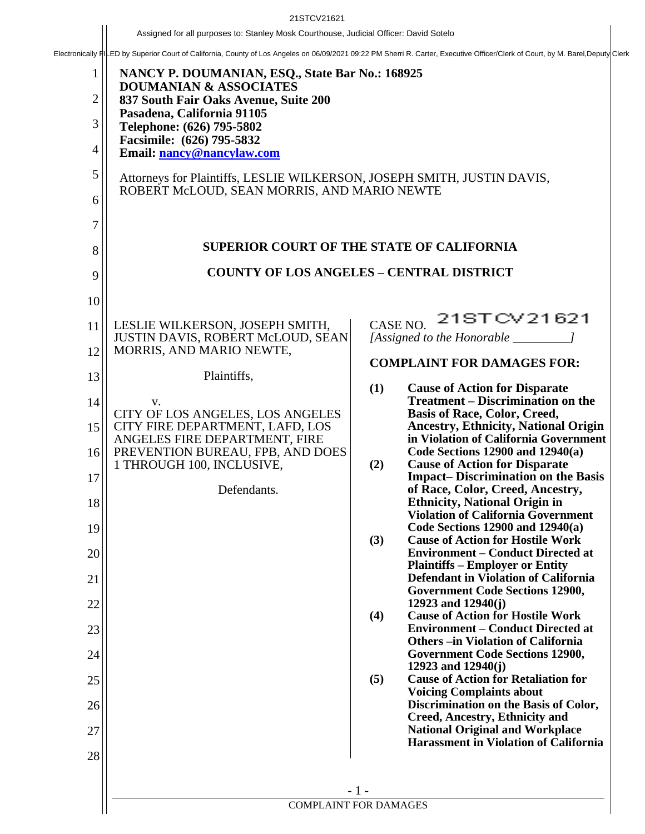21STCV21621<br>Assigned for all purposes to: Stanley Mosk Courthouse, Judicial Officer: David Sotelo<br>Electronically FilLED by Superior Court of California, County of Los Angeles on 06/09/2021 09:22 PM Sherri R. Carter, Execut

| $\mathbf{1}$<br>$\mathfrak{2}$<br>3<br>4<br>5<br>6<br>$\overline{7}$<br>8 | NANCY P. DOUMANIAN, ESQ., State Bar No.: 168925<br><b>DOUMANIAN &amp; ASSOCIATES</b><br>837 South Fair Oaks Avenue, Suite 200<br>Pasadena, California 91105<br>Telephone: (626) 795-5802<br>Facsimile: (626) 795-5832<br>Email: nancy@nancylaw.com<br>Attorneys for Plaintiffs, LESLIE WILKERSON, JOSEPH SMITH, JUSTIN DAVIS,<br>ROBERT McLOUD, SEAN MORRIS, AND MARIO NEWTE | <b>SUPERIOR COURT OF THE STATE OF CALIFORNIA</b>                                                                                |
|---------------------------------------------------------------------------|------------------------------------------------------------------------------------------------------------------------------------------------------------------------------------------------------------------------------------------------------------------------------------------------------------------------------------------------------------------------------|---------------------------------------------------------------------------------------------------------------------------------|
| 9                                                                         |                                                                                                                                                                                                                                                                                                                                                                              | <b>COUNTY OF LOS ANGELES - CENTRAL DISTRICT</b>                                                                                 |
| 10                                                                        |                                                                                                                                                                                                                                                                                                                                                                              |                                                                                                                                 |
| 11                                                                        | LESLIE WILKERSON, JOSEPH SMITH,                                                                                                                                                                                                                                                                                                                                              | 21STCV21621<br>CASE NO.                                                                                                         |
| 12                                                                        | JUSTIN DAVIS, ROBERT McLOUD, SEAN<br>MORRIS, AND MARIO NEWTE,                                                                                                                                                                                                                                                                                                                |                                                                                                                                 |
| 13                                                                        | Plaintiffs,                                                                                                                                                                                                                                                                                                                                                                  | <b>COMPLAINT FOR DAMAGES FOR:</b>                                                                                               |
| 14                                                                        | V.                                                                                                                                                                                                                                                                                                                                                                           | <b>Cause of Action for Disparate</b><br>(1)<br><b>Treatment – Discrimination on the</b>                                         |
| 15                                                                        | CITY OF LOS ANGELES, LOS ANGELES<br>CITY FIRE DEPARTMENT, LAFD, LOS                                                                                                                                                                                                                                                                                                          | <b>Basis of Race, Color, Creed,</b><br><b>Ancestry, Ethnicity, National Origin</b>                                              |
| 16                                                                        | ANGELES FIRE DEPARTMENT, FIRE<br>PREVENTION BUREAU, FPB, AND DOES                                                                                                                                                                                                                                                                                                            | in Violation of California Government<br>Code Sections $12900$ and $12940(a)$                                                   |
| 17                                                                        | 1 THROUGH 100, INCLUSIVE,                                                                                                                                                                                                                                                                                                                                                    | <b>Cause of Action for Disparate</b><br>(2)<br><b>Impact–Discrimination on the Basis</b>                                        |
| 18                                                                        | Defendants.                                                                                                                                                                                                                                                                                                                                                                  | of Race, Color, Creed, Ancestry,<br><b>Ethnicity, National Origin in</b>                                                        |
| 19                                                                        |                                                                                                                                                                                                                                                                                                                                                                              | <b>Violation of California Government</b><br>Code Sections $12900$ and $12940(a)$                                               |
| 20                                                                        |                                                                                                                                                                                                                                                                                                                                                                              | (3)<br><b>Cause of Action for Hostile Work</b><br><b>Environment – Conduct Directed at</b>                                      |
| 21                                                                        |                                                                                                                                                                                                                                                                                                                                                                              | <b>Plaintiffs – Employer or Entity</b><br>Defendant in Violation of California                                                  |
| 22                                                                        |                                                                                                                                                                                                                                                                                                                                                                              | <b>Government Code Sections 12900,</b><br>12923 and $12940(j)$                                                                  |
| 23                                                                        |                                                                                                                                                                                                                                                                                                                                                                              | <b>Cause of Action for Hostile Work</b><br>(4)<br><b>Environment – Conduct Directed at</b>                                      |
| 24                                                                        |                                                                                                                                                                                                                                                                                                                                                                              | <b>Others-in Violation of California</b><br><b>Government Code Sections 12900,</b>                                              |
| 25                                                                        |                                                                                                                                                                                                                                                                                                                                                                              | 12923 and $12940(j)$<br><b>Cause of Action for Retaliation for</b><br>(5)                                                       |
| 26                                                                        |                                                                                                                                                                                                                                                                                                                                                                              | <b>Voicing Complaints about</b><br>Discrimination on the Basis of Color,                                                        |
| 27                                                                        |                                                                                                                                                                                                                                                                                                                                                                              | <b>Creed, Ancestry, Ethnicity and</b><br><b>National Original and Workplace</b><br><b>Harassment in Violation of California</b> |
| 28                                                                        |                                                                                                                                                                                                                                                                                                                                                                              |                                                                                                                                 |
|                                                                           |                                                                                                                                                                                                                                                                                                                                                                              |                                                                                                                                 |
|                                                                           |                                                                                                                                                                                                                                                                                                                                                                              | $-1-$                                                                                                                           |
|                                                                           |                                                                                                                                                                                                                                                                                                                                                                              | <b>COMPLAINT FOR DAMAGES</b>                                                                                                    |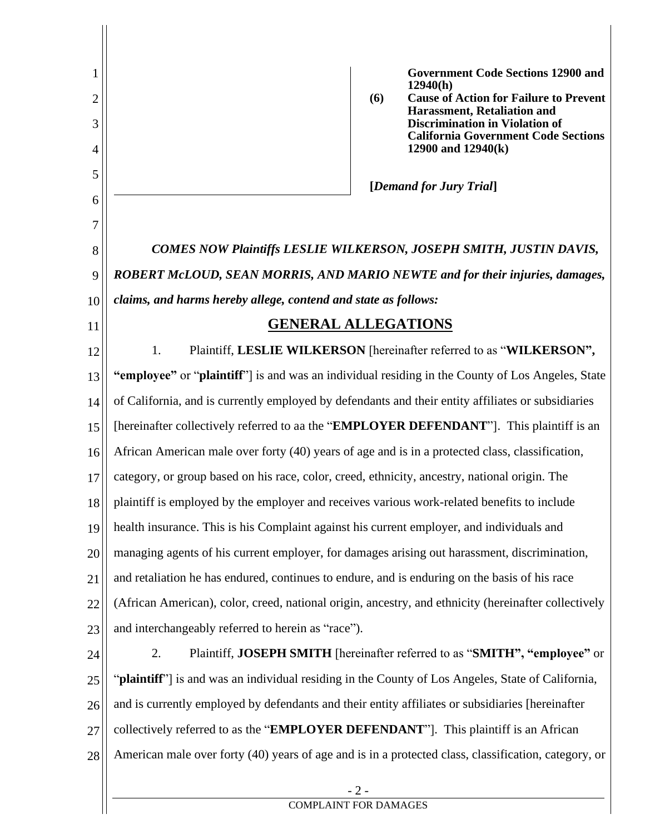| 1<br>$\overline{2}$<br>3<br>4 | <b>Government Code Sections 12900 and</b><br>12940(h)<br><b>Cause of Action for Failure to Prevent</b><br>(6)<br>Harassment, Retaliation and<br><b>Discrimination in Violation of</b><br><b>California Government Code Sections</b><br>12900 and $12940(k)$ |  |  |
|-------------------------------|-------------------------------------------------------------------------------------------------------------------------------------------------------------------------------------------------------------------------------------------------------------|--|--|
| 5                             |                                                                                                                                                                                                                                                             |  |  |
| 6                             | [Demand for Jury Trial]                                                                                                                                                                                                                                     |  |  |
| 7                             |                                                                                                                                                                                                                                                             |  |  |
| 8                             | <b>COMES NOW Plaintiffs LESLIE WILKERSON, JOSEPH SMITH, JUSTIN DAVIS,</b>                                                                                                                                                                                   |  |  |
| 9                             | ROBERT McLOUD, SEAN MORRIS, AND MARIO NEWTE and for their injuries, damages,                                                                                                                                                                                |  |  |
| 10                            | claims, and harms hereby allege, contend and state as follows:                                                                                                                                                                                              |  |  |
| 11                            | <b>GENERAL ALLEGATIONS</b>                                                                                                                                                                                                                                  |  |  |
| 12                            | Plaintiff, LESLIE WILKERSON [hereinafter referred to as "WILKERSON",<br>1.                                                                                                                                                                                  |  |  |
| 13                            | "employee" or "plaintiff"] is and was an individual residing in the County of Los Angeles, State                                                                                                                                                            |  |  |
| 14                            | of California, and is currently employed by defendants and their entity affiliates or subsidiaries                                                                                                                                                          |  |  |
| 15                            | [hereinafter collectively referred to aa the "EMPLOYER DEFENDANT"]. This plaintiff is an                                                                                                                                                                    |  |  |
| 16                            | African American male over forty (40) years of age and is in a protected class, classification,                                                                                                                                                             |  |  |
| 17                            | category, or group based on his race, color, creed, ethnicity, ancestry, national origin. The                                                                                                                                                               |  |  |
| 18                            | plaintiff is employed by the employer and receives various work-related benefits to include                                                                                                                                                                 |  |  |
| 19                            | health insurance. This is his Complaint against his current employer, and individuals and                                                                                                                                                                   |  |  |
| 20                            | managing agents of his current employer, for damages arising out harassment, discrimination,                                                                                                                                                                |  |  |
| 21                            | and retaliation he has endured, continues to endure, and is enduring on the basis of his race                                                                                                                                                               |  |  |
| 22                            | (African American), color, creed, national origin, ancestry, and ethnicity (hereinafter collectively                                                                                                                                                        |  |  |
| 23                            | and interchangeably referred to herein as "race").                                                                                                                                                                                                          |  |  |
| 24                            | Plaintiff, JOSEPH SMITH [hereinafter referred to as "SMITH", "employee" or<br>2.                                                                                                                                                                            |  |  |
| 25                            | "plaintiff"] is and was an individual residing in the County of Los Angeles, State of California,                                                                                                                                                           |  |  |
| 26                            | and is currently employed by defendants and their entity affiliates or subsidiaries [hereinafter]                                                                                                                                                           |  |  |
| 27                            | collectively referred to as the "EMPLOYER DEFENDANT"]. This plaintiff is an African                                                                                                                                                                         |  |  |
| 28                            | American male over forty (40) years of age and is in a protected class, classification, category, or                                                                                                                                                        |  |  |
|                               | $-2-$                                                                                                                                                                                                                                                       |  |  |

 $\parallel$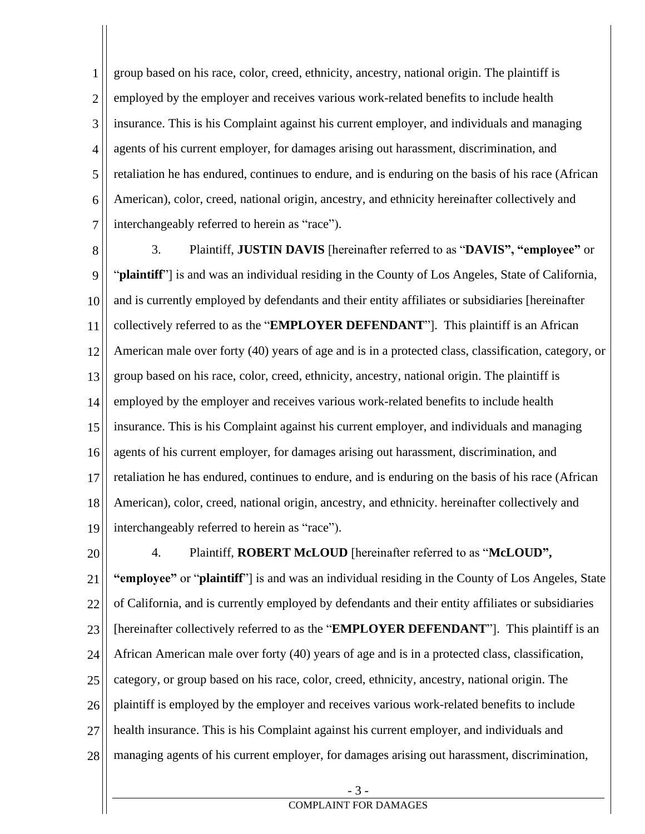1 2 3 4 5 6 7 group based on his race, color, creed, ethnicity, ancestry, national origin. The plaintiff is employed by the employer and receives various work-related benefits to include health insurance. This is his Complaint against his current employer, and individuals and managing agents of his current employer, for damages arising out harassment, discrimination, and retaliation he has endured, continues to endure, and is enduring on the basis of his race (African American), color, creed, national origin, ancestry, and ethnicity hereinafter collectively and interchangeably referred to herein as "race").

8 9 10 11 12 13 14 15 16 17 18 19 3. Plaintiff, **JUSTIN DAVIS** [hereinafter referred to as "**DAVIS", "employee"** or "**plaintiff**"] is and was an individual residing in the County of Los Angeles, State of California, and is currently employed by defendants and their entity affiliates or subsidiaries [hereinafter collectively referred to as the "**EMPLOYER DEFENDANT**"]. This plaintiff is an African American male over forty (40) years of age and is in a protected class, classification, category, or group based on his race, color, creed, ethnicity, ancestry, national origin. The plaintiff is employed by the employer and receives various work-related benefits to include health insurance. This is his Complaint against his current employer, and individuals and managing agents of his current employer, for damages arising out harassment, discrimination, and retaliation he has endured, continues to endure, and is enduring on the basis of his race (African American), color, creed, national origin, ancestry, and ethnicity. hereinafter collectively and interchangeably referred to herein as "race").

20 21 22 23 24 25 26 27 28 4. Plaintiff, **ROBERT McLOUD** [hereinafter referred to as "**McLOUD", "employee"** or "**plaintiff**"] is and was an individual residing in the County of Los Angeles, State of California, and is currently employed by defendants and their entity affiliates or subsidiaries [hereinafter collectively referred to as the "**EMPLOYER DEFENDANT**"]. This plaintiff is an African American male over forty (40) years of age and is in a protected class, classification, category, or group based on his race, color, creed, ethnicity, ancestry, national origin. The plaintiff is employed by the employer and receives various work-related benefits to include health insurance. This is his Complaint against his current employer, and individuals and managing agents of his current employer, for damages arising out harassment, discrimination,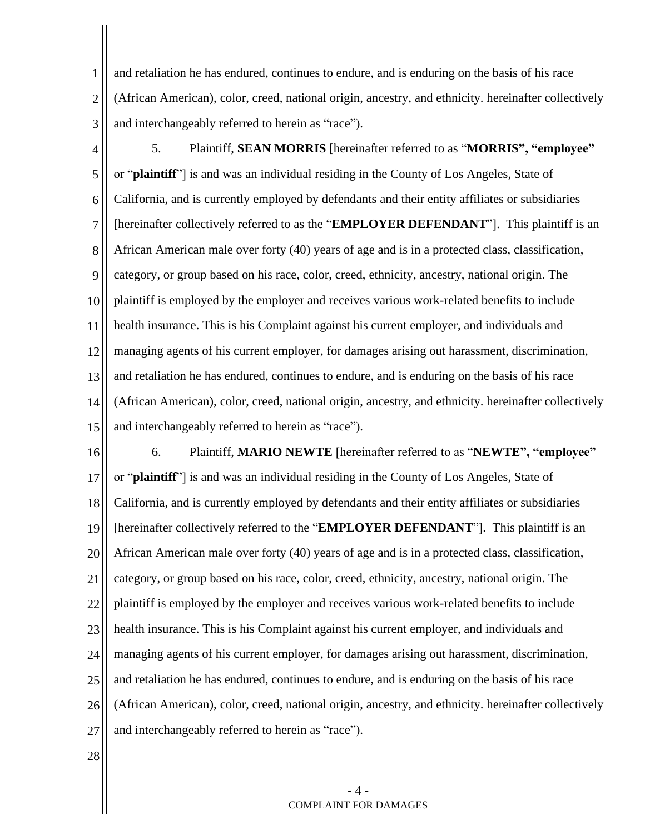1 2 3 and retaliation he has endured, continues to endure, and is enduring on the basis of his race (African American), color, creed, national origin, ancestry, and ethnicity. hereinafter collectively and interchangeably referred to herein as "race").

4 5 6 7 8 9 10 11 12 13 14 15 5. Plaintiff, **SEAN MORRIS** [hereinafter referred to as "**MORRIS", "employee"** or "**plaintiff**"] is and was an individual residing in the County of Los Angeles, State of California, and is currently employed by defendants and their entity affiliates or subsidiaries [hereinafter collectively referred to as the "**EMPLOYER DEFENDANT**"]. This plaintiff is an African American male over forty (40) years of age and is in a protected class, classification, category, or group based on his race, color, creed, ethnicity, ancestry, national origin. The plaintiff is employed by the employer and receives various work-related benefits to include health insurance. This is his Complaint against his current employer, and individuals and managing agents of his current employer, for damages arising out harassment, discrimination, and retaliation he has endured, continues to endure, and is enduring on the basis of his race (African American), color, creed, national origin, ancestry, and ethnicity. hereinafter collectively and interchangeably referred to herein as "race").

16 17 18 19 20 21 22 23 24 25 26 27 6. Plaintiff, **MARIO NEWTE** [hereinafter referred to as "**NEWTE", "employee"** or "**plaintiff**"] is and was an individual residing in the County of Los Angeles, State of California, and is currently employed by defendants and their entity affiliates or subsidiaries [hereinafter collectively referred to the "**EMPLOYER DEFENDANT**"]. This plaintiff is an African American male over forty (40) years of age and is in a protected class, classification, category, or group based on his race, color, creed, ethnicity, ancestry, national origin. The plaintiff is employed by the employer and receives various work-related benefits to include health insurance. This is his Complaint against his current employer, and individuals and managing agents of his current employer, for damages arising out harassment, discrimination, and retaliation he has endured, continues to endure, and is enduring on the basis of his race (African American), color, creed, national origin, ancestry, and ethnicity. hereinafter collectively and interchangeably referred to herein as "race").

28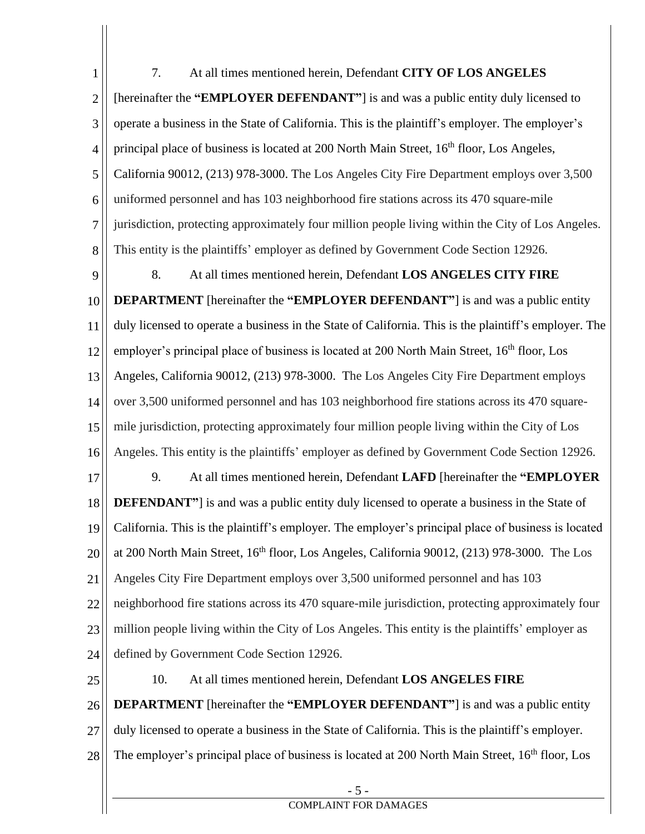1 2 3 4 5 6 7 8 9 10 11 12 13 14 15 16 17 18 19 20 21 22 23 24 25 26 27 28 - 5 - 7. At all times mentioned herein, Defendant **CITY OF LOS ANGELES** [hereinafter the **"EMPLOYER DEFENDANT"**] is and was a public entity duly licensed to operate a business in the State of California. This is the plaintiff's employer. The employer's principal place of business is located at 200 North Main Street,  $16<sup>th</sup>$  floor, Los Angeles, California 90012, (213) 978-3000. The Los Angeles City Fire Department employs over 3,500 uniformed personnel and has 103 neighborhood fire stations across its 470 square-mile jurisdiction, protecting approximately four million people living within the City of Los Angeles. This entity is the plaintiffs' employer as defined by Government Code Section 12926. 8. At all times mentioned herein, Defendant **LOS ANGELES CITY FIRE DEPARTMENT** [hereinafter the **"EMPLOYER DEFENDANT"**] is and was a public entity duly licensed to operate a business in the State of California. This is the plaintiff's employer. The employer's principal place of business is located at 200 North Main Street, 16<sup>th</sup> floor, Los Angeles, California 90012, (213) 978-3000. The Los Angeles City Fire Department employs over 3,500 uniformed personnel and has 103 neighborhood fire stations across its 470 squaremile jurisdiction, protecting approximately four million people living within the City of Los Angeles. This entity is the plaintiffs' employer as defined by Government Code Section 12926. 9. At all times mentioned herein, Defendant **LAFD** [hereinafter the **"EMPLOYER DEFENDANT"** is and was a public entity duly licensed to operate a business in the State of California. This is the plaintiff's employer. The employer's principal place of business is located at 200 North Main Street,  $16<sup>th</sup>$  floor, Los Angeles, California 90012, (213) 978-3000. The Los Angeles City Fire Department employs over 3,500 uniformed personnel and has 103 neighborhood fire stations across its 470 square-mile jurisdiction, protecting approximately four million people living within the City of Los Angeles. This entity is the plaintiffs' employer as defined by Government Code Section 12926. 10. At all times mentioned herein, Defendant **LOS ANGELES FIRE DEPARTMENT** [hereinafter the **"EMPLOYER DEFENDANT"**] is and was a public entity duly licensed to operate a business in the State of California. This is the plaintiff's employer. The employer's principal place of business is located at 200 North Main Street, 16<sup>th</sup> floor, Los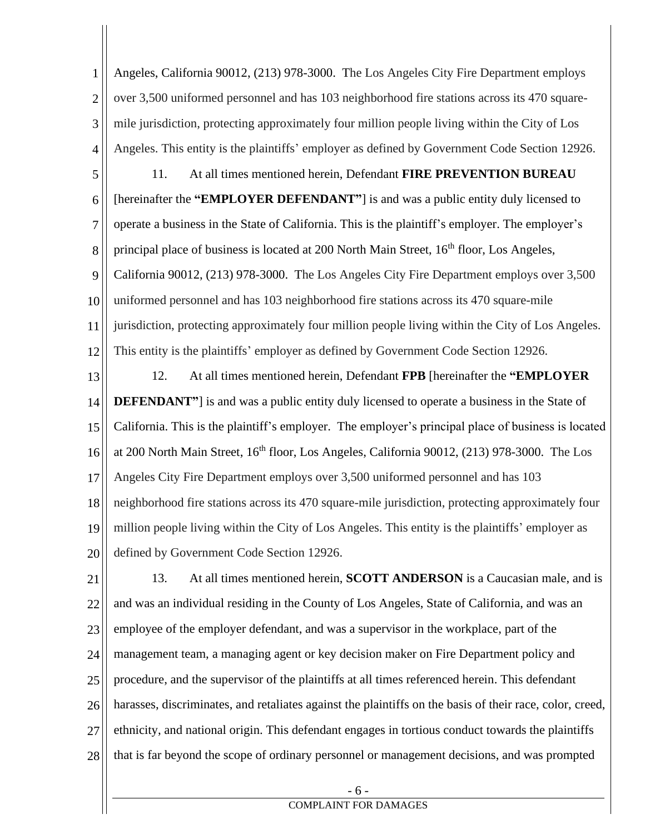1 2 3 4 Angeles, California 90012, (213) 978-3000. The Los Angeles City Fire Department employs over 3,500 uniformed personnel and has 103 neighborhood fire stations across its 470 squaremile jurisdiction, protecting approximately four million people living within the City of Los Angeles. This entity is the plaintiffs' employer as defined by Government Code Section 12926.

5 6 7 8 9 10 11 12 11. At all times mentioned herein, Defendant **FIRE PREVENTION BUREAU** [hereinafter the **"EMPLOYER DEFENDANT"**] is and was a public entity duly licensed to operate a business in the State of California. This is the plaintiff's employer. The employer's principal place of business is located at  $200$  North Main Street,  $16<sup>th</sup>$  floor, Los Angeles, California 90012, (213) 978-3000. The Los Angeles City Fire Department employs over 3,500 uniformed personnel and has 103 neighborhood fire stations across its 470 square-mile jurisdiction, protecting approximately four million people living within the City of Los Angeles. This entity is the plaintiffs' employer as defined by Government Code Section 12926.

13 14 15 16 17 18 19 20 12. At all times mentioned herein, Defendant **FPB** [hereinafter the **"EMPLOYER DEFENDANT"** is and was a public entity duly licensed to operate a business in the State of California. This is the plaintiff's employer. The employer's principal place of business is located at 200 North Main Street, 16<sup>th</sup> floor, Los Angeles, California 90012, (213) 978-3000. The Los Angeles City Fire Department employs over 3,500 uniformed personnel and has 103 neighborhood fire stations across its 470 square-mile jurisdiction, protecting approximately four million people living within the City of Los Angeles. This entity is the plaintiffs' employer as defined by Government Code Section 12926.

21 22 23 24 25 26 27 28 13. At all times mentioned herein, **SCOTT ANDERSON** is a Caucasian male, and is and was an individual residing in the County of Los Angeles, State of California, and was an employee of the employer defendant, and was a supervisor in the workplace, part of the management team, a managing agent or key decision maker on Fire Department policy and procedure, and the supervisor of the plaintiffs at all times referenced herein. This defendant harasses, discriminates, and retaliates against the plaintiffs on the basis of their race, color, creed, ethnicity, and national origin. This defendant engages in tortious conduct towards the plaintiffs that is far beyond the scope of ordinary personnel or management decisions, and was prompted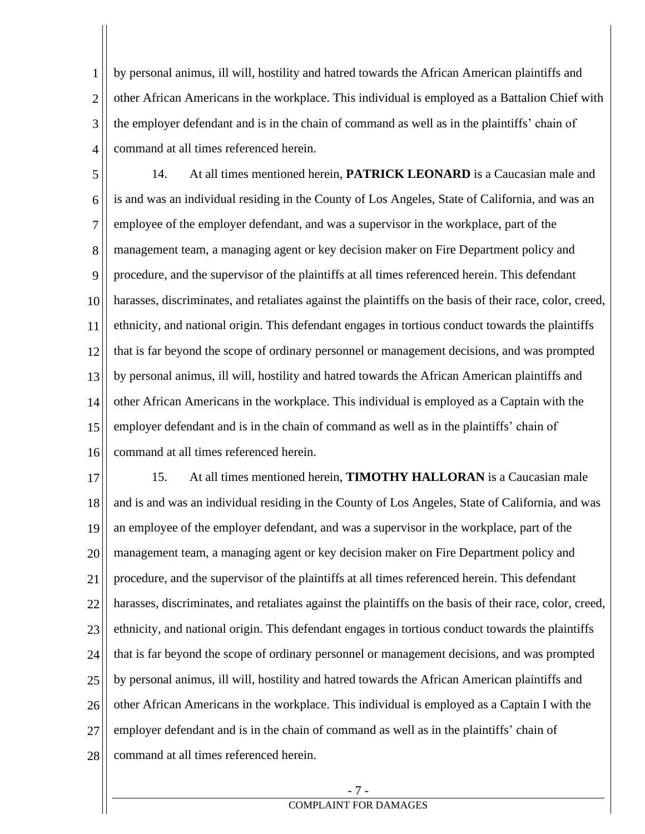1 2 3 4 by personal animus, ill will, hostility and hatred towards the African American plaintiffs and other African Americans in the workplace. This individual is employed as a Battalion Chief with the employer defendant and is in the chain of command as well as in the plaintiffs' chain of command at all times referenced herein.

5 6 7 8 9 10 11 12 13 14 15 16 14. At all times mentioned herein, **PATRICK LEONARD** is a Caucasian male and is and was an individual residing in the County of Los Angeles, State of California, and was an employee of the employer defendant, and was a supervisor in the workplace, part of the management team, a managing agent or key decision maker on Fire Department policy and procedure, and the supervisor of the plaintiffs at all times referenced herein. This defendant harasses, discriminates, and retaliates against the plaintiffs on the basis of their race, color, creed, ethnicity, and national origin. This defendant engages in tortious conduct towards the plaintiffs that is far beyond the scope of ordinary personnel or management decisions, and was prompted by personal animus, ill will, hostility and hatred towards the African American plaintiffs and other African Americans in the workplace. This individual is employed as a Captain with the employer defendant and is in the chain of command as well as in the plaintiffs' chain of command at all times referenced herein.

17 18 19 20 21 22 23 24 25 26 27 28 15. At all times mentioned herein, **TIMOTHY HALLORAN** is a Caucasian male and is and was an individual residing in the County of Los Angeles, State of California, and was an employee of the employer defendant, and was a supervisor in the workplace, part of the management team, a managing agent or key decision maker on Fire Department policy and procedure, and the supervisor of the plaintiffs at all times referenced herein. This defendant harasses, discriminates, and retaliates against the plaintiffs on the basis of their race, color, creed, ethnicity, and national origin. This defendant engages in tortious conduct towards the plaintiffs that is far beyond the scope of ordinary personnel or management decisions, and was prompted by personal animus, ill will, hostility and hatred towards the African American plaintiffs and other African Americans in the workplace. This individual is employed as a Captain I with the employer defendant and is in the chain of command as well as in the plaintiffs' chain of command at all times referenced herein.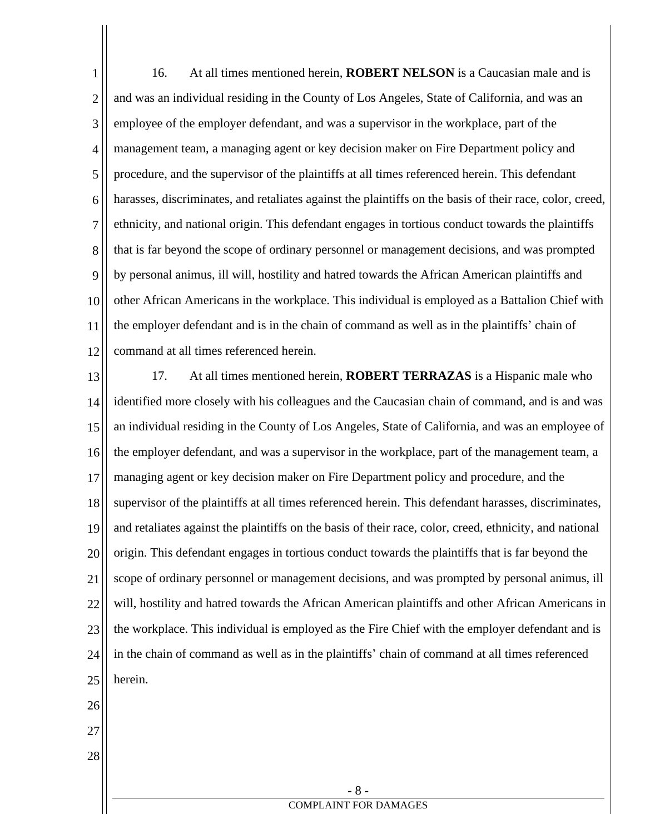1 2 3 4 5 6 7 8 9 10 11 12 16. At all times mentioned herein, **ROBERT NELSON** is a Caucasian male and is and was an individual residing in the County of Los Angeles, State of California, and was an employee of the employer defendant, and was a supervisor in the workplace, part of the management team, a managing agent or key decision maker on Fire Department policy and procedure, and the supervisor of the plaintiffs at all times referenced herein. This defendant harasses, discriminates, and retaliates against the plaintiffs on the basis of their race, color, creed, ethnicity, and national origin. This defendant engages in tortious conduct towards the plaintiffs that is far beyond the scope of ordinary personnel or management decisions, and was prompted by personal animus, ill will, hostility and hatred towards the African American plaintiffs and other African Americans in the workplace. This individual is employed as a Battalion Chief with the employer defendant and is in the chain of command as well as in the plaintiffs' chain of command at all times referenced herein.

13 14 15 16 17 18 19 20 21 22 23 24 25 26 27 17. At all times mentioned herein, **ROBERT TERRAZAS** is a Hispanic male who identified more closely with his colleagues and the Caucasian chain of command, and is and was an individual residing in the County of Los Angeles, State of California, and was an employee of the employer defendant, and was a supervisor in the workplace, part of the management team, a managing agent or key decision maker on Fire Department policy and procedure, and the supervisor of the plaintiffs at all times referenced herein. This defendant harasses, discriminates, and retaliates against the plaintiffs on the basis of their race, color, creed, ethnicity, and national origin. This defendant engages in tortious conduct towards the plaintiffs that is far beyond the scope of ordinary personnel or management decisions, and was prompted by personal animus, ill will, hostility and hatred towards the African American plaintiffs and other African Americans in the workplace. This individual is employed as the Fire Chief with the employer defendant and is in the chain of command as well as in the plaintiffs' chain of command at all times referenced herein.

> - 8 - COMPLAINT FOR DAMAGES

28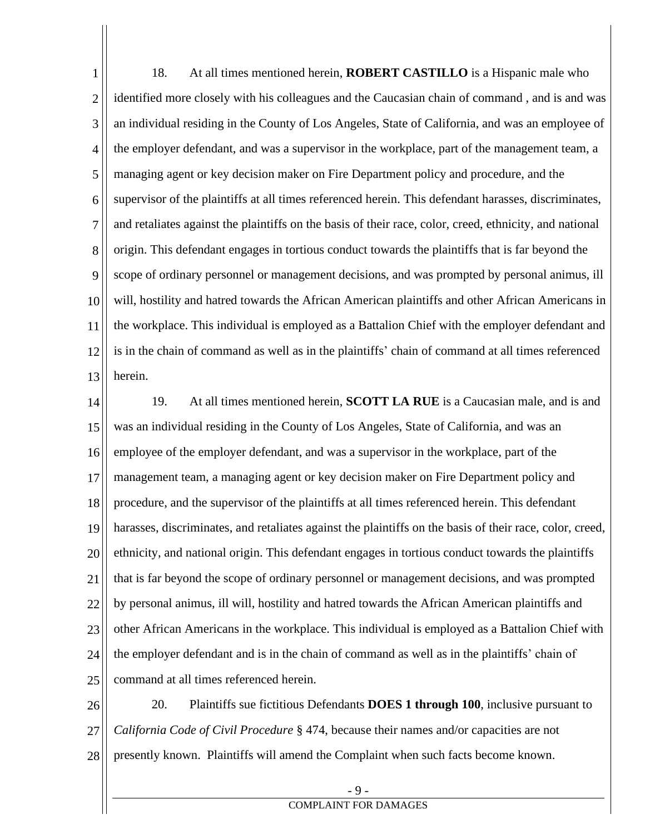1 2 3 4 5 6 7 8 9 10 11 12 13 18. At all times mentioned herein, **ROBERT CASTILLO** is a Hispanic male who identified more closely with his colleagues and the Caucasian chain of command , and is and was an individual residing in the County of Los Angeles, State of California, and was an employee of the employer defendant, and was a supervisor in the workplace, part of the management team, a managing agent or key decision maker on Fire Department policy and procedure, and the supervisor of the plaintiffs at all times referenced herein. This defendant harasses, discriminates, and retaliates against the plaintiffs on the basis of their race, color, creed, ethnicity, and national origin. This defendant engages in tortious conduct towards the plaintiffs that is far beyond the scope of ordinary personnel or management decisions, and was prompted by personal animus, ill will, hostility and hatred towards the African American plaintiffs and other African Americans in the workplace. This individual is employed as a Battalion Chief with the employer defendant and is in the chain of command as well as in the plaintiffs' chain of command at all times referenced herein.

14 15 16 17 18 19 20 21 22 23 24 25 19. At all times mentioned herein, **SCOTT LA RUE** is a Caucasian male, and is and was an individual residing in the County of Los Angeles, State of California, and was an employee of the employer defendant, and was a supervisor in the workplace, part of the management team, a managing agent or key decision maker on Fire Department policy and procedure, and the supervisor of the plaintiffs at all times referenced herein. This defendant harasses, discriminates, and retaliates against the plaintiffs on the basis of their race, color, creed, ethnicity, and national origin. This defendant engages in tortious conduct towards the plaintiffs that is far beyond the scope of ordinary personnel or management decisions, and was prompted by personal animus, ill will, hostility and hatred towards the African American plaintiffs and other African Americans in the workplace. This individual is employed as a Battalion Chief with the employer defendant and is in the chain of command as well as in the plaintiffs' chain of command at all times referenced herein.

26 27 28 20. Plaintiffs sue fictitious Defendants **DOES 1 through 100**, inclusive pursuant to *California Code of Civil Procedure* § 474, because their names and/or capacities are not presently known. Plaintiffs will amend the Complaint when such facts become known.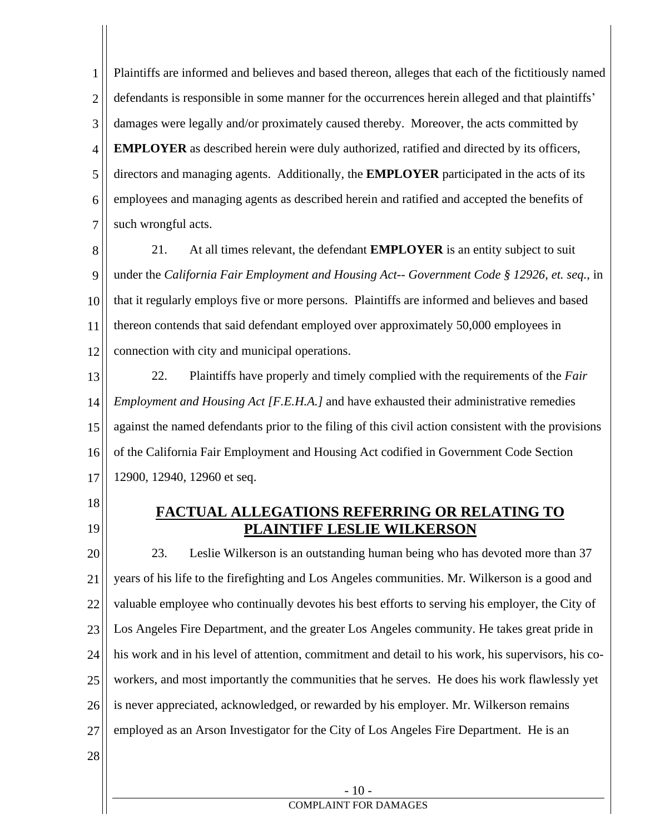1 2 3 4 5 6 7 Plaintiffs are informed and believes and based thereon, alleges that each of the fictitiously named defendants is responsible in some manner for the occurrences herein alleged and that plaintiffs' damages were legally and/or proximately caused thereby. Moreover, the acts committed by **EMPLOYER** as described herein were duly authorized, ratified and directed by its officers, directors and managing agents. Additionally, the **EMPLOYER** participated in the acts of its employees and managing agents as described herein and ratified and accepted the benefits of such wrongful acts.

8 9 10 11 12 21. At all times relevant, the defendant **EMPLOYER** is an entity subject to suit under the *California Fair Employment and Housing Act*-- *Government Code § 12926, et. seq.*, in that it regularly employs five or more persons. Plaintiffs are informed and believes and based thereon contends that said defendant employed over approximately 50,000 employees in connection with city and municipal operations.

13 14 15 16 17 22. Plaintiffs have properly and timely complied with the requirements of the *Fair Employment and Housing Act [F.E.H.A.]* and have exhausted their administrative remedies against the named defendants prior to the filing of this civil action consistent with the provisions of the California Fair Employment and Housing Act codified in Government Code Section 12900, 12940, 12960 et seq.

- 18
- 19

# **FACTUAL ALLEGATIONS REFERRING OR RELATING TO PLAINTIFF LESLIE WILKERSON**

20 21 22 23 24 25 26 27 23. Leslie Wilkerson is an outstanding human being who has devoted more than 37 years of his life to the firefighting and Los Angeles communities. Mr. Wilkerson is a good and valuable employee who continually devotes his best efforts to serving his employer, the City of Los Angeles Fire Department, and the greater Los Angeles community. He takes great pride in his work and in his level of attention, commitment and detail to his work, his supervisors, his coworkers, and most importantly the communities that he serves. He does his work flawlessly yet is never appreciated, acknowledged, or rewarded by his employer. Mr. Wilkerson remains employed as an Arson Investigator for the City of Los Angeles Fire Department. He is an

28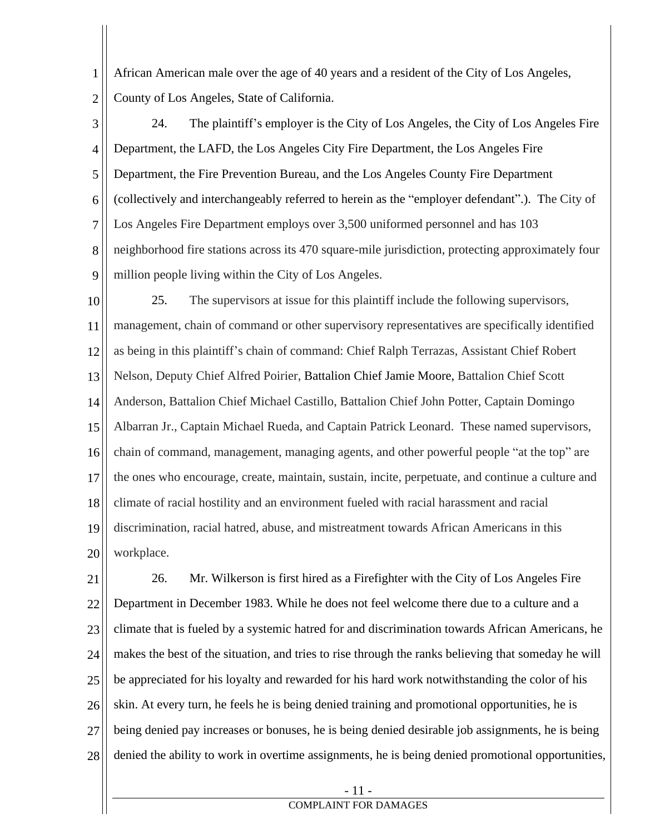1 2 African American male over the age of 40 years and a resident of the City of Los Angeles, County of Los Angeles, State of California.

3 4 5 6 7 8 9 24. The plaintiff's employer is the City of Los Angeles, the City of Los Angeles Fire Department, the LAFD, the Los Angeles City Fire Department, the Los Angeles Fire Department, the Fire Prevention Bureau, and the Los Angeles County Fire Department (collectively and interchangeably referred to herein as the "employer defendant".). The City of Los Angeles Fire Department employs over 3,500 uniformed personnel and has 103 neighborhood fire stations across its 470 square-mile jurisdiction, protecting approximately four million people living within the City of Los Angeles.

10 11 12 13 14 15 16 17 18 19 20 25. The supervisors at issue for this plaintiff include the following supervisors, management, chain of command or other supervisory representatives are specifically identified as being in this plaintiff's chain of command: Chief Ralph Terrazas, Assistant Chief Robert Nelson, Deputy Chief Alfred Poirier, Battalion Chief Jamie Moore, Battalion Chief Scott Anderson, Battalion Chief Michael Castillo, Battalion Chief John Potter, Captain Domingo Albarran Jr., Captain Michael Rueda, and Captain Patrick Leonard. These named supervisors, chain of command, management, managing agents, and other powerful people "at the top" are the ones who encourage, create, maintain, sustain, incite, perpetuate, and continue a culture and climate of racial hostility and an environment fueled with racial harassment and racial discrimination, racial hatred, abuse, and mistreatment towards African Americans in this workplace.

21 22 23 24 25 26 27 28 26. Mr. Wilkerson is first hired as a Firefighter with the City of Los Angeles Fire Department in December 1983. While he does not feel welcome there due to a culture and a climate that is fueled by a systemic hatred for and discrimination towards African Americans, he makes the best of the situation, and tries to rise through the ranks believing that someday he will be appreciated for his loyalty and rewarded for his hard work notwithstanding the color of his skin. At every turn, he feels he is being denied training and promotional opportunities, he is being denied pay increases or bonuses, he is being denied desirable job assignments, he is being denied the ability to work in overtime assignments, he is being denied promotional opportunities,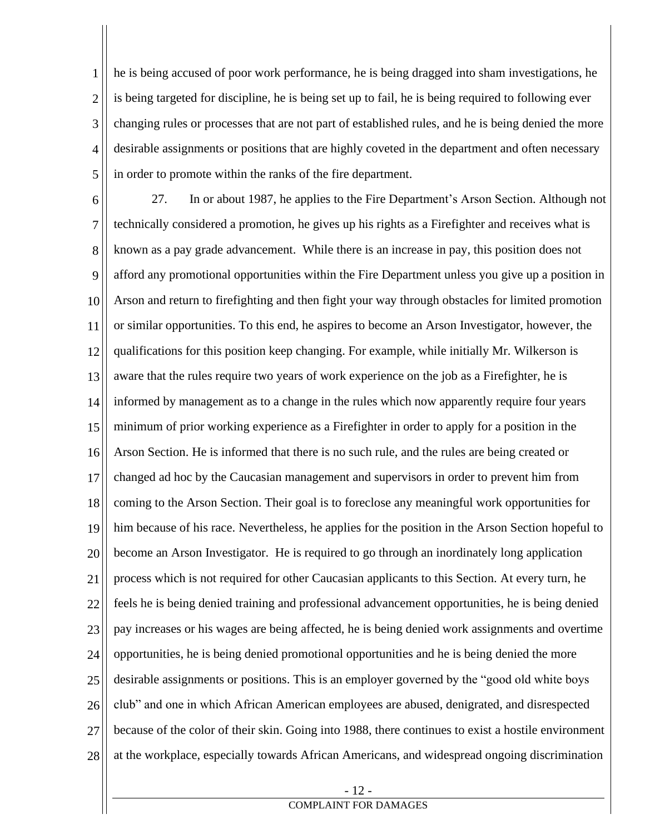1 2 3 4 5 he is being accused of poor work performance, he is being dragged into sham investigations, he is being targeted for discipline, he is being set up to fail, he is being required to following ever changing rules or processes that are not part of established rules, and he is being denied the more desirable assignments or positions that are highly coveted in the department and often necessary in order to promote within the ranks of the fire department.

6 7 8 9 10 11 12 13 14 15 16 17 18 19 20 21 22 23 24 25 26 27 28 27. In or about 1987, he applies to the Fire Department's Arson Section. Although not technically considered a promotion, he gives up his rights as a Firefighter and receives what is known as a pay grade advancement. While there is an increase in pay, this position does not afford any promotional opportunities within the Fire Department unless you give up a position in Arson and return to firefighting and then fight your way through obstacles for limited promotion or similar opportunities. To this end, he aspires to become an Arson Investigator, however, the qualifications for this position keep changing. For example, while initially Mr. Wilkerson is aware that the rules require two years of work experience on the job as a Firefighter, he is informed by management as to a change in the rules which now apparently require four years minimum of prior working experience as a Firefighter in order to apply for a position in the Arson Section. He is informed that there is no such rule, and the rules are being created or changed ad hoc by the Caucasian management and supervisors in order to prevent him from coming to the Arson Section. Their goal is to foreclose any meaningful work opportunities for him because of his race. Nevertheless, he applies for the position in the Arson Section hopeful to become an Arson Investigator. He is required to go through an inordinately long application process which is not required for other Caucasian applicants to this Section. At every turn, he feels he is being denied training and professional advancement opportunities, he is being denied pay increases or his wages are being affected, he is being denied work assignments and overtime opportunities, he is being denied promotional opportunities and he is being denied the more desirable assignments or positions. This is an employer governed by the "good old white boys club" and one in which African American employees are abused, denigrated, and disrespected because of the color of their skin. Going into 1988, there continues to exist a hostile environment at the workplace, especially towards African Americans, and widespread ongoing discrimination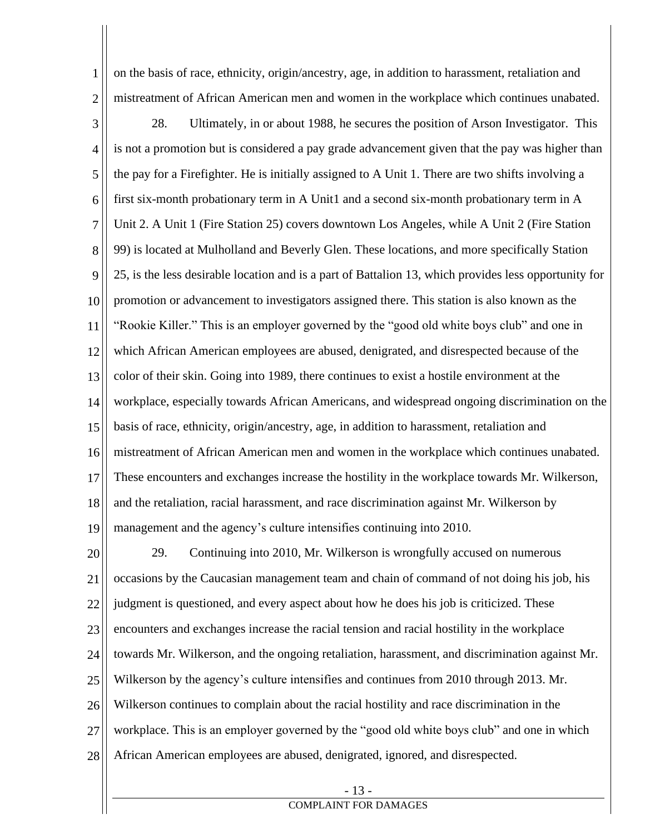1 2 on the basis of race, ethnicity, origin/ancestry, age, in addition to harassment, retaliation and mistreatment of African American men and women in the workplace which continues unabated.

3 4 5 6 7 8 9 10 11 12 13 14 15 16 17 18 19 28. Ultimately, in or about 1988, he secures the position of Arson Investigator. This is not a promotion but is considered a pay grade advancement given that the pay was higher than the pay for a Firefighter. He is initially assigned to A Unit 1. There are two shifts involving a first six-month probationary term in A Unit1 and a second six-month probationary term in A Unit 2. A Unit 1 (Fire Station 25) covers downtown Los Angeles, while A Unit 2 (Fire Station 99) is located at Mulholland and Beverly Glen. These locations, and more specifically Station 25, is the less desirable location and is a part of Battalion 13, which provides less opportunity for promotion or advancement to investigators assigned there. This station is also known as the "Rookie Killer." This is an employer governed by the "good old white boys club" and one in which African American employees are abused, denigrated, and disrespected because of the color of their skin. Going into 1989, there continues to exist a hostile environment at the workplace, especially towards African Americans, and widespread ongoing discrimination on the basis of race, ethnicity, origin/ancestry, age, in addition to harassment, retaliation and mistreatment of African American men and women in the workplace which continues unabated. These encounters and exchanges increase the hostility in the workplace towards Mr. Wilkerson, and the retaliation, racial harassment, and race discrimination against Mr. Wilkerson by management and the agency's culture intensifies continuing into 2010.

20 21 22 23 24 25 26 27 28 29. Continuing into 2010, Mr. Wilkerson is wrongfully accused on numerous occasions by the Caucasian management team and chain of command of not doing his job, his judgment is questioned, and every aspect about how he does his job is criticized. These encounters and exchanges increase the racial tension and racial hostility in the workplace towards Mr. Wilkerson, and the ongoing retaliation, harassment, and discrimination against Mr. Wilkerson by the agency's culture intensifies and continues from 2010 through 2013. Mr. Wilkerson continues to complain about the racial hostility and race discrimination in the workplace. This is an employer governed by the "good old white boys club" and one in which African American employees are abused, denigrated, ignored, and disrespected.

#### - 13 -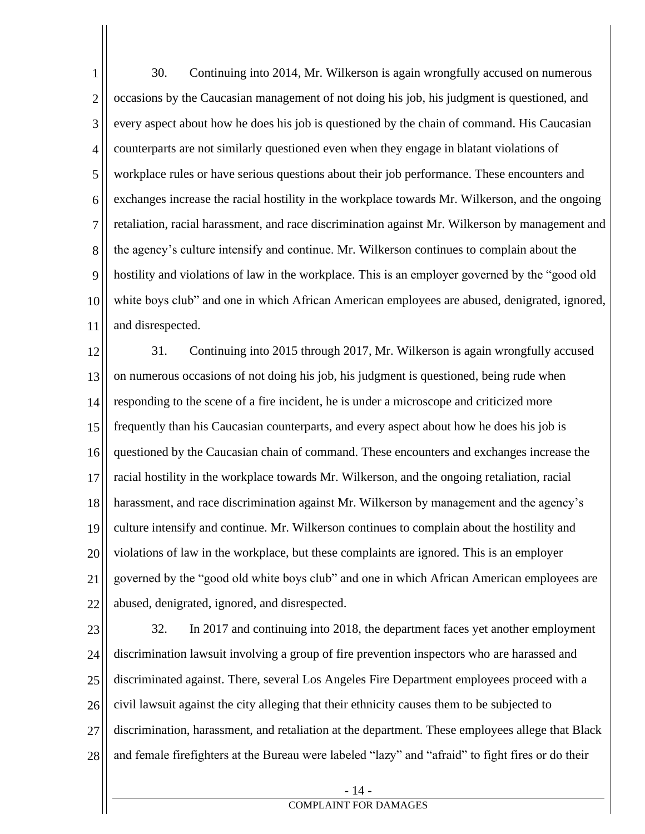1 2 3 4 5 6 7 8 9 10 11 30. Continuing into 2014, Mr. Wilkerson is again wrongfully accused on numerous occasions by the Caucasian management of not doing his job, his judgment is questioned, and every aspect about how he does his job is questioned by the chain of command. His Caucasian counterparts are not similarly questioned even when they engage in blatant violations of workplace rules or have serious questions about their job performance. These encounters and exchanges increase the racial hostility in the workplace towards Mr. Wilkerson, and the ongoing retaliation, racial harassment, and race discrimination against Mr. Wilkerson by management and the agency's culture intensify and continue. Mr. Wilkerson continues to complain about the hostility and violations of law in the workplace. This is an employer governed by the "good old white boys club" and one in which African American employees are abused, denigrated, ignored, and disrespected.

12 13 14 15 16 17 18 19 20 21 22 31. Continuing into 2015 through 2017, Mr. Wilkerson is again wrongfully accused on numerous occasions of not doing his job, his judgment is questioned, being rude when responding to the scene of a fire incident, he is under a microscope and criticized more frequently than his Caucasian counterparts, and every aspect about how he does his job is questioned by the Caucasian chain of command. These encounters and exchanges increase the racial hostility in the workplace towards Mr. Wilkerson, and the ongoing retaliation, racial harassment, and race discrimination against Mr. Wilkerson by management and the agency's culture intensify and continue. Mr. Wilkerson continues to complain about the hostility and violations of law in the workplace, but these complaints are ignored. This is an employer governed by the "good old white boys club" and one in which African American employees are abused, denigrated, ignored, and disrespected.

23 24 25 26 27 28 32. In 2017 and continuing into 2018, the department faces yet another employment discrimination lawsuit involving a group of fire prevention inspectors who are harassed and discriminated against. There, several Los Angeles Fire Department employees proceed with a civil lawsuit against the city alleging that their ethnicity causes them to be subjected to discrimination, harassment, and retaliation at the department. These employees allege that Black and female firefighters at the Bureau were labeled "lazy" and "afraid" to fight fires or do their

### - 14 -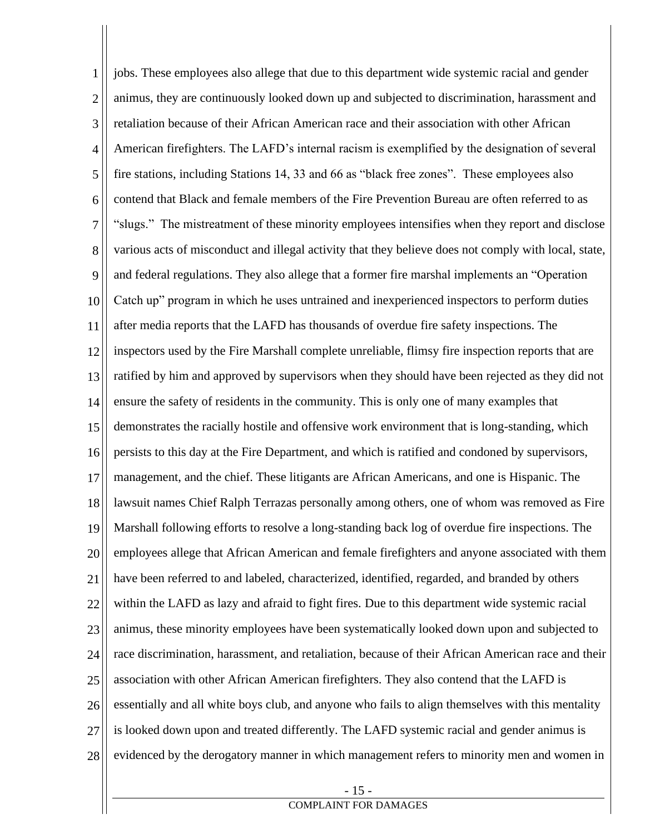1 2 3 4 5 6 7 8 9 10 11 12 13 14 15 16 17 18 19 20 21 22 23 24 25 26 27 28 jobs. These employees also allege that due to this department wide systemic racial and gender animus, they are continuously looked down up and subjected to discrimination, harassment and retaliation because of their African American race and their association with other African American firefighters. The LAFD's internal racism is exemplified by the designation of several fire stations, including Stations 14, 33 and 66 as "black free zones". These employees also contend that Black and female members of the Fire Prevention Bureau are often referred to as "slugs." The mistreatment of these minority employees intensifies when they report and disclose various acts of misconduct and illegal activity that they believe does not comply with local, state, and federal regulations. They also allege that a former fire marshal implements an "Operation Catch up" program in which he uses untrained and inexperienced inspectors to perform duties after media reports that the LAFD has thousands of overdue fire safety inspections. The inspectors used by the Fire Marshall complete unreliable, flimsy fire inspection reports that are ratified by him and approved by supervisors when they should have been rejected as they did not ensure the safety of residents in the community. This is only one of many examples that demonstrates the racially hostile and offensive work environment that is long-standing, which persists to this day at the Fire Department, and which is ratified and condoned by supervisors, management, and the chief. These litigants are African Americans, and one is Hispanic. The lawsuit names Chief Ralph Terrazas personally among others, one of whom was removed as Fire Marshall following efforts to resolve a long-standing back log of overdue fire inspections. The employees allege that African American and female firefighters and anyone associated with them have been referred to and labeled, characterized, identified, regarded, and branded by others within the LAFD as lazy and afraid to fight fires. Due to this department wide systemic racial animus, these minority employees have been systematically looked down upon and subjected to race discrimination, harassment, and retaliation, because of their African American race and their association with other African American firefighters. They also contend that the LAFD is essentially and all white boys club, and anyone who fails to align themselves with this mentality is looked down upon and treated differently. The LAFD systemic racial and gender animus is evidenced by the derogatory manner in which management refers to minority men and women in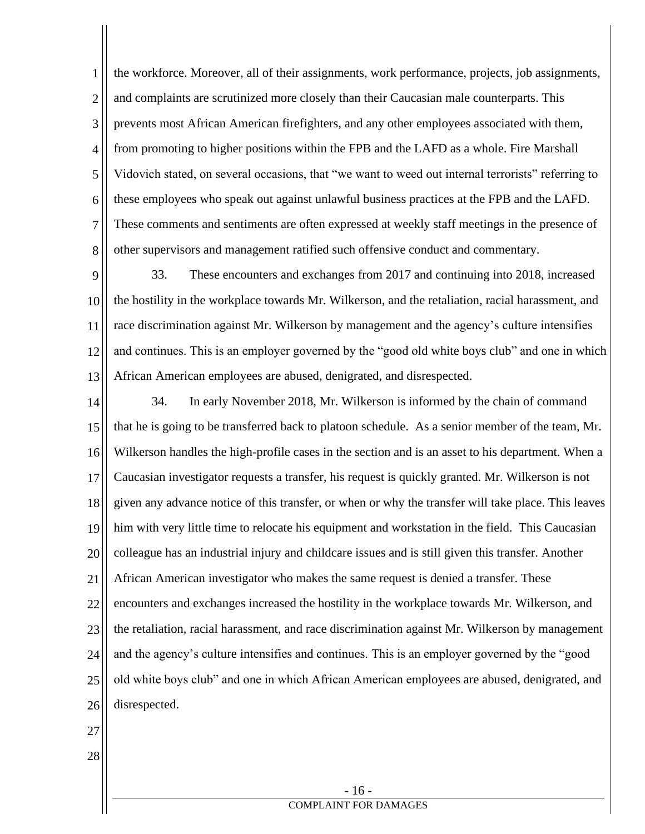1 2 3 4 5 6 7 8 the workforce. Moreover, all of their assignments, work performance, projects, job assignments, and complaints are scrutinized more closely than their Caucasian male counterparts. This prevents most African American firefighters, and any other employees associated with them, from promoting to higher positions within the FPB and the LAFD as a whole. Fire Marshall Vidovich stated, on several occasions, that "we want to weed out internal terrorists" referring to these employees who speak out against unlawful business practices at the FPB and the LAFD. These comments and sentiments are often expressed at weekly staff meetings in the presence of other supervisors and management ratified such offensive conduct and commentary.

9 10 11 12 13 33. These encounters and exchanges from 2017 and continuing into 2018, increased the hostility in the workplace towards Mr. Wilkerson, and the retaliation, racial harassment, and race discrimination against Mr. Wilkerson by management and the agency's culture intensifies and continues. This is an employer governed by the "good old white boys club" and one in which African American employees are abused, denigrated, and disrespected.

14 15 16 17 18 19 20 21 22 23 24 25 26 34. In early November 2018, Mr. Wilkerson is informed by the chain of command that he is going to be transferred back to platoon schedule. As a senior member of the team, Mr. Wilkerson handles the high-profile cases in the section and is an asset to his department. When a Caucasian investigator requests a transfer, his request is quickly granted. Mr. Wilkerson is not given any advance notice of this transfer, or when or why the transfer will take place. This leaves him with very little time to relocate his equipment and workstation in the field. This Caucasian colleague has an industrial injury and childcare issues and is still given this transfer. Another African American investigator who makes the same request is denied a transfer. These encounters and exchanges increased the hostility in the workplace towards Mr. Wilkerson, and the retaliation, racial harassment, and race discrimination against Mr. Wilkerson by management and the agency's culture intensifies and continues. This is an employer governed by the "good old white boys club" and one in which African American employees are abused, denigrated, and disrespected.

- 27
- 28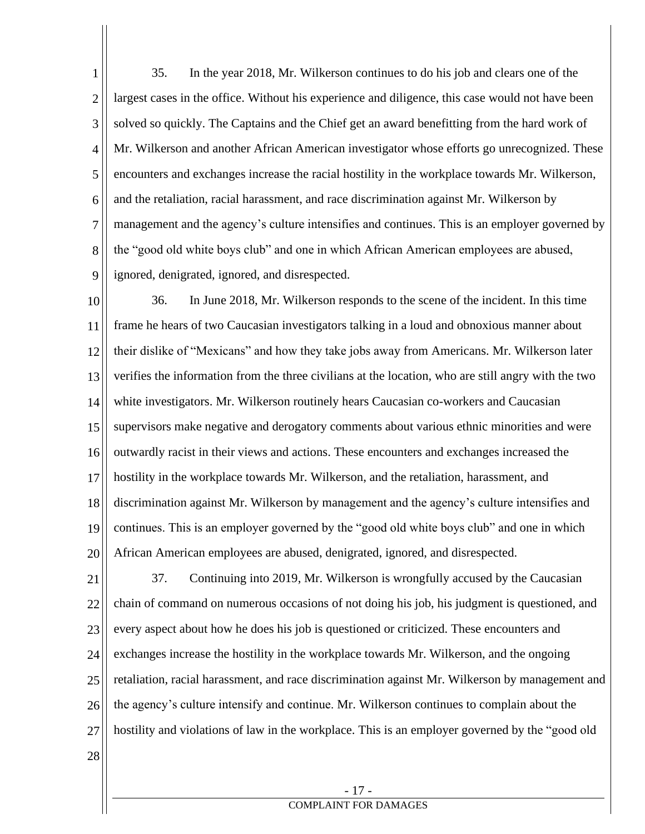1 2 3 4 5 6 7 8 9 35. In the year 2018, Mr. Wilkerson continues to do his job and clears one of the largest cases in the office. Without his experience and diligence, this case would not have been solved so quickly. The Captains and the Chief get an award benefitting from the hard work of Mr. Wilkerson and another African American investigator whose efforts go unrecognized. These encounters and exchanges increase the racial hostility in the workplace towards Mr. Wilkerson, and the retaliation, racial harassment, and race discrimination against Mr. Wilkerson by management and the agency's culture intensifies and continues. This is an employer governed by the "good old white boys club" and one in which African American employees are abused, ignored, denigrated, ignored, and disrespected.

10 11 12 13 14 15 16 17 18 19 20 36. In June 2018, Mr. Wilkerson responds to the scene of the incident. In this time frame he hears of two Caucasian investigators talking in a loud and obnoxious manner about their dislike of "Mexicans" and how they take jobs away from Americans. Mr. Wilkerson later verifies the information from the three civilians at the location, who are still angry with the two white investigators. Mr. Wilkerson routinely hears Caucasian co-workers and Caucasian supervisors make negative and derogatory comments about various ethnic minorities and were outwardly racist in their views and actions. These encounters and exchanges increased the hostility in the workplace towards Mr. Wilkerson, and the retaliation, harassment, and discrimination against Mr. Wilkerson by management and the agency's culture intensifies and continues. This is an employer governed by the "good old white boys club" and one in which African American employees are abused, denigrated, ignored, and disrespected.

21 22 23 24 25 26 27 37. Continuing into 2019, Mr. Wilkerson is wrongfully accused by the Caucasian chain of command on numerous occasions of not doing his job, his judgment is questioned, and every aspect about how he does his job is questioned or criticized. These encounters and exchanges increase the hostility in the workplace towards Mr. Wilkerson, and the ongoing retaliation, racial harassment, and race discrimination against Mr. Wilkerson by management and the agency's culture intensify and continue. Mr. Wilkerson continues to complain about the hostility and violations of law in the workplace. This is an employer governed by the "good old

28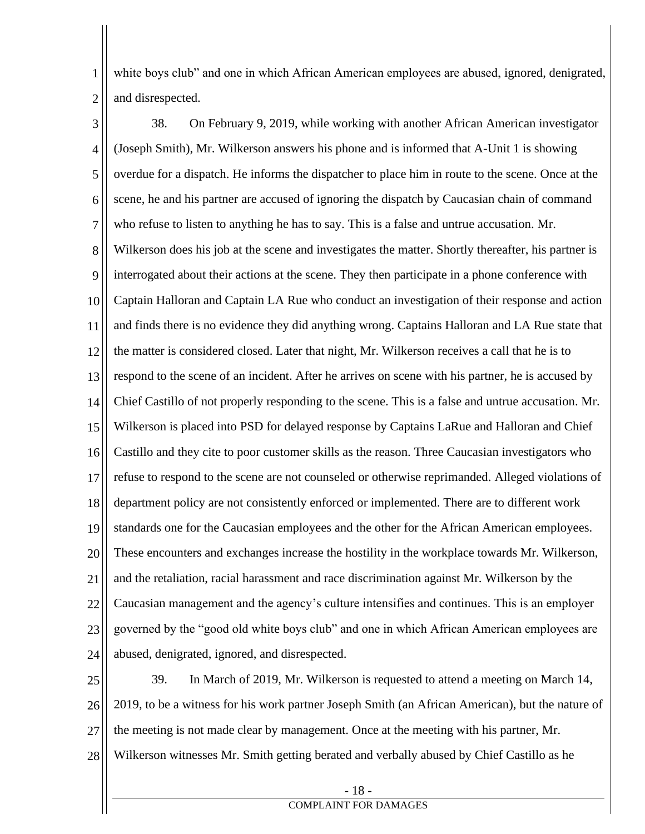1 2 white boys club" and one in which African American employees are abused, ignored, denigrated, and disrespected.

3 4 5 6 7 8 9 10 11 12 13 14 15 16 17 18 19 20 21 22 23 24 38. On February 9, 2019, while working with another African American investigator (Joseph Smith), Mr. Wilkerson answers his phone and is informed that A-Unit 1 is showing overdue for a dispatch. He informs the dispatcher to place him in route to the scene. Once at the scene, he and his partner are accused of ignoring the dispatch by Caucasian chain of command who refuse to listen to anything he has to say. This is a false and untrue accusation. Mr. Wilkerson does his job at the scene and investigates the matter. Shortly thereafter, his partner is interrogated about their actions at the scene. They then participate in a phone conference with Captain Halloran and Captain LA Rue who conduct an investigation of their response and action and finds there is no evidence they did anything wrong. Captains Halloran and LA Rue state that the matter is considered closed. Later that night, Mr. Wilkerson receives a call that he is to respond to the scene of an incident. After he arrives on scene with his partner, he is accused by Chief Castillo of not properly responding to the scene. This is a false and untrue accusation. Mr. Wilkerson is placed into PSD for delayed response by Captains LaRue and Halloran and Chief Castillo and they cite to poor customer skills as the reason. Three Caucasian investigators who refuse to respond to the scene are not counseled or otherwise reprimanded. Alleged violations of department policy are not consistently enforced or implemented. There are to different work standards one for the Caucasian employees and the other for the African American employees. These encounters and exchanges increase the hostility in the workplace towards Mr. Wilkerson, and the retaliation, racial harassment and race discrimination against Mr. Wilkerson by the Caucasian management and the agency's culture intensifies and continues. This is an employer governed by the "good old white boys club" and one in which African American employees are abused, denigrated, ignored, and disrespected.

25 26 27 39. In March of 2019, Mr. Wilkerson is requested to attend a meeting on March 14, 2019, to be a witness for his work partner Joseph Smith (an African American), but the nature of the meeting is not made clear by management. Once at the meeting with his partner, Mr.

28 Wilkerson witnesses Mr. Smith getting berated and verbally abused by Chief Castillo as he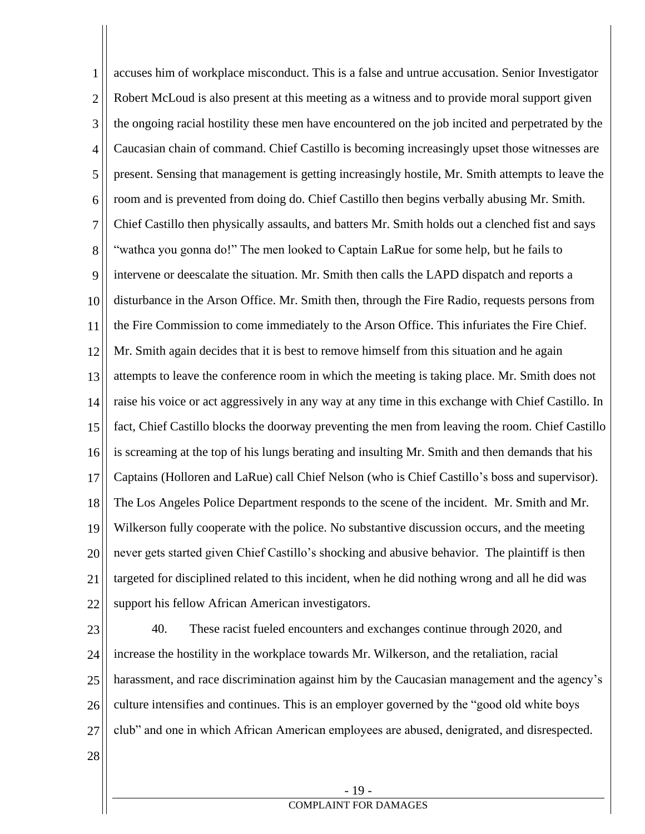1 2 3 4 5 6 7 8 9 10 11 12 13 14 15 16 17 18 19 20 21 22 accuses him of workplace misconduct. This is a false and untrue accusation. Senior Investigator Robert McLoud is also present at this meeting as a witness and to provide moral support given the ongoing racial hostility these men have encountered on the job incited and perpetrated by the Caucasian chain of command. Chief Castillo is becoming increasingly upset those witnesses are present. Sensing that management is getting increasingly hostile, Mr. Smith attempts to leave the room and is prevented from doing do. Chief Castillo then begins verbally abusing Mr. Smith. Chief Castillo then physically assaults, and batters Mr. Smith holds out a clenched fist and says "wathca you gonna do!" The men looked to Captain LaRue for some help, but he fails to intervene or deescalate the situation. Mr. Smith then calls the LAPD dispatch and reports a disturbance in the Arson Office. Mr. Smith then, through the Fire Radio, requests persons from the Fire Commission to come immediately to the Arson Office. This infuriates the Fire Chief. Mr. Smith again decides that it is best to remove himself from this situation and he again attempts to leave the conference room in which the meeting is taking place. Mr. Smith does not raise his voice or act aggressively in any way at any time in this exchange with Chief Castillo. In fact, Chief Castillo blocks the doorway preventing the men from leaving the room. Chief Castillo is screaming at the top of his lungs berating and insulting Mr. Smith and then demands that his Captains (Holloren and LaRue) call Chief Nelson (who is Chief Castillo's boss and supervisor). The Los Angeles Police Department responds to the scene of the incident. Mr. Smith and Mr. Wilkerson fully cooperate with the police. No substantive discussion occurs, and the meeting never gets started given Chief Castillo's shocking and abusive behavior. The plaintiff is then targeted for disciplined related to this incident, when he did nothing wrong and all he did was support his fellow African American investigators.

- 23 24 25 26 27 40. These racist fueled encounters and exchanges continue through 2020, and increase the hostility in the workplace towards Mr. Wilkerson, and the retaliation, racial harassment, and race discrimination against him by the Caucasian management and the agency's culture intensifies and continues. This is an employer governed by the "good old white boys club" and one in which African American employees are abused, denigrated, and disrespected.
- 28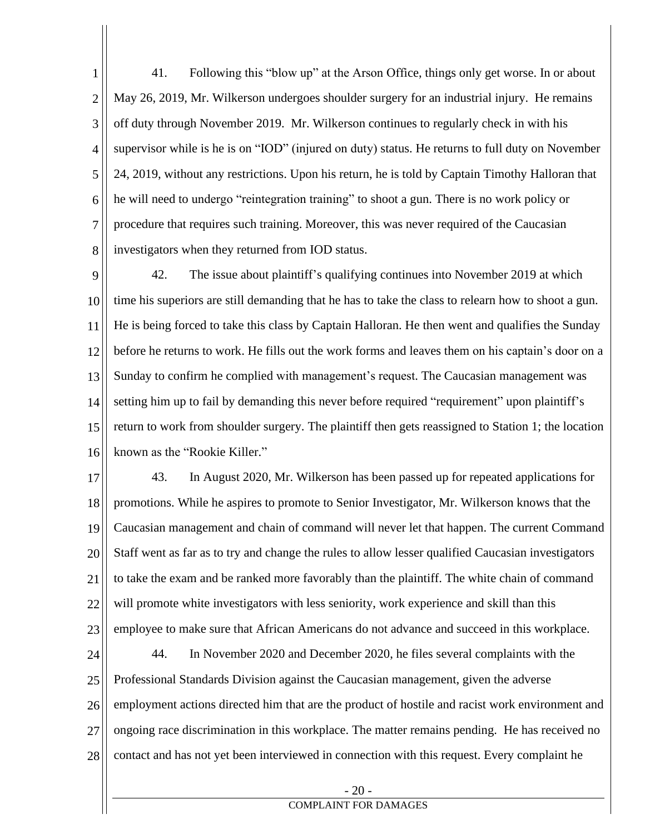1 2 3 4 5 6 7 8 41. Following this "blow up" at the Arson Office, things only get worse. In or about May 26, 2019, Mr. Wilkerson undergoes shoulder surgery for an industrial injury. He remains off duty through November 2019. Mr. Wilkerson continues to regularly check in with his supervisor while is he is on "IOD" (injured on duty) status. He returns to full duty on November 24, 2019, without any restrictions. Upon his return, he is told by Captain Timothy Halloran that he will need to undergo "reintegration training" to shoot a gun. There is no work policy or procedure that requires such training. Moreover, this was never required of the Caucasian investigators when they returned from IOD status.

9 10 11 12 13 14 15 16 42. The issue about plaintiff's qualifying continues into November 2019 at which time his superiors are still demanding that he has to take the class to relearn how to shoot a gun. He is being forced to take this class by Captain Halloran. He then went and qualifies the Sunday before he returns to work. He fills out the work forms and leaves them on his captain's door on a Sunday to confirm he complied with management's request. The Caucasian management was setting him up to fail by demanding this never before required "requirement" upon plaintiff's return to work from shoulder surgery. The plaintiff then gets reassigned to Station 1; the location known as the "Rookie Killer."

17 18 19 20 21 22 23 43. In August 2020, Mr. Wilkerson has been passed up for repeated applications for promotions. While he aspires to promote to Senior Investigator, Mr. Wilkerson knows that the Caucasian management and chain of command will never let that happen. The current Command Staff went as far as to try and change the rules to allow lesser qualified Caucasian investigators to take the exam and be ranked more favorably than the plaintiff. The white chain of command will promote white investigators with less seniority, work experience and skill than this employee to make sure that African Americans do not advance and succeed in this workplace.

24 25 26 27 28 44. In November 2020 and December 2020, he files several complaints with the Professional Standards Division against the Caucasian management, given the adverse employment actions directed him that are the product of hostile and racist work environment and ongoing race discrimination in this workplace. The matter remains pending. He has received no contact and has not yet been interviewed in connection with this request. Every complaint he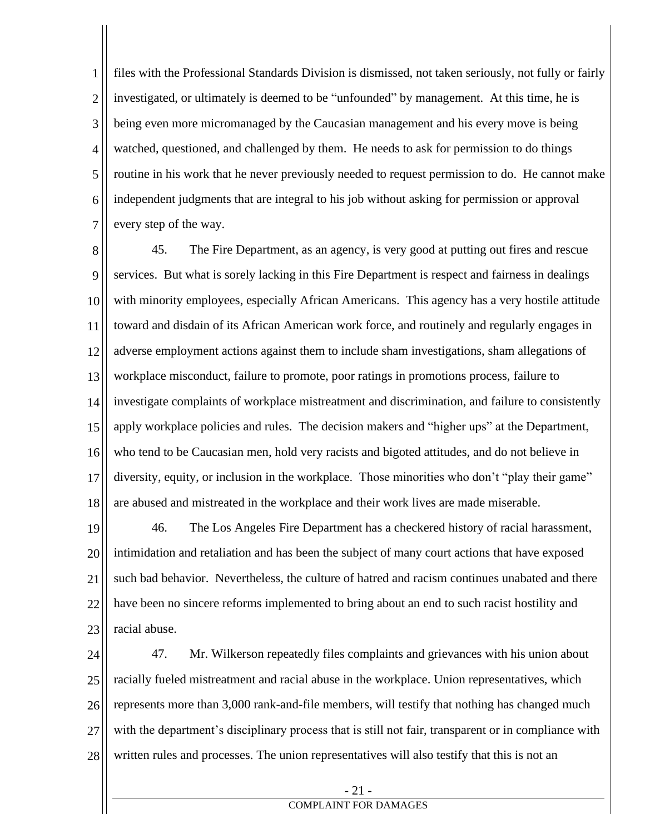1 2 3 4 5 6 7 files with the Professional Standards Division is dismissed, not taken seriously, not fully or fairly investigated, or ultimately is deemed to be "unfounded" by management. At this time, he is being even more micromanaged by the Caucasian management and his every move is being watched, questioned, and challenged by them. He needs to ask for permission to do things routine in his work that he never previously needed to request permission to do. He cannot make independent judgments that are integral to his job without asking for permission or approval every step of the way.

8 9 10 11 12 13 14 15 16 17 18 45. The Fire Department, as an agency, is very good at putting out fires and rescue services. But what is sorely lacking in this Fire Department is respect and fairness in dealings with minority employees, especially African Americans. This agency has a very hostile attitude toward and disdain of its African American work force, and routinely and regularly engages in adverse employment actions against them to include sham investigations, sham allegations of workplace misconduct, failure to promote, poor ratings in promotions process, failure to investigate complaints of workplace mistreatment and discrimination, and failure to consistently apply workplace policies and rules. The decision makers and "higher ups" at the Department, who tend to be Caucasian men, hold very racists and bigoted attitudes, and do not believe in diversity, equity, or inclusion in the workplace. Those minorities who don't "play their game" are abused and mistreated in the workplace and their work lives are made miserable.

19 20 21 22 23 46. The Los Angeles Fire Department has a checkered history of racial harassment, intimidation and retaliation and has been the subject of many court actions that have exposed such bad behavior. Nevertheless, the culture of hatred and racism continues unabated and there have been no sincere reforms implemented to bring about an end to such racist hostility and racial abuse.

24 25 26 27 28 47. Mr. Wilkerson repeatedly files complaints and grievances with his union about racially fueled mistreatment and racial abuse in the workplace. Union representatives, which represents more than 3,000 rank-and-file members, will testify that nothing has changed much with the department's disciplinary process that is still not fair, transparent or in compliance with written rules and processes. The union representatives will also testify that this is not an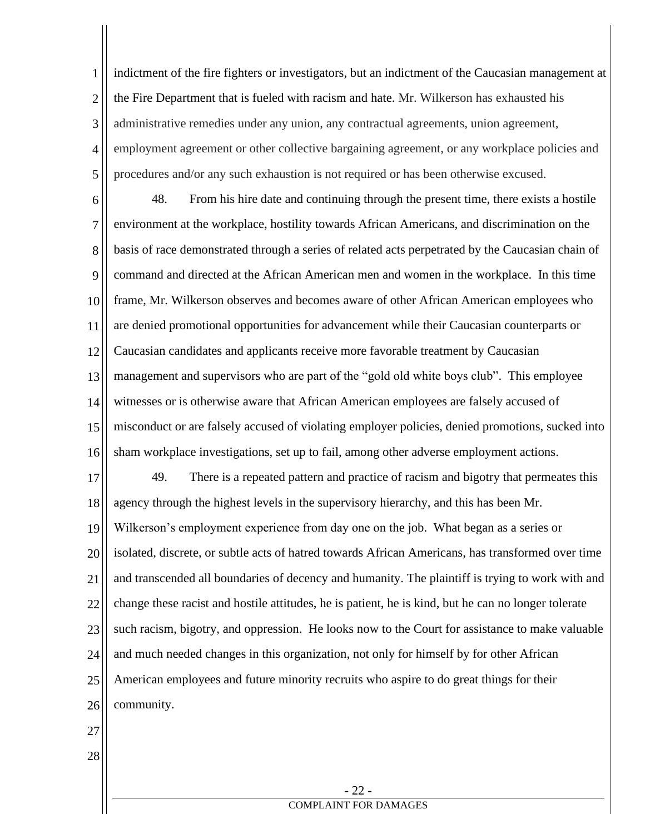1 2 3 4 5 indictment of the fire fighters or investigators, but an indictment of the Caucasian management at the Fire Department that is fueled with racism and hate. Mr. Wilkerson has exhausted his administrative remedies under any union, any contractual agreements, union agreement, employment agreement or other collective bargaining agreement, or any workplace policies and procedures and/or any such exhaustion is not required or has been otherwise excused.

6 7 8 9 10 11 12 13 14 15 16 17 18 48. From his hire date and continuing through the present time, there exists a hostile environment at the workplace, hostility towards African Americans, and discrimination on the basis of race demonstrated through a series of related acts perpetrated by the Caucasian chain of command and directed at the African American men and women in the workplace. In this time frame, Mr. Wilkerson observes and becomes aware of other African American employees who are denied promotional opportunities for advancement while their Caucasian counterparts or Caucasian candidates and applicants receive more favorable treatment by Caucasian management and supervisors who are part of the "gold old white boys club". This employee witnesses or is otherwise aware that African American employees are falsely accused of misconduct or are falsely accused of violating employer policies, denied promotions, sucked into sham workplace investigations, set up to fail, among other adverse employment actions. 49. There is a repeated pattern and practice of racism and bigotry that permeates this agency through the highest levels in the supervisory hierarchy, and this has been Mr.

19 20 21 22 23 24 25 26 Wilkerson's employment experience from day one on the job. What began as a series or isolated, discrete, or subtle acts of hatred towards African Americans, has transformed over time and transcended all boundaries of decency and humanity. The plaintiff is trying to work with and change these racist and hostile attitudes, he is patient, he is kind, but he can no longer tolerate such racism, bigotry, and oppression. He looks now to the Court for assistance to make valuable and much needed changes in this organization, not only for himself by for other African American employees and future minority recruits who aspire to do great things for their community.

- 27
- 28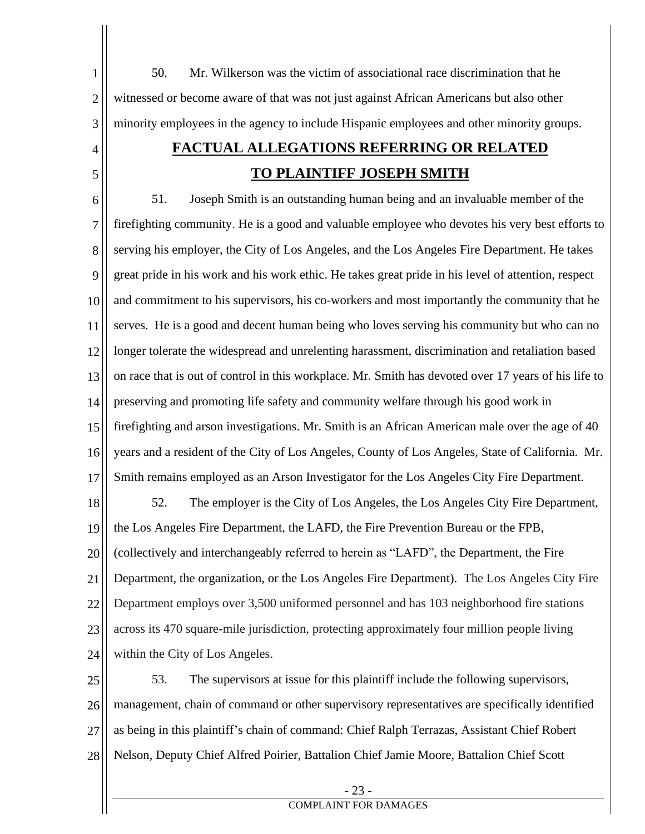1 2 3 50. Mr. Wilkerson was the victim of associational race discrimination that he witnessed or become aware of that was not just against African Americans but also other minority employees in the agency to include Hispanic employees and other minority groups.

4

5

# **FACTUAL ALLEGATIONS REFERRING OR RELATED TO PLAINTIFF JOSEPH SMITH**

6 7 8 9 10 11 12 13 14 15 16 17 18 19 20 21 22 23 24 51. Joseph Smith is an outstanding human being and an invaluable member of the firefighting community. He is a good and valuable employee who devotes his very best efforts to serving his employer, the City of Los Angeles, and the Los Angeles Fire Department. He takes great pride in his work and his work ethic. He takes great pride in his level of attention, respect and commitment to his supervisors, his co-workers and most importantly the community that he serves. He is a good and decent human being who loves serving his community but who can no longer tolerate the widespread and unrelenting harassment, discrimination and retaliation based on race that is out of control in this workplace. Mr. Smith has devoted over 17 years of his life to preserving and promoting life safety and community welfare through his good work in firefighting and arson investigations. Mr. Smith is an African American male over the age of 40 years and a resident of the City of Los Angeles, County of Los Angeles, State of California. Mr. Smith remains employed as an Arson Investigator for the Los Angeles City Fire Department. 52. The employer is the City of Los Angeles, the Los Angeles City Fire Department, the Los Angeles Fire Department, the LAFD, the Fire Prevention Bureau or the FPB, (collectively and interchangeably referred to herein as "LAFD", the Department, the Fire Department, the organization, or the Los Angeles Fire Department). The Los Angeles City Fire Department employs over 3,500 uniformed personnel and has 103 neighborhood fire stations across its 470 square-mile jurisdiction, protecting approximately four million people living within the City of Los Angeles.

25 26 27 28 53. The supervisors at issue for this plaintiff include the following supervisors, management, chain of command or other supervisory representatives are specifically identified as being in this plaintiff's chain of command: Chief Ralph Terrazas, Assistant Chief Robert Nelson, Deputy Chief Alfred Poirier, Battalion Chief Jamie Moore, Battalion Chief Scott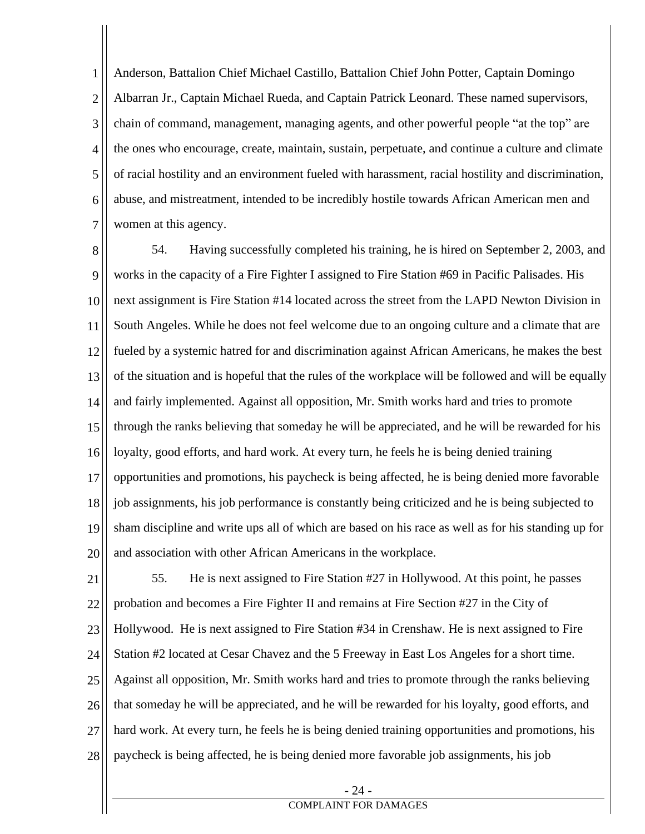1 2 3 4 5 6 7 Anderson, Battalion Chief Michael Castillo, Battalion Chief John Potter, Captain Domingo Albarran Jr., Captain Michael Rueda, and Captain Patrick Leonard. These named supervisors, chain of command, management, managing agents, and other powerful people "at the top" are the ones who encourage, create, maintain, sustain, perpetuate, and continue a culture and climate of racial hostility and an environment fueled with harassment, racial hostility and discrimination, abuse, and mistreatment, intended to be incredibly hostile towards African American men and women at this agency.

8 9 10 11 12 13 14 15 16 17 18 19 20 54. Having successfully completed his training, he is hired on September 2, 2003, and works in the capacity of a Fire Fighter I assigned to Fire Station #69 in Pacific Palisades. His next assignment is Fire Station #14 located across the street from the LAPD Newton Division in South Angeles. While he does not feel welcome due to an ongoing culture and a climate that are fueled by a systemic hatred for and discrimination against African Americans, he makes the best of the situation and is hopeful that the rules of the workplace will be followed and will be equally and fairly implemented. Against all opposition, Mr. Smith works hard and tries to promote through the ranks believing that someday he will be appreciated, and he will be rewarded for his loyalty, good efforts, and hard work. At every turn, he feels he is being denied training opportunities and promotions, his paycheck is being affected, he is being denied more favorable job assignments, his job performance is constantly being criticized and he is being subjected to sham discipline and write ups all of which are based on his race as well as for his standing up for and association with other African Americans in the workplace.

21 22 23 24 25 26 27 28 55. He is next assigned to Fire Station #27 in Hollywood. At this point, he passes probation and becomes a Fire Fighter II and remains at Fire Section #27 in the City of Hollywood. He is next assigned to Fire Station #34 in Crenshaw. He is next assigned to Fire Station #2 located at Cesar Chavez and the 5 Freeway in East Los Angeles for a short time. Against all opposition, Mr. Smith works hard and tries to promote through the ranks believing that someday he will be appreciated, and he will be rewarded for his loyalty, good efforts, and hard work. At every turn, he feels he is being denied training opportunities and promotions, his paycheck is being affected, he is being denied more favorable job assignments, his job

# - 24 -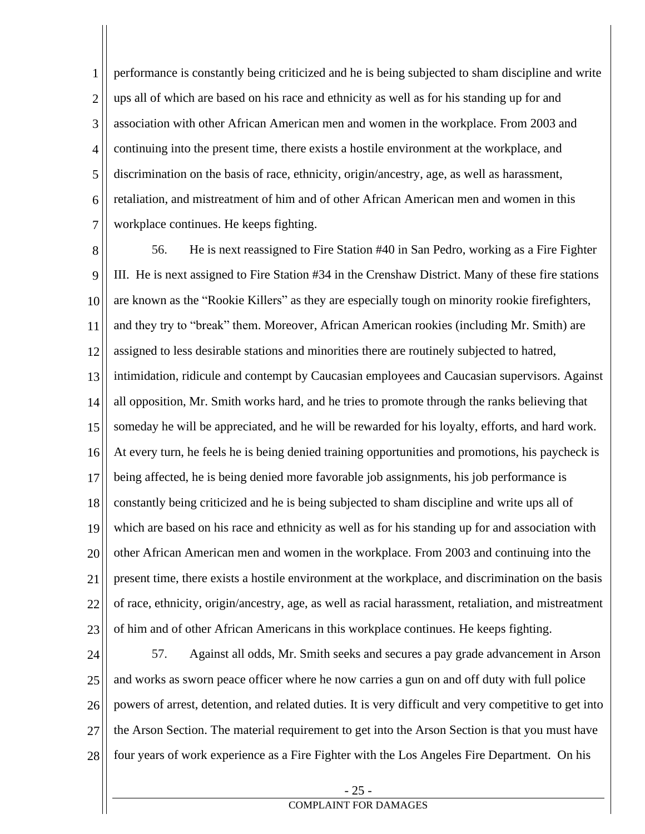1 2 3 4 5 6 7 performance is constantly being criticized and he is being subjected to sham discipline and write ups all of which are based on his race and ethnicity as well as for his standing up for and association with other African American men and women in the workplace. From 2003 and continuing into the present time, there exists a hostile environment at the workplace, and discrimination on the basis of race, ethnicity, origin/ancestry, age, as well as harassment, retaliation, and mistreatment of him and of other African American men and women in this workplace continues. He keeps fighting.

8 9 10 11 12 13 14 15 16 17 18 19 20 21 22 23 56. He is next reassigned to Fire Station #40 in San Pedro, working as a Fire Fighter III. He is next assigned to Fire Station #34 in the Crenshaw District. Many of these fire stations are known as the "Rookie Killers" as they are especially tough on minority rookie firefighters, and they try to "break" them. Moreover, African American rookies (including Mr. Smith) are assigned to less desirable stations and minorities there are routinely subjected to hatred, intimidation, ridicule and contempt by Caucasian employees and Caucasian supervisors. Against all opposition, Mr. Smith works hard, and he tries to promote through the ranks believing that someday he will be appreciated, and he will be rewarded for his loyalty, efforts, and hard work. At every turn, he feels he is being denied training opportunities and promotions, his paycheck is being affected, he is being denied more favorable job assignments, his job performance is constantly being criticized and he is being subjected to sham discipline and write ups all of which are based on his race and ethnicity as well as for his standing up for and association with other African American men and women in the workplace. From 2003 and continuing into the present time, there exists a hostile environment at the workplace, and discrimination on the basis of race, ethnicity, origin/ancestry, age, as well as racial harassment, retaliation, and mistreatment of him and of other African Americans in this workplace continues. He keeps fighting.

24 25 26 27 28 57. Against all odds, Mr. Smith seeks and secures a pay grade advancement in Arson and works as sworn peace officer where he now carries a gun on and off duty with full police powers of arrest, detention, and related duties. It is very difficult and very competitive to get into the Arson Section. The material requirement to get into the Arson Section is that you must have four years of work experience as a Fire Fighter with the Los Angeles Fire Department. On his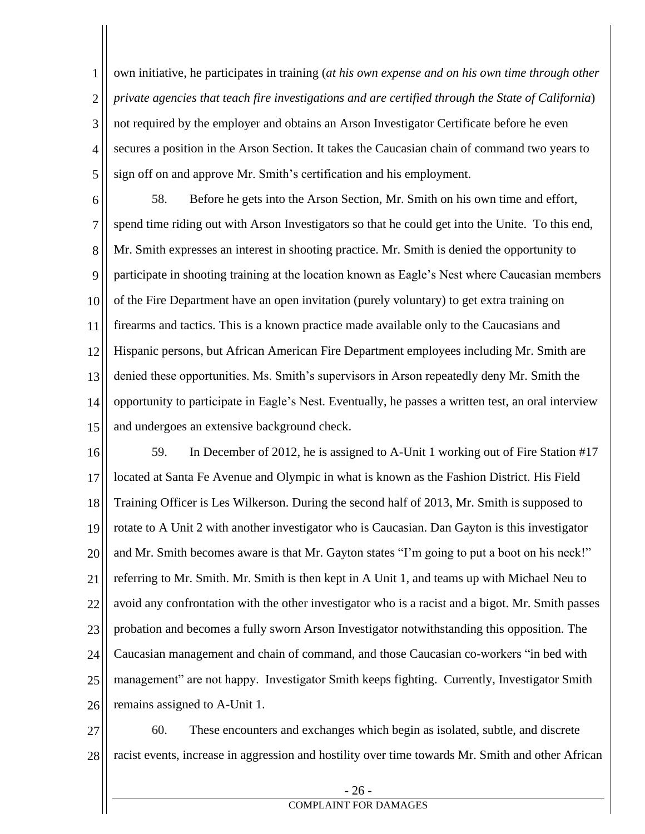1 2 3 4 5 own initiative, he participates in training (*at his own expense and on his own time through other private agencies that teach fire investigations and are certified through the State of California*) not required by the employer and obtains an Arson Investigator Certificate before he even secures a position in the Arson Section. It takes the Caucasian chain of command two years to sign off on and approve Mr. Smith's certification and his employment.

6 7 8 9 10 11 12 13 14 15 58. Before he gets into the Arson Section, Mr. Smith on his own time and effort, spend time riding out with Arson Investigators so that he could get into the Unite. To this end, Mr. Smith expresses an interest in shooting practice. Mr. Smith is denied the opportunity to participate in shooting training at the location known as Eagle's Nest where Caucasian members of the Fire Department have an open invitation (purely voluntary) to get extra training on firearms and tactics. This is a known practice made available only to the Caucasians and Hispanic persons, but African American Fire Department employees including Mr. Smith are denied these opportunities. Ms. Smith's supervisors in Arson repeatedly deny Mr. Smith the opportunity to participate in Eagle's Nest. Eventually, he passes a written test, an oral interview and undergoes an extensive background check.

16 17 18 19 20 21 22 23 24 25 26 59. In December of 2012, he is assigned to A-Unit 1 working out of Fire Station #17 located at Santa Fe Avenue and Olympic in what is known as the Fashion District. His Field Training Officer is Les Wilkerson. During the second half of 2013, Mr. Smith is supposed to rotate to A Unit 2 with another investigator who is Caucasian. Dan Gayton is this investigator and Mr. Smith becomes aware is that Mr. Gayton states "I'm going to put a boot on his neck!" referring to Mr. Smith. Mr. Smith is then kept in A Unit 1, and teams up with Michael Neu to avoid any confrontation with the other investigator who is a racist and a bigot. Mr. Smith passes probation and becomes a fully sworn Arson Investigator notwithstanding this opposition. The Caucasian management and chain of command, and those Caucasian co-workers "in bed with management" are not happy. Investigator Smith keeps fighting. Currently, Investigator Smith remains assigned to A-Unit 1.

27 28 60. These encounters and exchanges which begin as isolated, subtle, and discrete racist events, increase in aggression and hostility over time towards Mr. Smith and other African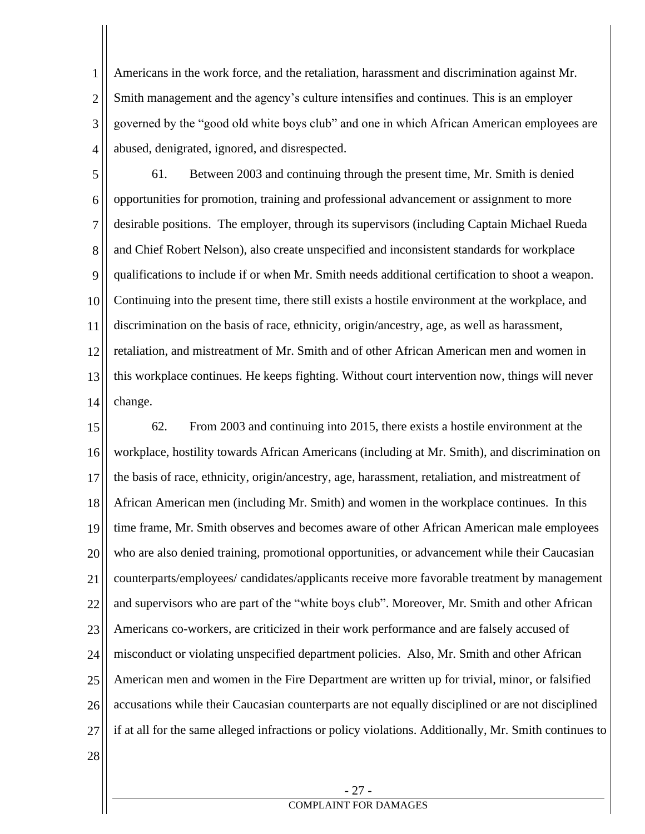1 2 3 4 Americans in the work force, and the retaliation, harassment and discrimination against Mr. Smith management and the agency's culture intensifies and continues. This is an employer governed by the "good old white boys club" and one in which African American employees are abused, denigrated, ignored, and disrespected.

5 6 7 8 9 10 11 12 13 14 61. Between 2003 and continuing through the present time, Mr. Smith is denied opportunities for promotion, training and professional advancement or assignment to more desirable positions. The employer, through its supervisors (including Captain Michael Rueda and Chief Robert Nelson), also create unspecified and inconsistent standards for workplace qualifications to include if or when Mr. Smith needs additional certification to shoot a weapon. Continuing into the present time, there still exists a hostile environment at the workplace, and discrimination on the basis of race, ethnicity, origin/ancestry, age, as well as harassment, retaliation, and mistreatment of Mr. Smith and of other African American men and women in this workplace continues. He keeps fighting. Without court intervention now, things will never change.

15 16 17 18 19 20 21 22 23 24 25 26 27 62. From 2003 and continuing into 2015, there exists a hostile environment at the workplace, hostility towards African Americans (including at Mr. Smith), and discrimination on the basis of race, ethnicity, origin/ancestry, age, harassment, retaliation, and mistreatment of African American men (including Mr. Smith) and women in the workplace continues. In this time frame, Mr. Smith observes and becomes aware of other African American male employees who are also denied training, promotional opportunities, or advancement while their Caucasian counterparts/employees/ candidates/applicants receive more favorable treatment by management and supervisors who are part of the "white boys club". Moreover, Mr. Smith and other African Americans co-workers, are criticized in their work performance and are falsely accused of misconduct or violating unspecified department policies. Also, Mr. Smith and other African American men and women in the Fire Department are written up for trivial, minor, or falsified accusations while their Caucasian counterparts are not equally disciplined or are not disciplined if at all for the same alleged infractions or policy violations. Additionally, Mr. Smith continues to

28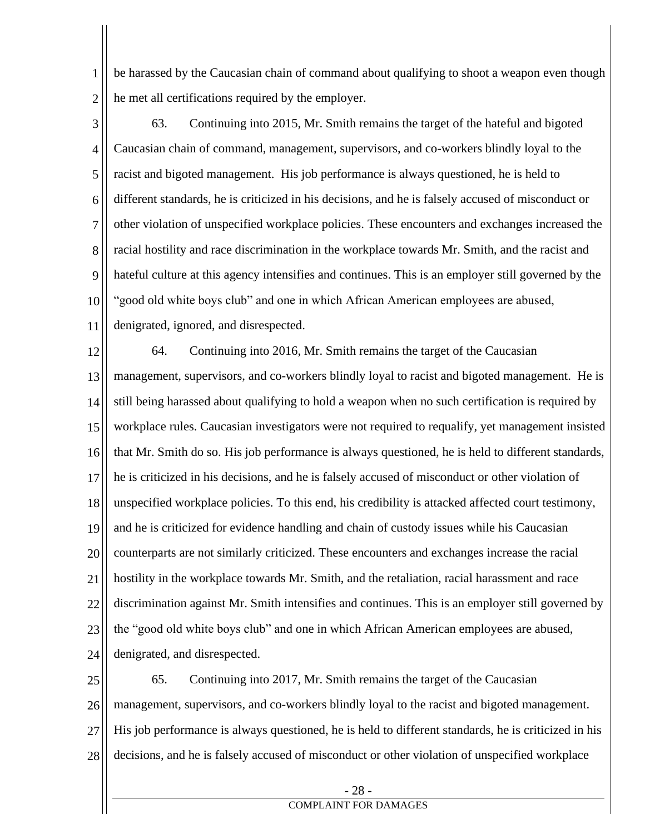1 2 be harassed by the Caucasian chain of command about qualifying to shoot a weapon even though he met all certifications required by the employer.

3 4 5 6 7 8 9 10 11 63. Continuing into 2015, Mr. Smith remains the target of the hateful and bigoted Caucasian chain of command, management, supervisors, and co-workers blindly loyal to the racist and bigoted management. His job performance is always questioned, he is held to different standards, he is criticized in his decisions, and he is falsely accused of misconduct or other violation of unspecified workplace policies. These encounters and exchanges increased the racial hostility and race discrimination in the workplace towards Mr. Smith, and the racist and hateful culture at this agency intensifies and continues. This is an employer still governed by the "good old white boys club" and one in which African American employees are abused, denigrated, ignored, and disrespected.

12 13 14 15 16 17 18 19 20 21 22 23 24 64. Continuing into 2016, Mr. Smith remains the target of the Caucasian management, supervisors, and co-workers blindly loyal to racist and bigoted management. He is still being harassed about qualifying to hold a weapon when no such certification is required by workplace rules. Caucasian investigators were not required to requalify, yet management insisted that Mr. Smith do so. His job performance is always questioned, he is held to different standards, he is criticized in his decisions, and he is falsely accused of misconduct or other violation of unspecified workplace policies. To this end, his credibility is attacked affected court testimony, and he is criticized for evidence handling and chain of custody issues while his Caucasian counterparts are not similarly criticized. These encounters and exchanges increase the racial hostility in the workplace towards Mr. Smith, and the retaliation, racial harassment and race discrimination against Mr. Smith intensifies and continues. This is an employer still governed by the "good old white boys club" and one in which African American employees are abused, denigrated, and disrespected.

25 26 27 28 65. Continuing into 2017, Mr. Smith remains the target of the Caucasian management, supervisors, and co-workers blindly loyal to the racist and bigoted management. His job performance is always questioned, he is held to different standards, he is criticized in his decisions, and he is falsely accused of misconduct or other violation of unspecified workplace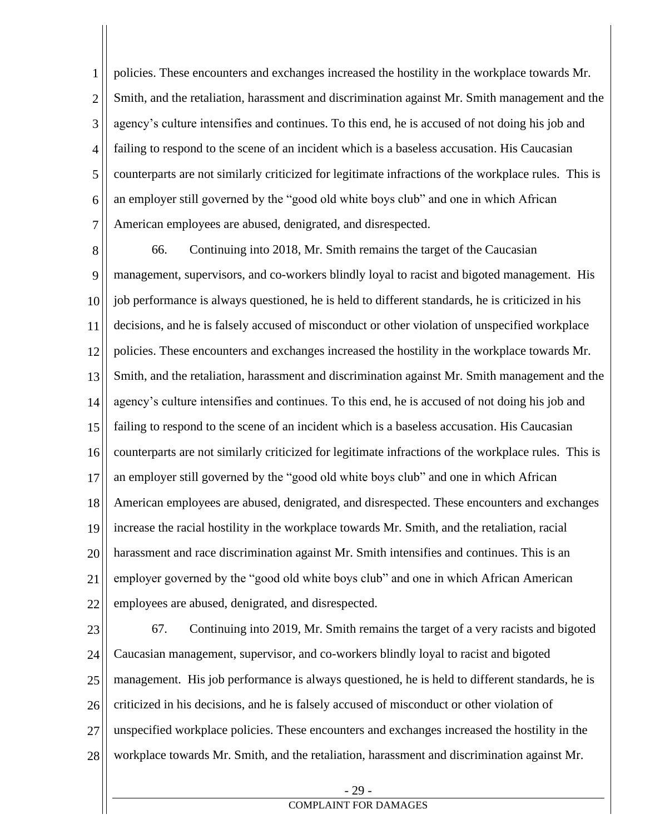1 2 3 4 5 6 7 policies. These encounters and exchanges increased the hostility in the workplace towards Mr. Smith, and the retaliation, harassment and discrimination against Mr. Smith management and the agency's culture intensifies and continues. To this end, he is accused of not doing his job and failing to respond to the scene of an incident which is a baseless accusation. His Caucasian counterparts are not similarly criticized for legitimate infractions of the workplace rules. This is an employer still governed by the "good old white boys club" and one in which African American employees are abused, denigrated, and disrespected.

8 9 10 11 12 13 14 15 16 17 18 19 20 21 22 66. Continuing into 2018, Mr. Smith remains the target of the Caucasian management, supervisors, and co-workers blindly loyal to racist and bigoted management. His job performance is always questioned, he is held to different standards, he is criticized in his decisions, and he is falsely accused of misconduct or other violation of unspecified workplace policies. These encounters and exchanges increased the hostility in the workplace towards Mr. Smith, and the retaliation, harassment and discrimination against Mr. Smith management and the agency's culture intensifies and continues. To this end, he is accused of not doing his job and failing to respond to the scene of an incident which is a baseless accusation. His Caucasian counterparts are not similarly criticized for legitimate infractions of the workplace rules. This is an employer still governed by the "good old white boys club" and one in which African American employees are abused, denigrated, and disrespected. These encounters and exchanges increase the racial hostility in the workplace towards Mr. Smith, and the retaliation, racial harassment and race discrimination against Mr. Smith intensifies and continues. This is an employer governed by the "good old white boys club" and one in which African American employees are abused, denigrated, and disrespected.

23

24 25 26 27 28 67. Continuing into 2019, Mr. Smith remains the target of a very racists and bigoted Caucasian management, supervisor, and co-workers blindly loyal to racist and bigoted management. His job performance is always questioned, he is held to different standards, he is criticized in his decisions, and he is falsely accused of misconduct or other violation of unspecified workplace policies. These encounters and exchanges increased the hostility in the workplace towards Mr. Smith, and the retaliation, harassment and discrimination against Mr.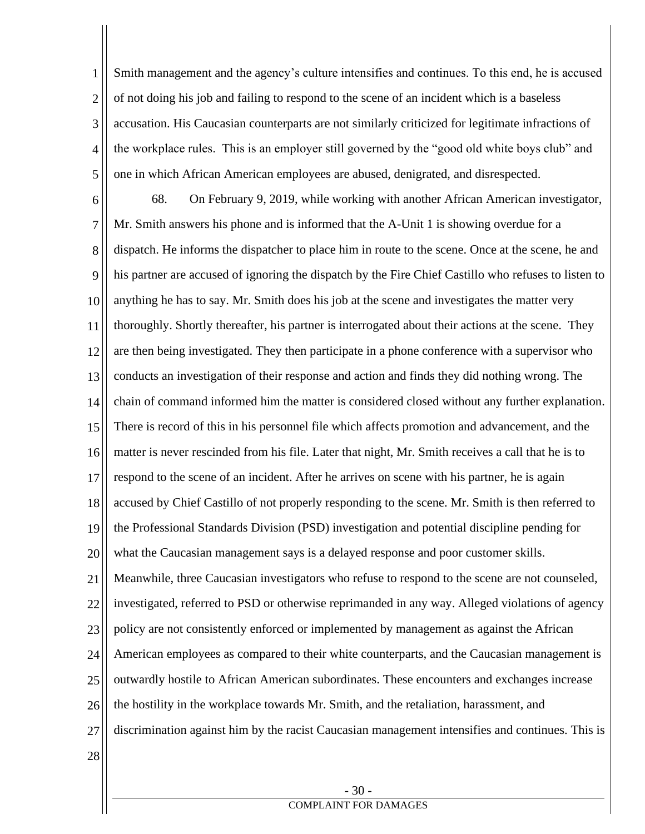1 2 3 4 5 Smith management and the agency's culture intensifies and continues. To this end, he is accused of not doing his job and failing to respond to the scene of an incident which is a baseless accusation. His Caucasian counterparts are not similarly criticized for legitimate infractions of the workplace rules. This is an employer still governed by the "good old white boys club" and one in which African American employees are abused, denigrated, and disrespected.

6 7 8 9 10 11 12 13 14 15 16 17 18 19 20 21 22 23 24 25 26 27 68. On February 9, 2019, while working with another African American investigator, Mr. Smith answers his phone and is informed that the A-Unit 1 is showing overdue for a dispatch. He informs the dispatcher to place him in route to the scene. Once at the scene, he and his partner are accused of ignoring the dispatch by the Fire Chief Castillo who refuses to listen to anything he has to say. Mr. Smith does his job at the scene and investigates the matter very thoroughly. Shortly thereafter, his partner is interrogated about their actions at the scene. They are then being investigated. They then participate in a phone conference with a supervisor who conducts an investigation of their response and action and finds they did nothing wrong. The chain of command informed him the matter is considered closed without any further explanation. There is record of this in his personnel file which affects promotion and advancement, and the matter is never rescinded from his file. Later that night, Mr. Smith receives a call that he is to respond to the scene of an incident. After he arrives on scene with his partner, he is again accused by Chief Castillo of not properly responding to the scene. Mr. Smith is then referred to the Professional Standards Division (PSD) investigation and potential discipline pending for what the Caucasian management says is a delayed response and poor customer skills. Meanwhile, three Caucasian investigators who refuse to respond to the scene are not counseled, investigated, referred to PSD or otherwise reprimanded in any way. Alleged violations of agency policy are not consistently enforced or implemented by management as against the African American employees as compared to their white counterparts, and the Caucasian management is outwardly hostile to African American subordinates. These encounters and exchanges increase the hostility in the workplace towards Mr. Smith, and the retaliation, harassment, and discrimination against him by the racist Caucasian management intensifies and continues. This is

28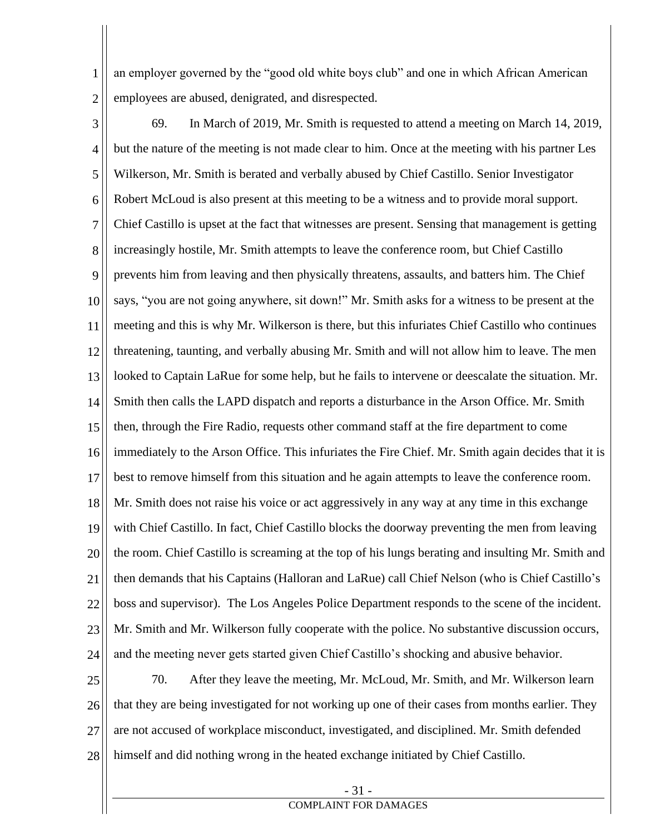1 2 an employer governed by the "good old white boys club" and one in which African American employees are abused, denigrated, and disrespected.

- 3 4 5 6 7 8 9 10 11 12 13 14 15 16 17 18 19 20 21 22 23 24 69. In March of 2019, Mr. Smith is requested to attend a meeting on March 14, 2019, but the nature of the meeting is not made clear to him. Once at the meeting with his partner Les Wilkerson, Mr. Smith is berated and verbally abused by Chief Castillo. Senior Investigator Robert McLoud is also present at this meeting to be a witness and to provide moral support. Chief Castillo is upset at the fact that witnesses are present. Sensing that management is getting increasingly hostile, Mr. Smith attempts to leave the conference room, but Chief Castillo prevents him from leaving and then physically threatens, assaults, and batters him. The Chief says, "you are not going anywhere, sit down!" Mr. Smith asks for a witness to be present at the meeting and this is why Mr. Wilkerson is there, but this infuriates Chief Castillo who continues threatening, taunting, and verbally abusing Mr. Smith and will not allow him to leave. The men looked to Captain LaRue for some help, but he fails to intervene or deescalate the situation. Mr. Smith then calls the LAPD dispatch and reports a disturbance in the Arson Office. Mr. Smith then, through the Fire Radio, requests other command staff at the fire department to come immediately to the Arson Office. This infuriates the Fire Chief. Mr. Smith again decides that it is best to remove himself from this situation and he again attempts to leave the conference room. Mr. Smith does not raise his voice or act aggressively in any way at any time in this exchange with Chief Castillo. In fact, Chief Castillo blocks the doorway preventing the men from leaving the room. Chief Castillo is screaming at the top of his lungs berating and insulting Mr. Smith and then demands that his Captains (Halloran and LaRue) call Chief Nelson (who is Chief Castillo's boss and supervisor). The Los Angeles Police Department responds to the scene of the incident. Mr. Smith and Mr. Wilkerson fully cooperate with the police. No substantive discussion occurs, and the meeting never gets started given Chief Castillo's shocking and abusive behavior.
- 25 26 27 28 70. After they leave the meeting, Mr. McLoud, Mr. Smith, and Mr. Wilkerson learn that they are being investigated for not working up one of their cases from months earlier. They are not accused of workplace misconduct, investigated, and disciplined. Mr. Smith defended himself and did nothing wrong in the heated exchange initiated by Chief Castillo.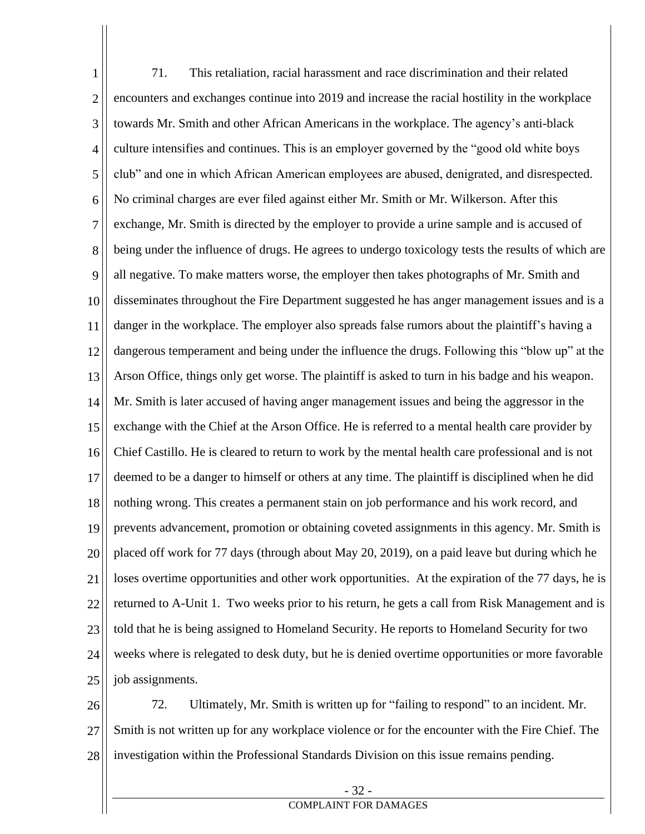1 2 3 4 5 6 7 8 9 10 11 12 13 14 15 16 17 18 19 20 21 22 23 24 25 71. This retaliation, racial harassment and race discrimination and their related encounters and exchanges continue into 2019 and increase the racial hostility in the workplace towards Mr. Smith and other African Americans in the workplace. The agency's anti-black culture intensifies and continues. This is an employer governed by the "good old white boys club" and one in which African American employees are abused, denigrated, and disrespected. No criminal charges are ever filed against either Mr. Smith or Mr. Wilkerson. After this exchange, Mr. Smith is directed by the employer to provide a urine sample and is accused of being under the influence of drugs. He agrees to undergo toxicology tests the results of which are all negative. To make matters worse, the employer then takes photographs of Mr. Smith and disseminates throughout the Fire Department suggested he has anger management issues and is a danger in the workplace. The employer also spreads false rumors about the plaintiff's having a dangerous temperament and being under the influence the drugs. Following this "blow up" at the Arson Office, things only get worse. The plaintiff is asked to turn in his badge and his weapon. Mr. Smith is later accused of having anger management issues and being the aggressor in the exchange with the Chief at the Arson Office. He is referred to a mental health care provider by Chief Castillo. He is cleared to return to work by the mental health care professional and is not deemed to be a danger to himself or others at any time. The plaintiff is disciplined when he did nothing wrong. This creates a permanent stain on job performance and his work record, and prevents advancement, promotion or obtaining coveted assignments in this agency. Mr. Smith is placed off work for 77 days (through about May 20, 2019), on a paid leave but during which he loses overtime opportunities and other work opportunities. At the expiration of the 77 days, he is returned to A-Unit 1. Two weeks prior to his return, he gets a call from Risk Management and is told that he is being assigned to Homeland Security. He reports to Homeland Security for two weeks where is relegated to desk duty, but he is denied overtime opportunities or more favorable job assignments.

26 27 28 72. Ultimately, Mr. Smith is written up for "failing to respond" to an incident. Mr. Smith is not written up for any workplace violence or for the encounter with the Fire Chief. The investigation within the Professional Standards Division on this issue remains pending.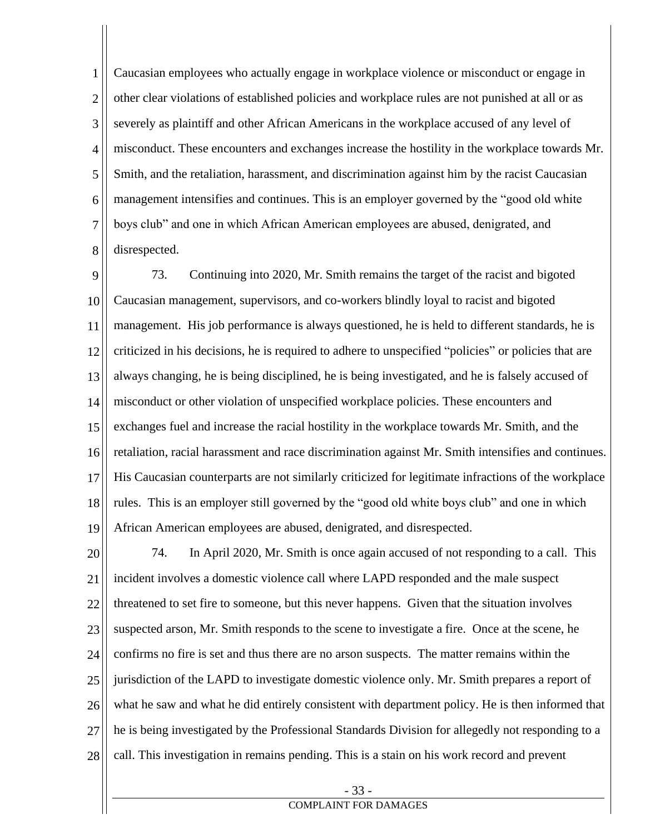1 2 3 4 5 6 7 8 Caucasian employees who actually engage in workplace violence or misconduct or engage in other clear violations of established policies and workplace rules are not punished at all or as severely as plaintiff and other African Americans in the workplace accused of any level of misconduct. These encounters and exchanges increase the hostility in the workplace towards Mr. Smith, and the retaliation, harassment, and discrimination against him by the racist Caucasian management intensifies and continues. This is an employer governed by the "good old white boys club" and one in which African American employees are abused, denigrated, and disrespected.

9 10 11 12 13 14 15 16 17 18 19 73. Continuing into 2020, Mr. Smith remains the target of the racist and bigoted Caucasian management, supervisors, and co-workers blindly loyal to racist and bigoted management. His job performance is always questioned, he is held to different standards, he is criticized in his decisions, he is required to adhere to unspecified "policies" or policies that are always changing, he is being disciplined, he is being investigated, and he is falsely accused of misconduct or other violation of unspecified workplace policies. These encounters and exchanges fuel and increase the racial hostility in the workplace towards Mr. Smith, and the retaliation, racial harassment and race discrimination against Mr. Smith intensifies and continues. His Caucasian counterparts are not similarly criticized for legitimate infractions of the workplace rules. This is an employer still governed by the "good old white boys club" and one in which African American employees are abused, denigrated, and disrespected.

20 21 22 23 24 25 26 27 28 74. In April 2020, Mr. Smith is once again accused of not responding to a call. This incident involves a domestic violence call where LAPD responded and the male suspect threatened to set fire to someone, but this never happens. Given that the situation involves suspected arson, Mr. Smith responds to the scene to investigate a fire. Once at the scene, he confirms no fire is set and thus there are no arson suspects. The matter remains within the jurisdiction of the LAPD to investigate domestic violence only. Mr. Smith prepares a report of what he saw and what he did entirely consistent with department policy. He is then informed that he is being investigated by the Professional Standards Division for allegedly not responding to a call. This investigation in remains pending. This is a stain on his work record and prevent

- 33 -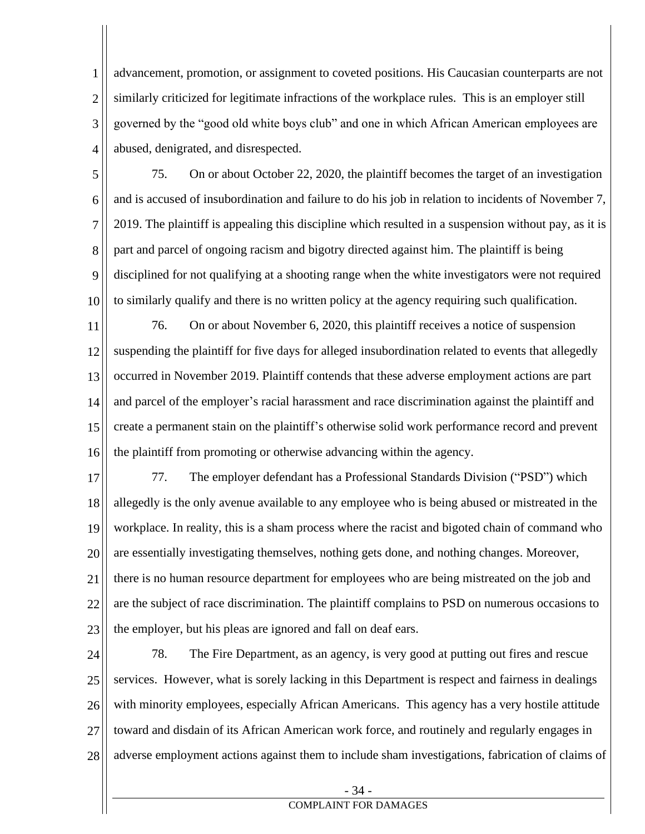1 2 3 4 advancement, promotion, or assignment to coveted positions. His Caucasian counterparts are not similarly criticized for legitimate infractions of the workplace rules. This is an employer still governed by the "good old white boys club" and one in which African American employees are abused, denigrated, and disrespected.

5 6 7 8 9 10 75. On or about October 22, 2020, the plaintiff becomes the target of an investigation and is accused of insubordination and failure to do his job in relation to incidents of November 7, 2019. The plaintiff is appealing this discipline which resulted in a suspension without pay, as it is part and parcel of ongoing racism and bigotry directed against him. The plaintiff is being disciplined for not qualifying at a shooting range when the white investigators were not required to similarly qualify and there is no written policy at the agency requiring such qualification.

11 12 13 14 15 16 76. On or about November 6, 2020, this plaintiff receives a notice of suspension suspending the plaintiff for five days for alleged insubordination related to events that allegedly occurred in November 2019. Plaintiff contends that these adverse employment actions are part and parcel of the employer's racial harassment and race discrimination against the plaintiff and create a permanent stain on the plaintiff's otherwise solid work performance record and prevent the plaintiff from promoting or otherwise advancing within the agency.

17 18 19 20 21 22 23 77. The employer defendant has a Professional Standards Division ("PSD") which allegedly is the only avenue available to any employee who is being abused or mistreated in the workplace. In reality, this is a sham process where the racist and bigoted chain of command who are essentially investigating themselves, nothing gets done, and nothing changes. Moreover, there is no human resource department for employees who are being mistreated on the job and are the subject of race discrimination. The plaintiff complains to PSD on numerous occasions to the employer, but his pleas are ignored and fall on deaf ears.

24 25 26 27 28 78. The Fire Department, as an agency, is very good at putting out fires and rescue services. However, what is sorely lacking in this Department is respect and fairness in dealings with minority employees, especially African Americans. This agency has a very hostile attitude toward and disdain of its African American work force, and routinely and regularly engages in adverse employment actions against them to include sham investigations, fabrication of claims of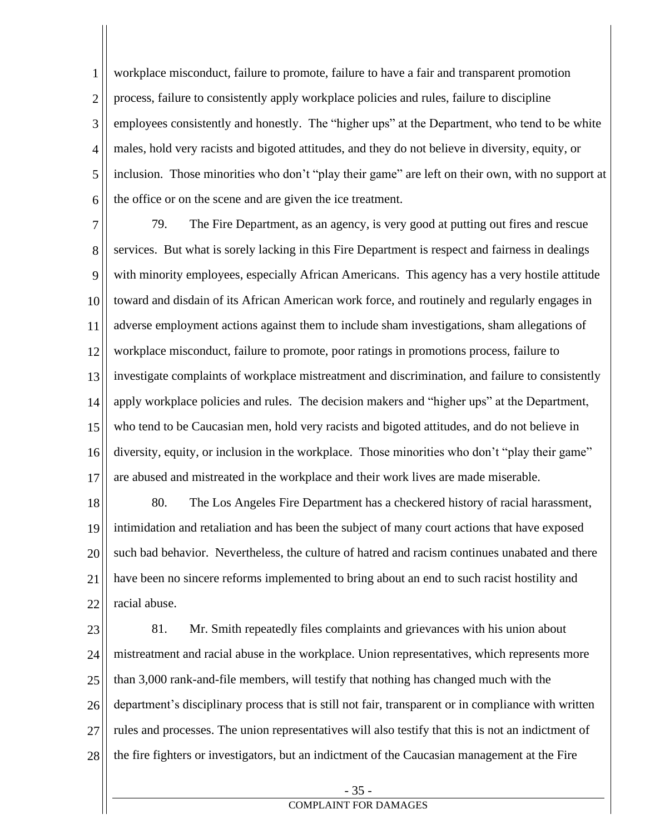1 2 3 4 5 6 workplace misconduct, failure to promote, failure to have a fair and transparent promotion process, failure to consistently apply workplace policies and rules, failure to discipline employees consistently and honestly. The "higher ups" at the Department, who tend to be white males, hold very racists and bigoted attitudes, and they do not believe in diversity, equity, or inclusion. Those minorities who don't "play their game" are left on their own, with no support at the office or on the scene and are given the ice treatment.

7 8 9 10 11 12 13 14 15 16 17 79. The Fire Department, as an agency, is very good at putting out fires and rescue services. But what is sorely lacking in this Fire Department is respect and fairness in dealings with minority employees, especially African Americans. This agency has a very hostile attitude toward and disdain of its African American work force, and routinely and regularly engages in adverse employment actions against them to include sham investigations, sham allegations of workplace misconduct, failure to promote, poor ratings in promotions process, failure to investigate complaints of workplace mistreatment and discrimination, and failure to consistently apply workplace policies and rules. The decision makers and "higher ups" at the Department, who tend to be Caucasian men, hold very racists and bigoted attitudes, and do not believe in diversity, equity, or inclusion in the workplace. Those minorities who don't "play their game" are abused and mistreated in the workplace and their work lives are made miserable.

18 19 20 21 22 80. The Los Angeles Fire Department has a checkered history of racial harassment, intimidation and retaliation and has been the subject of many court actions that have exposed such bad behavior. Nevertheless, the culture of hatred and racism continues unabated and there have been no sincere reforms implemented to bring about an end to such racist hostility and racial abuse.

23 24 25 26 27 28 81. Mr. Smith repeatedly files complaints and grievances with his union about mistreatment and racial abuse in the workplace. Union representatives, which represents more than 3,000 rank-and-file members, will testify that nothing has changed much with the department's disciplinary process that is still not fair, transparent or in compliance with written rules and processes. The union representatives will also testify that this is not an indictment of the fire fighters or investigators, but an indictment of the Caucasian management at the Fire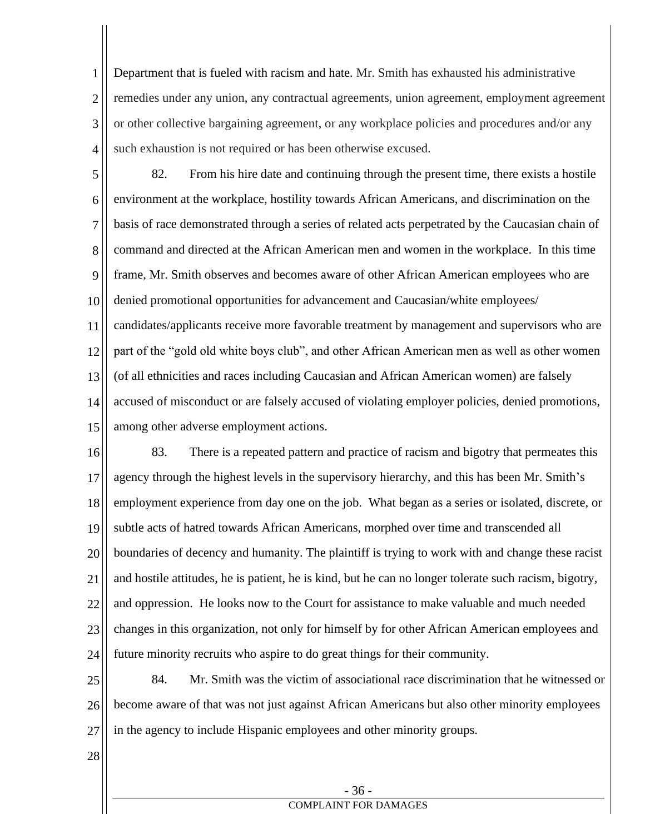1 2 3 4 Department that is fueled with racism and hate. Mr. Smith has exhausted his administrative remedies under any union, any contractual agreements, union agreement, employment agreement or other collective bargaining agreement, or any workplace policies and procedures and/or any such exhaustion is not required or has been otherwise excused.

5 6 7 8 9 10 11 12 13 14 15 82. From his hire date and continuing through the present time, there exists a hostile environment at the workplace, hostility towards African Americans, and discrimination on the basis of race demonstrated through a series of related acts perpetrated by the Caucasian chain of command and directed at the African American men and women in the workplace. In this time frame, Mr. Smith observes and becomes aware of other African American employees who are denied promotional opportunities for advancement and Caucasian/white employees/ candidates/applicants receive more favorable treatment by management and supervisors who are part of the "gold old white boys club", and other African American men as well as other women (of all ethnicities and races including Caucasian and African American women) are falsely accused of misconduct or are falsely accused of violating employer policies, denied promotions, among other adverse employment actions.

16 17 18 19 20 21 22 23 24 83. There is a repeated pattern and practice of racism and bigotry that permeates this agency through the highest levels in the supervisory hierarchy, and this has been Mr. Smith's employment experience from day one on the job. What began as a series or isolated, discrete, or subtle acts of hatred towards African Americans, morphed over time and transcended all boundaries of decency and humanity. The plaintiff is trying to work with and change these racist and hostile attitudes, he is patient, he is kind, but he can no longer tolerate such racism, bigotry, and oppression. He looks now to the Court for assistance to make valuable and much needed changes in this organization, not only for himself by for other African American employees and future minority recruits who aspire to do great things for their community.

25 26 27 84. Mr. Smith was the victim of associational race discrimination that he witnessed or become aware of that was not just against African Americans but also other minority employees in the agency to include Hispanic employees and other minority groups.

28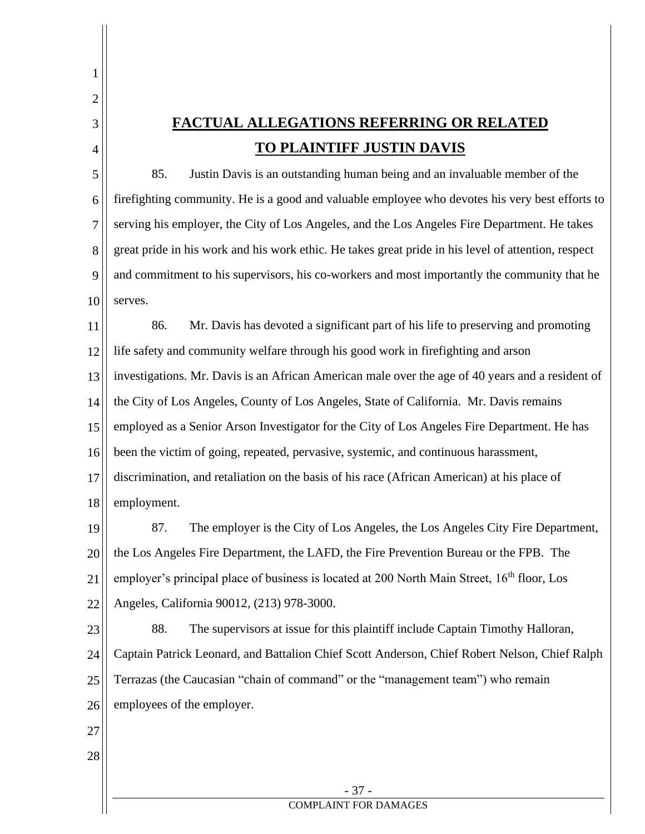4

1

## **FACTUAL ALLEGATIONS REFERRING OR RELATED TO PLAINTIFF JUSTIN DAVIS**

5 6 7 8 9 10 85. Justin Davis is an outstanding human being and an invaluable member of the firefighting community. He is a good and valuable employee who devotes his very best efforts to serving his employer, the City of Los Angeles, and the Los Angeles Fire Department. He takes great pride in his work and his work ethic. He takes great pride in his level of attention, respect and commitment to his supervisors, his co-workers and most importantly the community that he serves.

11 12 13 14 15 16 17 18 86. Mr. Davis has devoted a significant part of his life to preserving and promoting life safety and community welfare through his good work in firefighting and arson investigations. Mr. Davis is an African American male over the age of 40 years and a resident of the City of Los Angeles, County of Los Angeles, State of California. Mr. Davis remains employed as a Senior Arson Investigator for the City of Los Angeles Fire Department. He has been the victim of going, repeated, pervasive, systemic, and continuous harassment, discrimination, and retaliation on the basis of his race (African American) at his place of employment.

19 20 21 22 87. The employer is the City of Los Angeles, the Los Angeles City Fire Department, the Los Angeles Fire Department, the LAFD, the Fire Prevention Bureau or the FPB. The employer's principal place of business is located at 200 North Main Street, 16<sup>th</sup> floor, Los Angeles, California 90012, (213) 978-3000.

23 24

25 26 88. The supervisors at issue for this plaintiff include Captain Timothy Halloran, Captain Patrick Leonard, and Battalion Chief Scott Anderson, Chief Robert Nelson, Chief Ralph Terrazas (the Caucasian "chain of command" or the "management team") who remain employees of the employer.

- 27
- 28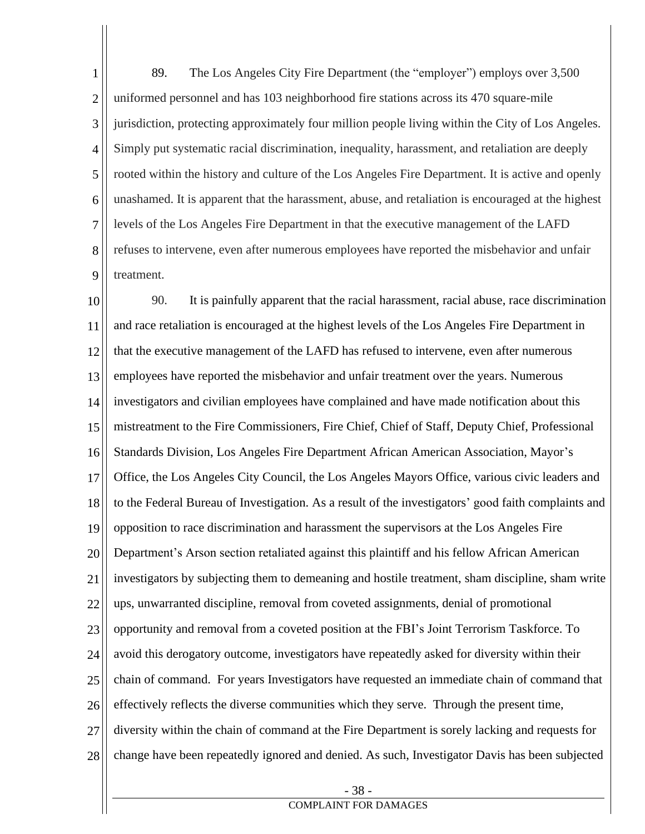1 2 3 4 5 6 7 8 9 89. The Los Angeles City Fire Department (the "employer") employs over 3,500 uniformed personnel and has 103 neighborhood fire stations across its 470 square-mile jurisdiction, protecting approximately four million people living within the City of Los Angeles. Simply put systematic racial discrimination, inequality, harassment, and retaliation are deeply rooted within the history and culture of the Los Angeles Fire Department. It is active and openly unashamed. It is apparent that the harassment, abuse, and retaliation is encouraged at the highest levels of the Los Angeles Fire Department in that the executive management of the LAFD refuses to intervene, even after numerous employees have reported the misbehavior and unfair treatment.

10 11 12 13 14 15 16 17 18 19 20 21 22 23 24 25 26 27 28 90. It is painfully apparent that the racial harassment, racial abuse, race discrimination and race retaliation is encouraged at the highest levels of the Los Angeles Fire Department in that the executive management of the LAFD has refused to intervene, even after numerous employees have reported the misbehavior and unfair treatment over the years. Numerous investigators and civilian employees have complained and have made notification about this mistreatment to the Fire Commissioners, Fire Chief, Chief of Staff, Deputy Chief, Professional Standards Division, Los Angeles Fire Department African American Association, Mayor's Office, the Los Angeles City Council, the Los Angeles Mayors Office, various civic leaders and to the Federal Bureau of Investigation. As a result of the investigators' good faith complaints and opposition to race discrimination and harassment the supervisors at the Los Angeles Fire Department's Arson section retaliated against this plaintiff and his fellow African American investigators by subjecting them to demeaning and hostile treatment, sham discipline, sham write ups, unwarranted discipline, removal from coveted assignments, denial of promotional opportunity and removal from a coveted position at the FBI's Joint Terrorism Taskforce. To avoid this derogatory outcome, investigators have repeatedly asked for diversity within their chain of command. For years Investigators have requested an immediate chain of command that effectively reflects the diverse communities which they serve. Through the present time, diversity within the chain of command at the Fire Department is sorely lacking and requests for change have been repeatedly ignored and denied. As such, Investigator Davis has been subjected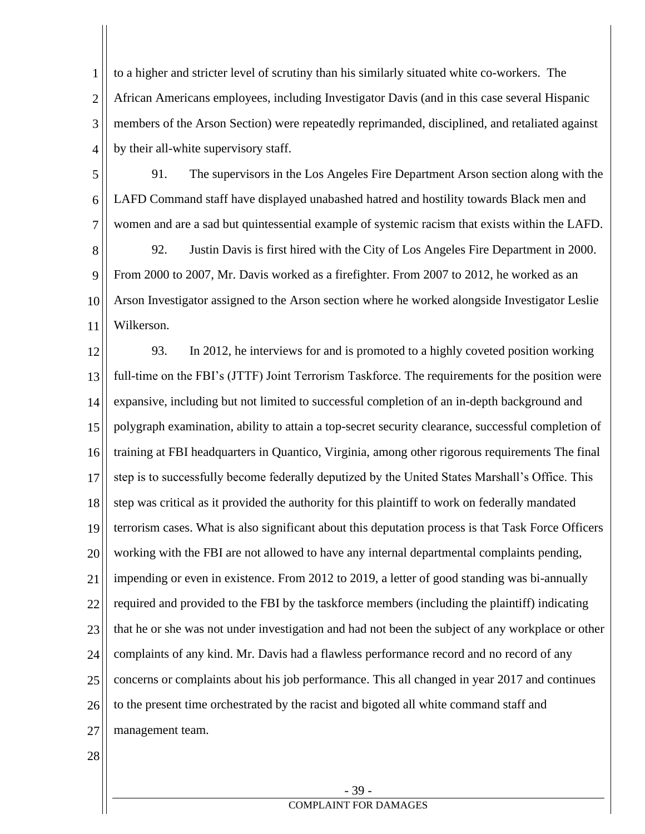1 2 3 4 to a higher and stricter level of scrutiny than his similarly situated white co-workers. The African Americans employees, including Investigator Davis (and in this case several Hispanic members of the Arson Section) were repeatedly reprimanded, disciplined, and retaliated against by their all-white supervisory staff.

5 6 7 8 9 10 11 91. The supervisors in the Los Angeles Fire Department Arson section along with the LAFD Command staff have displayed unabashed hatred and hostility towards Black men and women and are a sad but quintessential example of systemic racism that exists within the LAFD. 92. Justin Davis is first hired with the City of Los Angeles Fire Department in 2000. From 2000 to 2007, Mr. Davis worked as a firefighter. From 2007 to 2012, he worked as an Arson Investigator assigned to the Arson section where he worked alongside Investigator Leslie Wilkerson.

12 13 14 15 16 17 18 19 20 21 22 23 24 25 26 27 93. In 2012, he interviews for and is promoted to a highly coveted position working full-time on the FBI's (JTTF) Joint Terrorism Taskforce. The requirements for the position were expansive, including but not limited to successful completion of an in-depth background and polygraph examination, ability to attain a top-secret security clearance, successful completion of training at FBI headquarters in Quantico, Virginia, among other rigorous requirements The final step is to successfully become federally deputized by the United States Marshall's Office. This step was critical as it provided the authority for this plaintiff to work on federally mandated terrorism cases. What is also significant about this deputation process is that Task Force Officers working with the FBI are not allowed to have any internal departmental complaints pending, impending or even in existence. From 2012 to 2019, a letter of good standing was bi-annually required and provided to the FBI by the taskforce members (including the plaintiff) indicating that he or she was not under investigation and had not been the subject of any workplace or other complaints of any kind. Mr. Davis had a flawless performance record and no record of any concerns or complaints about his job performance. This all changed in year 2017 and continues to the present time orchestrated by the racist and bigoted all white command staff and management team.

28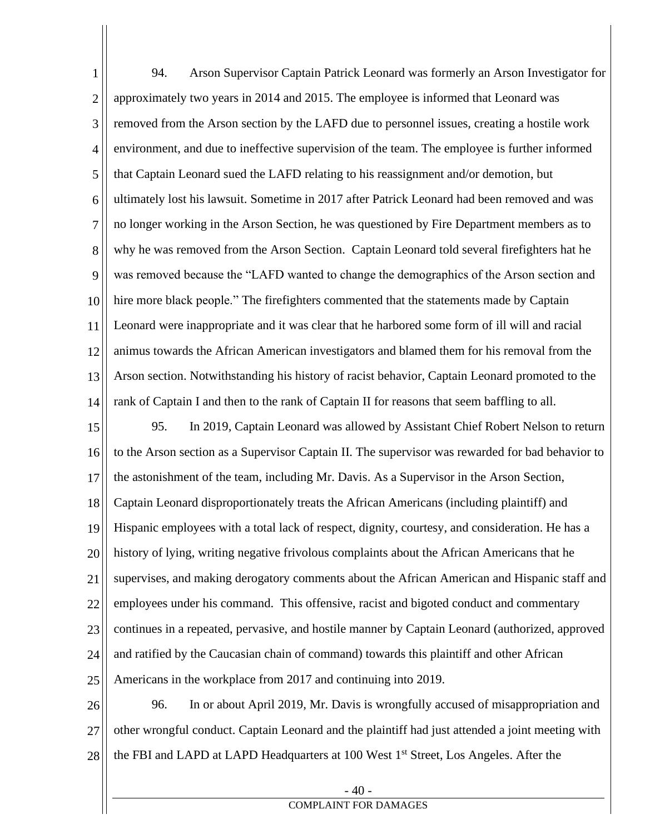1 2 3 4 5 6 7 8 9 10 11 12 13 14 94. Arson Supervisor Captain Patrick Leonard was formerly an Arson Investigator for approximately two years in 2014 and 2015. The employee is informed that Leonard was removed from the Arson section by the LAFD due to personnel issues, creating a hostile work environment, and due to ineffective supervision of the team. The employee is further informed that Captain Leonard sued the LAFD relating to his reassignment and/or demotion, but ultimately lost his lawsuit. Sometime in 2017 after Patrick Leonard had been removed and was no longer working in the Arson Section, he was questioned by Fire Department members as to why he was removed from the Arson Section. Captain Leonard told several firefighters hat he was removed because the "LAFD wanted to change the demographics of the Arson section and hire more black people." The firefighters commented that the statements made by Captain Leonard were inappropriate and it was clear that he harbored some form of ill will and racial animus towards the African American investigators and blamed them for his removal from the Arson section. Notwithstanding his history of racist behavior, Captain Leonard promoted to the rank of Captain I and then to the rank of Captain II for reasons that seem baffling to all.

15 16 17 18 19 20 21 22 23 24 25 95. In 2019, Captain Leonard was allowed by Assistant Chief Robert Nelson to return to the Arson section as a Supervisor Captain II. The supervisor was rewarded for bad behavior to the astonishment of the team, including Mr. Davis. As a Supervisor in the Arson Section, Captain Leonard disproportionately treats the African Americans (including plaintiff) and Hispanic employees with a total lack of respect, dignity, courtesy, and consideration. He has a history of lying, writing negative frivolous complaints about the African Americans that he supervises, and making derogatory comments about the African American and Hispanic staff and employees under his command. This offensive, racist and bigoted conduct and commentary continues in a repeated, pervasive, and hostile manner by Captain Leonard (authorized, approved and ratified by the Caucasian chain of command) towards this plaintiff and other African Americans in the workplace from 2017 and continuing into 2019.

26 27 28 96. In or about April 2019, Mr. Davis is wrongfully accused of misappropriation and other wrongful conduct. Captain Leonard and the plaintiff had just attended a joint meeting with the FBI and LAPD at LAPD Headquarters at 100 West 1<sup>st</sup> Street, Los Angeles. After the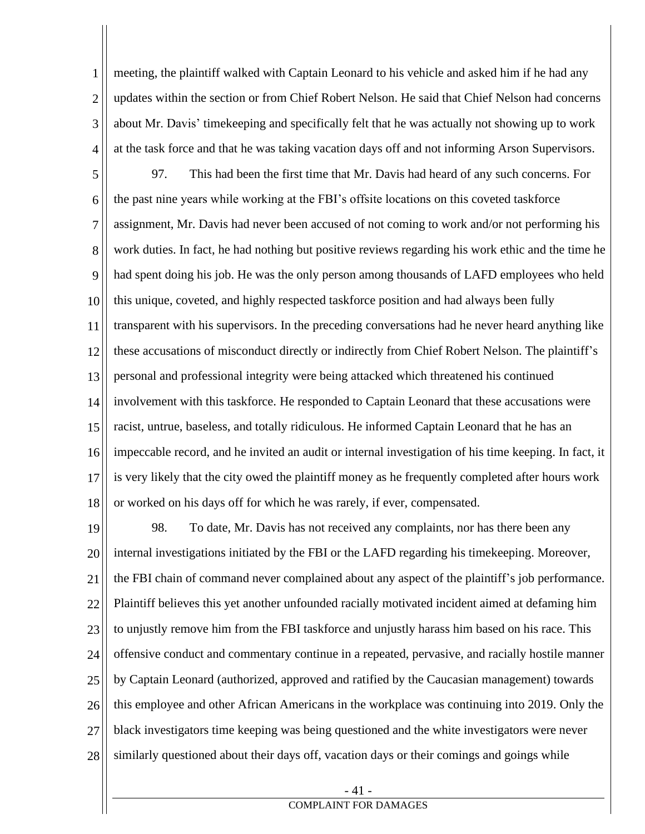1 2 3 4 meeting, the plaintiff walked with Captain Leonard to his vehicle and asked him if he had any updates within the section or from Chief Robert Nelson. He said that Chief Nelson had concerns about Mr. Davis' timekeeping and specifically felt that he was actually not showing up to work at the task force and that he was taking vacation days off and not informing Arson Supervisors.

5 6 7 8 9 10 11 12 13 14 15 16 17 18 97. This had been the first time that Mr. Davis had heard of any such concerns. For the past nine years while working at the FBI's offsite locations on this coveted taskforce assignment, Mr. Davis had never been accused of not coming to work and/or not performing his work duties. In fact, he had nothing but positive reviews regarding his work ethic and the time he had spent doing his job. He was the only person among thousands of LAFD employees who held this unique, coveted, and highly respected taskforce position and had always been fully transparent with his supervisors. In the preceding conversations had he never heard anything like these accusations of misconduct directly or indirectly from Chief Robert Nelson. The plaintiff's personal and professional integrity were being attacked which threatened his continued involvement with this taskforce. He responded to Captain Leonard that these accusations were racist, untrue, baseless, and totally ridiculous. He informed Captain Leonard that he has an impeccable record, and he invited an audit or internal investigation of his time keeping. In fact, it is very likely that the city owed the plaintiff money as he frequently completed after hours work or worked on his days off for which he was rarely, if ever, compensated.

19 20 21 22 23 24 25 26 27 28 98. To date, Mr. Davis has not received any complaints, nor has there been any internal investigations initiated by the FBI or the LAFD regarding his timekeeping. Moreover, the FBI chain of command never complained about any aspect of the plaintiff's job performance. Plaintiff believes this yet another unfounded racially motivated incident aimed at defaming him to unjustly remove him from the FBI taskforce and unjustly harass him based on his race. This offensive conduct and commentary continue in a repeated, pervasive, and racially hostile manner by Captain Leonard (authorized, approved and ratified by the Caucasian management) towards this employee and other African Americans in the workplace was continuing into 2019. Only the black investigators time keeping was being questioned and the white investigators were never similarly questioned about their days off, vacation days or their comings and goings while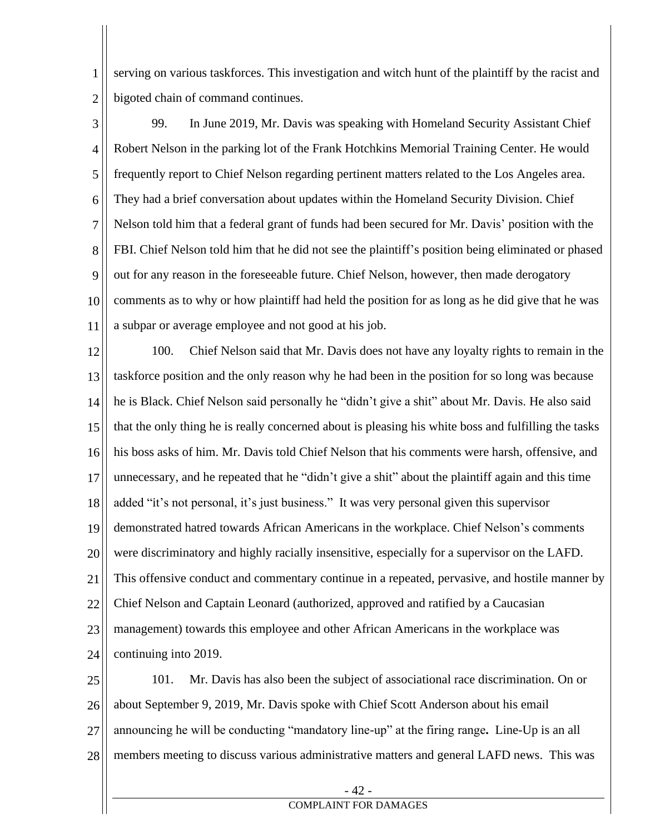1 2 serving on various taskforces. This investigation and witch hunt of the plaintiff by the racist and bigoted chain of command continues.

3 4 5 6 7 8 9 10 11 99. In June 2019, Mr. Davis was speaking with Homeland Security Assistant Chief Robert Nelson in the parking lot of the Frank Hotchkins Memorial Training Center. He would frequently report to Chief Nelson regarding pertinent matters related to the Los Angeles area. They had a brief conversation about updates within the Homeland Security Division. Chief Nelson told him that a federal grant of funds had been secured for Mr. Davis' position with the FBI. Chief Nelson told him that he did not see the plaintiff's position being eliminated or phased out for any reason in the foreseeable future. Chief Nelson, however, then made derogatory comments as to why or how plaintiff had held the position for as long as he did give that he was a subpar or average employee and not good at his job.

12 13 14 15 16 17 18 19 20 21 22 23 24 100. Chief Nelson said that Mr. Davis does not have any loyalty rights to remain in the taskforce position and the only reason why he had been in the position for so long was because he is Black. Chief Nelson said personally he "didn't give a shit" about Mr. Davis. He also said that the only thing he is really concerned about is pleasing his white boss and fulfilling the tasks his boss asks of him. Mr. Davis told Chief Nelson that his comments were harsh, offensive, and unnecessary, and he repeated that he "didn't give a shit" about the plaintiff again and this time added "it's not personal, it's just business." It was very personal given this supervisor demonstrated hatred towards African Americans in the workplace. Chief Nelson's comments were discriminatory and highly racially insensitive, especially for a supervisor on the LAFD. This offensive conduct and commentary continue in a repeated, pervasive, and hostile manner by Chief Nelson and Captain Leonard (authorized, approved and ratified by a Caucasian management) towards this employee and other African Americans in the workplace was continuing into 2019.

25 26 27 28 101. Mr. Davis has also been the subject of associational race discrimination. On or about September 9, 2019, Mr. Davis spoke with Chief Scott Anderson about his email announcing he will be conducting "mandatory line-up" at the firing range**.** Line-Up is an all members meeting to discuss various administrative matters and general LAFD news. This was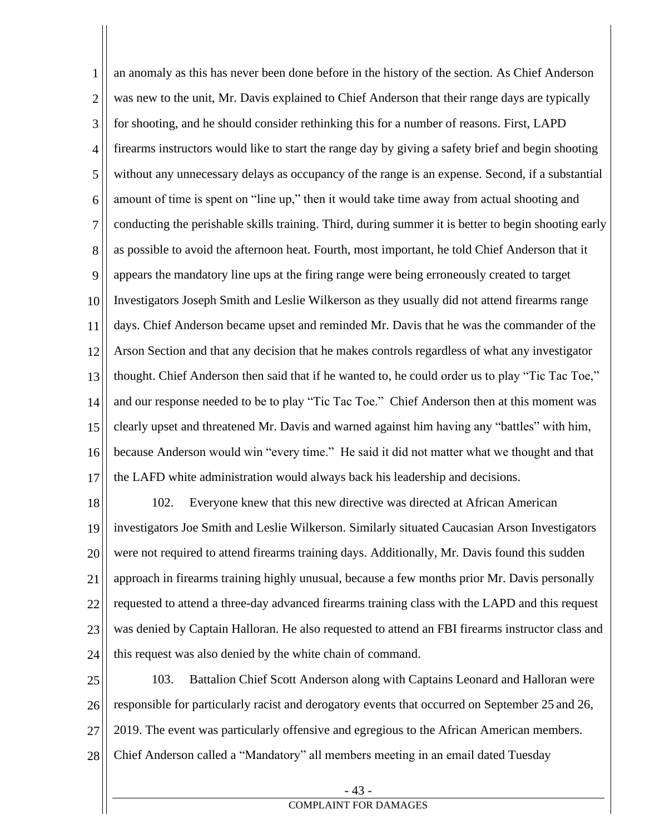1 2 3 4 5 6 7 8 9 10 11 12 13 14 15 16 17 an anomaly as this has never been done before in the history of the section. As Chief Anderson was new to the unit, Mr. Davis explained to Chief Anderson that their range days are typically for shooting, and he should consider rethinking this for a number of reasons. First, LAPD firearms instructors would like to start the range day by giving a safety brief and begin shooting without any unnecessary delays as occupancy of the range is an expense. Second, if a substantial amount of time is spent on "line up," then it would take time away from actual shooting and conducting the perishable skills training. Third, during summer it is better to begin shooting early as possible to avoid the afternoon heat. Fourth, most important, he told Chief Anderson that it appears the mandatory line ups at the firing range were being erroneously created to target Investigators Joseph Smith and Leslie Wilkerson as they usually did not attend firearms range days. Chief Anderson became upset and reminded Mr. Davis that he was the commander of the Arson Section and that any decision that he makes controls regardless of what any investigator thought. Chief Anderson then said that if he wanted to, he could order us to play "Tic Tac Toe," and our response needed to be to play "Tic Tac Toe." Chief Anderson then at this moment was clearly upset and threatened Mr. Davis and warned against him having any "battles" with him, because Anderson would win "every time." He said it did not matter what we thought and that the LAFD white administration would always back his leadership and decisions.

18 19 20 21 22 23 24 102. Everyone knew that this new directive was directed at African American investigators Joe Smith and Leslie Wilkerson. Similarly situated Caucasian Arson Investigators were not required to attend firearms training days. Additionally, Mr. Davis found this sudden approach in firearms training highly unusual, because a few months prior Mr. Davis personally requested to attend a three-day advanced firearms training class with the LAPD and this request was denied by Captain Halloran. He also requested to attend an FBI firearms instructor class and this request was also denied by the white chain of command.

25 26 27 28 103. Battalion Chief Scott Anderson along with Captains Leonard and Halloran were responsible for particularly racist and derogatory events that occurred on September 25 and 26, 2019. The event was particularly offensive and egregious to the African American members. Chief Anderson called a "Mandatory" all members meeting in an email dated Tuesday

### - 43 -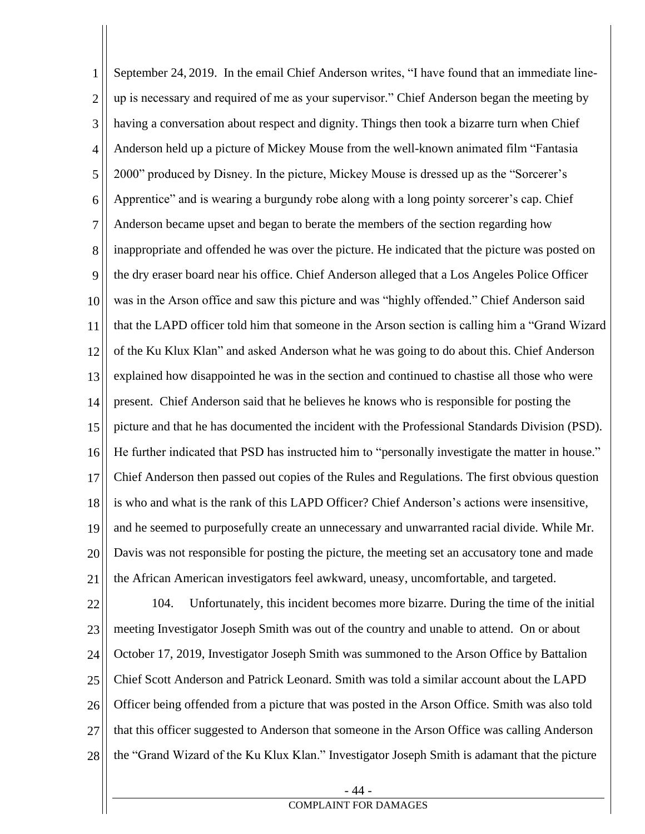1 2 3 4 5 6 7 8 9 10 11 12 13 14 15 16 17 18 19 20 21 September 24, 2019. In the email Chief Anderson writes, "I have found that an immediate lineup is necessary and required of me as your supervisor." Chief Anderson began the meeting by having a conversation about respect and dignity. Things then took a bizarre turn when Chief Anderson held up a picture of Mickey Mouse from the well-known animated film "Fantasia 2000" produced by Disney. In the picture, Mickey Mouse is dressed up as the "Sorcerer's Apprentice" and is wearing a burgundy robe along with a long pointy sorcerer's cap. Chief Anderson became upset and began to berate the members of the section regarding how inappropriate and offended he was over the picture. He indicated that the picture was posted on the dry eraser board near his office. Chief Anderson alleged that a Los Angeles Police Officer was in the Arson office and saw this picture and was "highly offended." Chief Anderson said that the LAPD officer told him that someone in the Arson section is calling him a "Grand Wizard of the Ku Klux Klan" and asked Anderson what he was going to do about this. Chief Anderson explained how disappointed he was in the section and continued to chastise all those who were present. Chief Anderson said that he believes he knows who is responsible for posting the picture and that he has documented the incident with the Professional Standards Division (PSD). He further indicated that PSD has instructed him to "personally investigate the matter in house." Chief Anderson then passed out copies of the Rules and Regulations. The first obvious question is who and what is the rank of this LAPD Officer? Chief Anderson's actions were insensitive, and he seemed to purposefully create an unnecessary and unwarranted racial divide. While Mr. Davis was not responsible for posting the picture, the meeting set an accusatory tone and made the African American investigators feel awkward, uneasy, uncomfortable, and targeted.

22 23 24 25 26 27 28 104. Unfortunately, this incident becomes more bizarre. During the time of the initial meeting Investigator Joseph Smith was out of the country and unable to attend. On or about October 17, 2019, Investigator Joseph Smith was summoned to the Arson Office by Battalion Chief Scott Anderson and Patrick Leonard. Smith was told a similar account about the LAPD Officer being offended from a picture that was posted in the Arson Office. Smith was also told that this officer suggested to Anderson that someone in the Arson Office was calling Anderson the "Grand Wizard of the Ku Klux Klan." Investigator Joseph Smith is adamant that the picture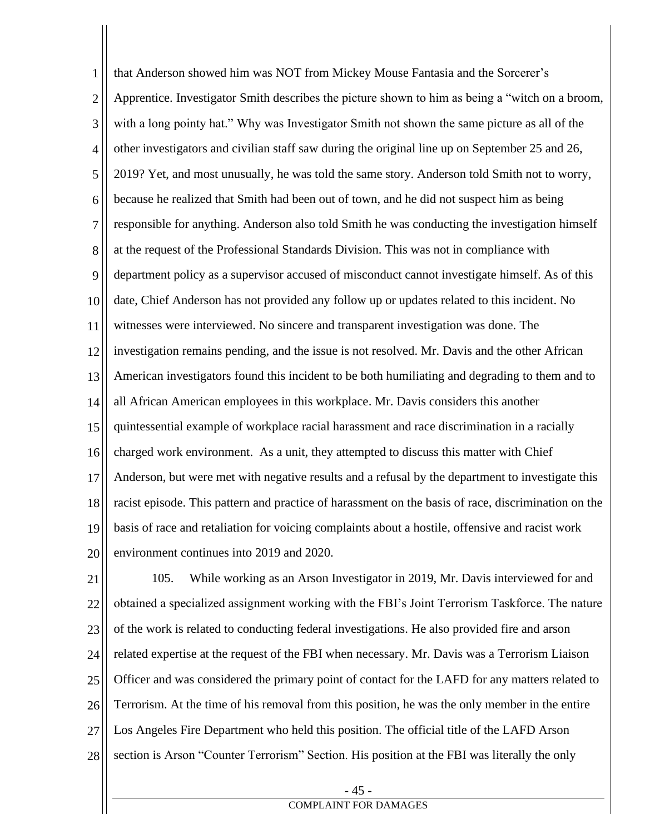1 2 3 4 5 6 7 8 9 10 11 12 13 14 15 16 17 18 19 20 that Anderson showed him was NOT from Mickey Mouse Fantasia and the Sorcerer's Apprentice. Investigator Smith describes the picture shown to him as being a "witch on a broom, with a long pointy hat." Why was Investigator Smith not shown the same picture as all of the other investigators and civilian staff saw during the original line up on September 25 and 26, 2019? Yet, and most unusually, he was told the same story. Anderson told Smith not to worry, because he realized that Smith had been out of town, and he did not suspect him as being responsible for anything. Anderson also told Smith he was conducting the investigation himself at the request of the Professional Standards Division. This was not in compliance with department policy as a supervisor accused of misconduct cannot investigate himself. As of this date, Chief Anderson has not provided any follow up or updates related to this incident. No witnesses were interviewed. No sincere and transparent investigation was done. The investigation remains pending, and the issue is not resolved. Mr. Davis and the other African American investigators found this incident to be both humiliating and degrading to them and to all African American employees in this workplace. Mr. Davis considers this another quintessential example of workplace racial harassment and race discrimination in a racially charged work environment. As a unit, they attempted to discuss this matter with Chief Anderson, but were met with negative results and a refusal by the department to investigate this racist episode. This pattern and practice of harassment on the basis of race, discrimination on the basis of race and retaliation for voicing complaints about a hostile, offensive and racist work environment continues into 2019 and 2020.

21 22 23 24 25 26 27 28 105. While working as an Arson Investigator in 2019, Mr. Davis interviewed for and obtained a specialized assignment working with the FBI's Joint Terrorism Taskforce. The nature of the work is related to conducting federal investigations. He also provided fire and arson related expertise at the request of the FBI when necessary. Mr. Davis was a Terrorism Liaison Officer and was considered the primary point of contact for the LAFD for any matters related to Terrorism. At the time of his removal from this position, he was the only member in the entire Los Angeles Fire Department who held this position. The official title of the LAFD Arson section is Arson "Counter Terrorism" Section. His position at the FBI was literally the only

- 45 -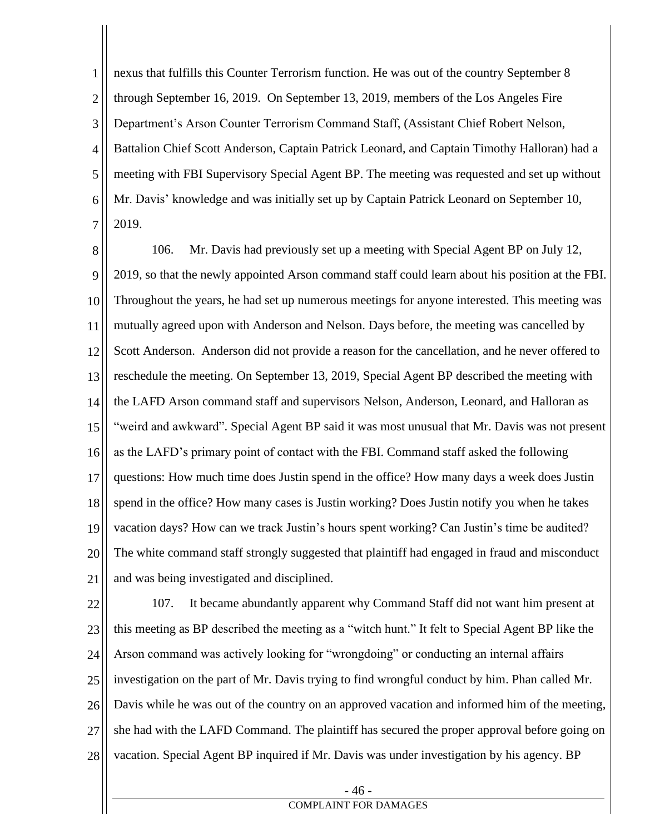1 2 3 4 5 6 7 nexus that fulfills this Counter Terrorism function. He was out of the country September 8 through September 16, 2019. On September 13, 2019, members of the Los Angeles Fire Department's Arson Counter Terrorism Command Staff, (Assistant Chief Robert Nelson, Battalion Chief Scott Anderson, Captain Patrick Leonard, and Captain Timothy Halloran) had a meeting with FBI Supervisory Special Agent BP. The meeting was requested and set up without Mr. Davis' knowledge and was initially set up by Captain Patrick Leonard on September 10, 2019.

8 9 10 11 12 13 14 15 16 17 18 19 20 21 106. Mr. Davis had previously set up a meeting with Special Agent BP on July 12, 2019, so that the newly appointed Arson command staff could learn about his position at the FBI. Throughout the years, he had set up numerous meetings for anyone interested. This meeting was mutually agreed upon with Anderson and Nelson. Days before, the meeting was cancelled by Scott Anderson. Anderson did not provide a reason for the cancellation, and he never offered to reschedule the meeting. On September 13, 2019, Special Agent BP described the meeting with the LAFD Arson command staff and supervisors Nelson, Anderson, Leonard, and Halloran as "weird and awkward". Special Agent BP said it was most unusual that Mr. Davis was not present as the LAFD's primary point of contact with the FBI. Command staff asked the following questions: How much time does Justin spend in the office? How many days a week does Justin spend in the office? How many cases is Justin working? Does Justin notify you when he takes vacation days? How can we track Justin's hours spent working? Can Justin's time be audited? The white command staff strongly suggested that plaintiff had engaged in fraud and misconduct and was being investigated and disciplined.

22 23 24 25 26 27 28 107. It became abundantly apparent why Command Staff did not want him present at this meeting as BP described the meeting as a "witch hunt." It felt to Special Agent BP like the Arson command was actively looking for "wrongdoing" or conducting an internal affairs investigation on the part of Mr. Davis trying to find wrongful conduct by him. Phan called Mr. Davis while he was out of the country on an approved vacation and informed him of the meeting, she had with the LAFD Command. The plaintiff has secured the proper approval before going on vacation. Special Agent BP inquired if Mr. Davis was under investigation by his agency. BP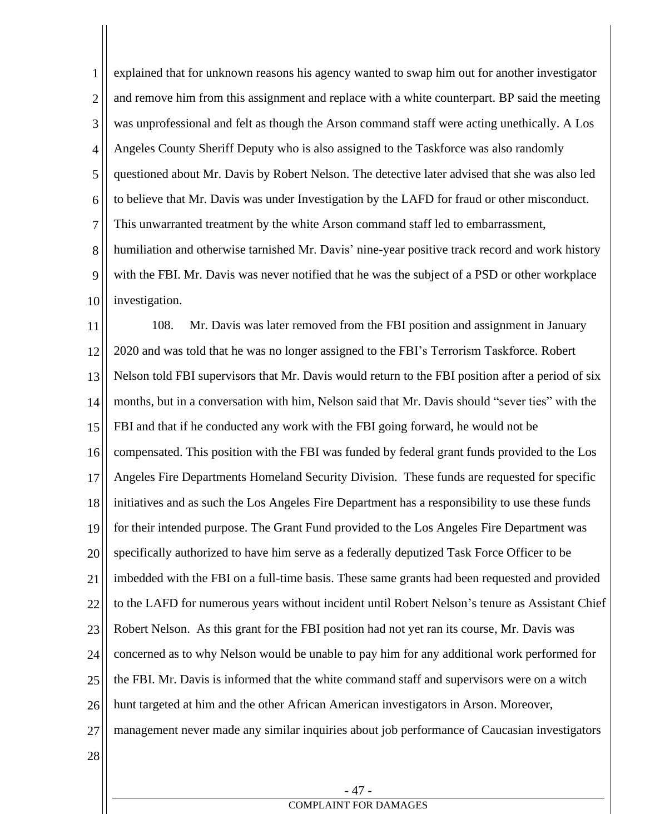1 2 3 4 5 6 7 8 9 10 explained that for unknown reasons his agency wanted to swap him out for another investigator and remove him from this assignment and replace with a white counterpart. BP said the meeting was unprofessional and felt as though the Arson command staff were acting unethically. A Los Angeles County Sheriff Deputy who is also assigned to the Taskforce was also randomly questioned about Mr. Davis by Robert Nelson. The detective later advised that she was also led to believe that Mr. Davis was under Investigation by the LAFD for fraud or other misconduct. This unwarranted treatment by the white Arson command staff led to embarrassment, humiliation and otherwise tarnished Mr. Davis' nine-year positive track record and work history with the FBI. Mr. Davis was never notified that he was the subject of a PSD or other workplace investigation.

11 12 13 14 15 16 17 18 19 20 21 22 23 24 25 26 27 108. Mr. Davis was later removed from the FBI position and assignment in January 2020 and was told that he was no longer assigned to the FBI's Terrorism Taskforce. Robert Nelson told FBI supervisors that Mr. Davis would return to the FBI position after a period of six months, but in a conversation with him, Nelson said that Mr. Davis should "sever ties" with the FBI and that if he conducted any work with the FBI going forward, he would not be compensated. This position with the FBI was funded by federal grant funds provided to the Los Angeles Fire Departments Homeland Security Division. These funds are requested for specific initiatives and as such the Los Angeles Fire Department has a responsibility to use these funds for their intended purpose. The Grant Fund provided to the Los Angeles Fire Department was specifically authorized to have him serve as a federally deputized Task Force Officer to be imbedded with the FBI on a full-time basis. These same grants had been requested and provided to the LAFD for numerous years without incident until Robert Nelson's tenure as Assistant Chief Robert Nelson. As this grant for the FBI position had not yet ran its course, Mr. Davis was concerned as to why Nelson would be unable to pay him for any additional work performed for the FBI. Mr. Davis is informed that the white command staff and supervisors were on a witch hunt targeted at him and the other African American investigators in Arson. Moreover, management never made any similar inquiries about job performance of Caucasian investigators

28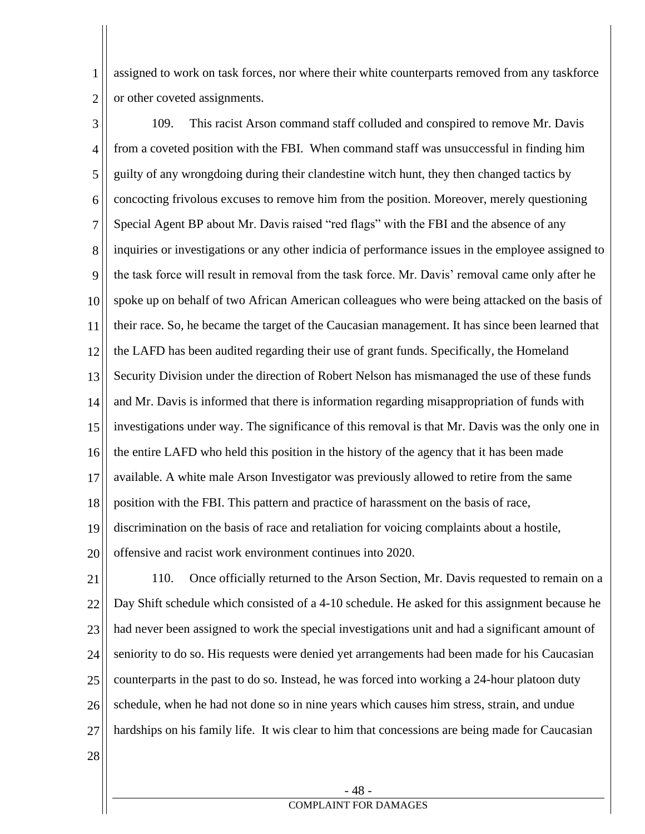1 2 assigned to work on task forces, nor where their white counterparts removed from any taskforce or other coveted assignments.

3 4 5 6 7 8 9 10 11 12 13 14 15 16 17 18 19 20 109. This racist Arson command staff colluded and conspired to remove Mr. Davis from a coveted position with the FBI. When command staff was unsuccessful in finding him guilty of any wrongdoing during their clandestine witch hunt, they then changed tactics by concocting frivolous excuses to remove him from the position. Moreover, merely questioning Special Agent BP about Mr. Davis raised "red flags" with the FBI and the absence of any inquiries or investigations or any other indicia of performance issues in the employee assigned to the task force will result in removal from the task force. Mr. Davis' removal came only after he spoke up on behalf of two African American colleagues who were being attacked on the basis of their race. So, he became the target of the Caucasian management. It has since been learned that the LAFD has been audited regarding their use of grant funds. Specifically, the Homeland Security Division under the direction of Robert Nelson has mismanaged the use of these funds and Mr. Davis is informed that there is information regarding misappropriation of funds with investigations under way. The significance of this removal is that Mr. Davis was the only one in the entire LAFD who held this position in the history of the agency that it has been made available. A white male Arson Investigator was previously allowed to retire from the same position with the FBI. This pattern and practice of harassment on the basis of race, discrimination on the basis of race and retaliation for voicing complaints about a hostile, offensive and racist work environment continues into 2020.

21 22 23 24 25 26 27 110. Once officially returned to the Arson Section, Mr. Davis requested to remain on a Day Shift schedule which consisted of a 4-10 schedule. He asked for this assignment because he had never been assigned to work the special investigations unit and had a significant amount of seniority to do so. His requests were denied yet arrangements had been made for his Caucasian counterparts in the past to do so. Instead, he was forced into working a 24-hour platoon duty schedule, when he had not done so in nine years which causes him stress, strain, and undue hardships on his family life. It wis clear to him that concessions are being made for Caucasian

28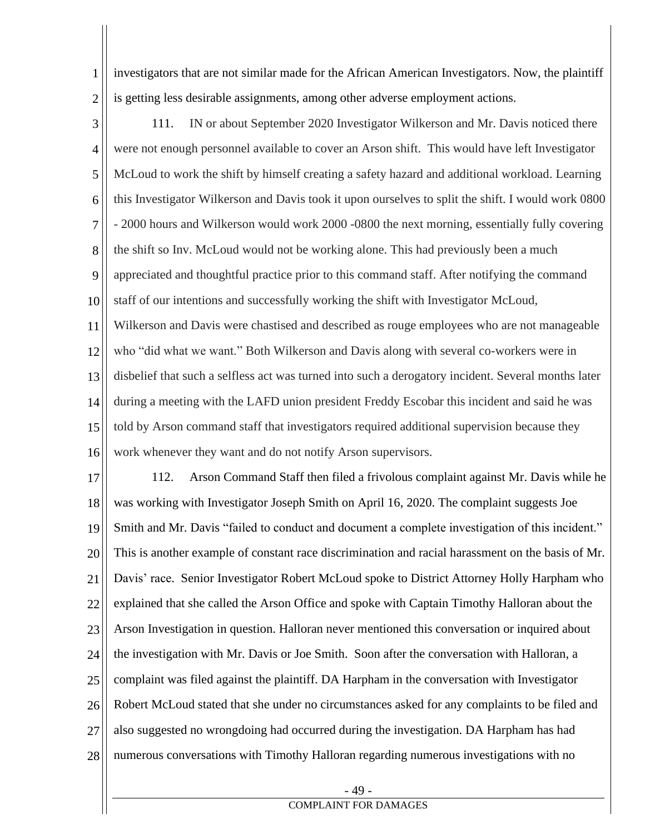investigators that are not similar made for the African American Investigators. Now, the plaintiff is getting less desirable assignments, among other adverse employment actions.

2

1

3 4 5 6 7 8 9 10 11 12 13 14 15 111. IN or about September 2020 Investigator Wilkerson and Mr. Davis noticed there were not enough personnel available to cover an Arson shift. This would have left Investigator McLoud to work the shift by himself creating a safety hazard and additional workload. Learning this Investigator Wilkerson and Davis took it upon ourselves to split the shift. I would work 0800 - 2000 hours and Wilkerson would work 2000 -0800 the next morning, essentially fully covering the shift so Inv. McLoud would not be working alone. This had previously been a much appreciated and thoughtful practice prior to this command staff. After notifying the command staff of our intentions and successfully working the shift with Investigator McLoud, Wilkerson and Davis were chastised and described as rouge employees who are not manageable who "did what we want." Both Wilkerson and Davis along with several co-workers were in disbelief that such a selfless act was turned into such a derogatory incident. Several months later during a meeting with the LAFD union president Freddy Escobar this incident and said he was told by Arson command staff that investigators required additional supervision because they

16 work whenever they want and do not notify Arson supervisors.

17 18 19 20 21 22 23 24 25 26 27 28 112. Arson Command Staff then filed a frivolous complaint against Mr. Davis while he was working with Investigator Joseph Smith on April 16, 2020. The complaint suggests Joe Smith and Mr. Davis "failed to conduct and document a complete investigation of this incident." This is another example of constant race discrimination and racial harassment on the basis of Mr. Davis' race. Senior Investigator Robert McLoud spoke to District Attorney Holly Harpham who explained that she called the Arson Office and spoke with Captain Timothy Halloran about the Arson Investigation in question. Halloran never mentioned this conversation or inquired about the investigation with Mr. Davis or Joe Smith. Soon after the conversation with Halloran, a complaint was filed against the plaintiff. DA Harpham in the conversation with Investigator Robert McLoud stated that she under no circumstances asked for any complaints to be filed and also suggested no wrongdoing had occurred during the investigation. DA Harpham has had numerous conversations with Timothy Halloran regarding numerous investigations with no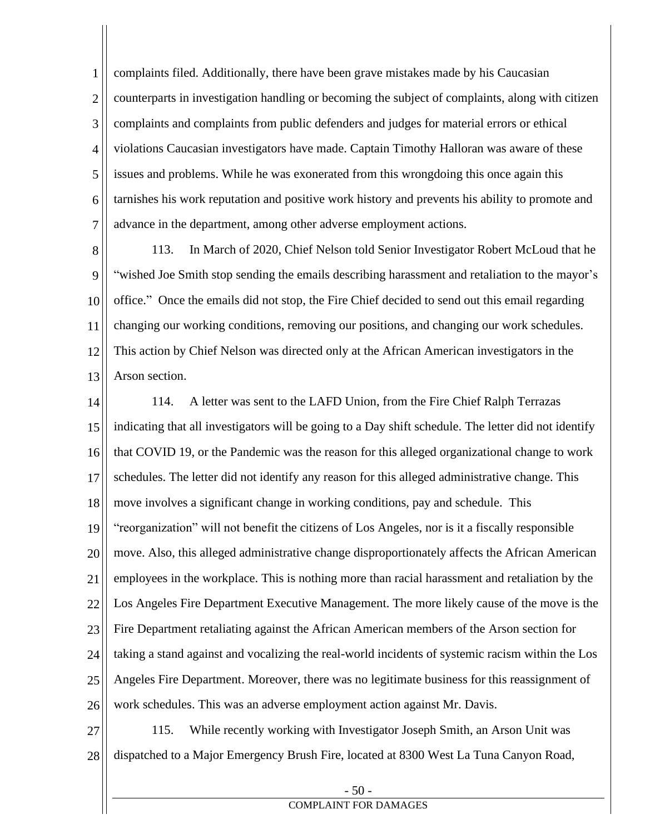1 2 3 4 5 6 7 complaints filed. Additionally, there have been grave mistakes made by his Caucasian counterparts in investigation handling or becoming the subject of complaints, along with citizen complaints and complaints from public defenders and judges for material errors or ethical violations Caucasian investigators have made. Captain Timothy Halloran was aware of these issues and problems. While he was exonerated from this wrongdoing this once again this tarnishes his work reputation and positive work history and prevents his ability to promote and advance in the department, among other adverse employment actions.

8 9 10 11 12 13 113. In March of 2020, Chief Nelson told Senior Investigator Robert McLoud that he "wished Joe Smith stop sending the emails describing harassment and retaliation to the mayor's office." Once the emails did not stop, the Fire Chief decided to send out this email regarding changing our working conditions, removing our positions, and changing our work schedules. This action by Chief Nelson was directed only at the African American investigators in the Arson section.

14 15 16 17 18 19 20 21 22 23 24 25 26 114. A letter was sent to the LAFD Union, from the Fire Chief Ralph Terrazas indicating that all investigators will be going to a Day shift schedule. The letter did not identify that COVID 19, or the Pandemic was the reason for this alleged organizational change to work schedules. The letter did not identify any reason for this alleged administrative change. This move involves a significant change in working conditions, pay and schedule. This "reorganization" will not benefit the citizens of Los Angeles, nor is it a fiscally responsible move. Also, this alleged administrative change disproportionately affects the African American employees in the workplace. This is nothing more than racial harassment and retaliation by the Los Angeles Fire Department Executive Management. The more likely cause of the move is the Fire Department retaliating against the African American members of the Arson section for taking a stand against and vocalizing the real-world incidents of systemic racism within the Los Angeles Fire Department. Moreover, there was no legitimate business for this reassignment of work schedules. This was an adverse employment action against Mr. Davis.

27 28 115. While recently working with Investigator Joseph Smith, an Arson Unit was dispatched to a Major Emergency Brush Fire, located at 8300 West La Tuna Canyon Road,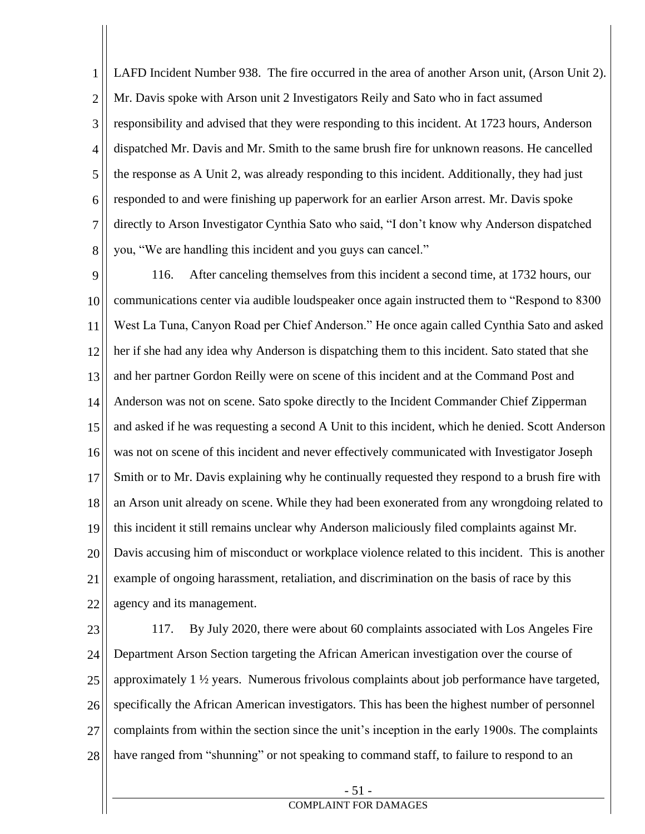1 2 3 4 5 6 7 8 LAFD Incident Number 938. The fire occurred in the area of another Arson unit, (Arson Unit 2). Mr. Davis spoke with Arson unit 2 Investigators Reily and Sato who in fact assumed responsibility and advised that they were responding to this incident. At 1723 hours, Anderson dispatched Mr. Davis and Mr. Smith to the same brush fire for unknown reasons. He cancelled the response as A Unit 2, was already responding to this incident. Additionally, they had just responded to and were finishing up paperwork for an earlier Arson arrest. Mr. Davis spoke directly to Arson Investigator Cynthia Sato who said, "I don't know why Anderson dispatched you, "We are handling this incident and you guys can cancel."

9 10 11 12 13 14 15 16 17 18 19 20 21 22 116. After canceling themselves from this incident a second time, at 1732 hours, our communications center via audible loudspeaker once again instructed them to "Respond to 8300 West La Tuna, Canyon Road per Chief Anderson." He once again called Cynthia Sato and asked her if she had any idea why Anderson is dispatching them to this incident. Sato stated that she and her partner Gordon Reilly were on scene of this incident and at the Command Post and Anderson was not on scene. Sato spoke directly to the Incident Commander Chief Zipperman and asked if he was requesting a second A Unit to this incident, which he denied. Scott Anderson was not on scene of this incident and never effectively communicated with Investigator Joseph Smith or to Mr. Davis explaining why he continually requested they respond to a brush fire with an Arson unit already on scene. While they had been exonerated from any wrongdoing related to this incident it still remains unclear why Anderson maliciously filed complaints against Mr. Davis accusing him of misconduct or workplace violence related to this incident. This is another example of ongoing harassment, retaliation, and discrimination on the basis of race by this agency and its management.

23 24 25 26 27 28 117. By July 2020, there were about 60 complaints associated with Los Angeles Fire Department Arson Section targeting the African American investigation over the course of approximately 1 ½ years. Numerous frivolous complaints about job performance have targeted, specifically the African American investigators. This has been the highest number of personnel complaints from within the section since the unit's inception in the early 1900s. The complaints have ranged from "shunning" or not speaking to command staff, to failure to respond to an

### - 51 -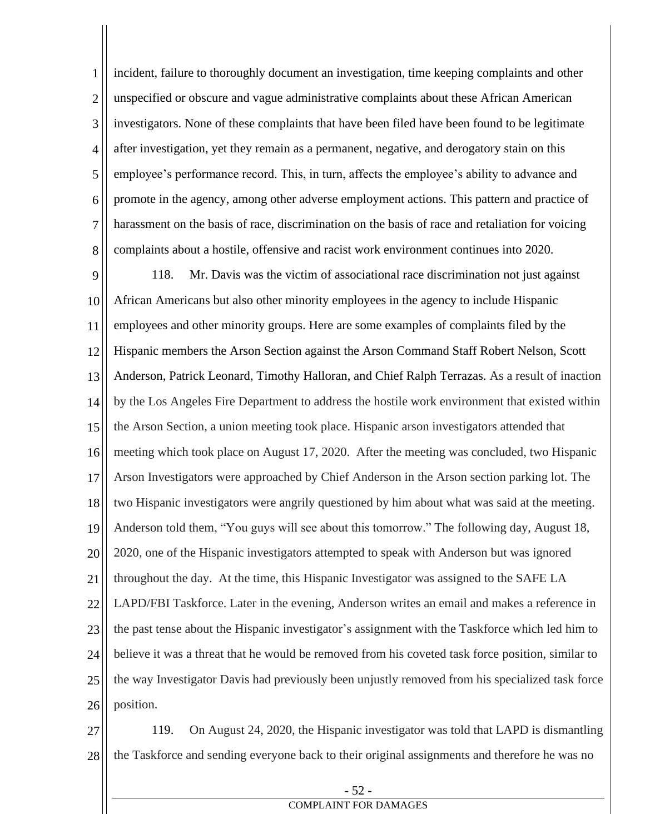1 2 3 4 5 6 7 8 incident, failure to thoroughly document an investigation, time keeping complaints and other unspecified or obscure and vague administrative complaints about these African American investigators. None of these complaints that have been filed have been found to be legitimate after investigation, yet they remain as a permanent, negative, and derogatory stain on this employee's performance record. This, in turn, affects the employee's ability to advance and promote in the agency, among other adverse employment actions. This pattern and practice of harassment on the basis of race, discrimination on the basis of race and retaliation for voicing complaints about a hostile, offensive and racist work environment continues into 2020.

9 10 11 12 13 14 15 16 17 18 19 20 21 22 23 24 25 26 118. Mr. Davis was the victim of associational race discrimination not just against African Americans but also other minority employees in the agency to include Hispanic employees and other minority groups. Here are some examples of complaints filed by the Hispanic members the Arson Section against the Arson Command Staff Robert Nelson, Scott Anderson, Patrick Leonard, Timothy Halloran, and Chief Ralph Terrazas. As a result of inaction by the Los Angeles Fire Department to address the hostile work environment that existed within the Arson Section, a union meeting took place. Hispanic arson investigators attended that meeting which took place on August 17, 2020. After the meeting was concluded, two Hispanic Arson Investigators were approached by Chief Anderson in the Arson section parking lot. The two Hispanic investigators were angrily questioned by him about what was said at the meeting. Anderson told them, "You guys will see about this tomorrow." The following day, August 18, 2020, one of the Hispanic investigators attempted to speak with Anderson but was ignored throughout the day. At the time, this Hispanic Investigator was assigned to the SAFE LA LAPD/FBI Taskforce. Later in the evening, Anderson writes an email and makes a reference in the past tense about the Hispanic investigator's assignment with the Taskforce which led him to believe it was a threat that he would be removed from his coveted task force position, similar to the way Investigator Davis had previously been unjustly removed from his specialized task force position.

27 28 119. On August 24, 2020, the Hispanic investigator was told that LAPD is dismantling the Taskforce and sending everyone back to their original assignments and therefore he was no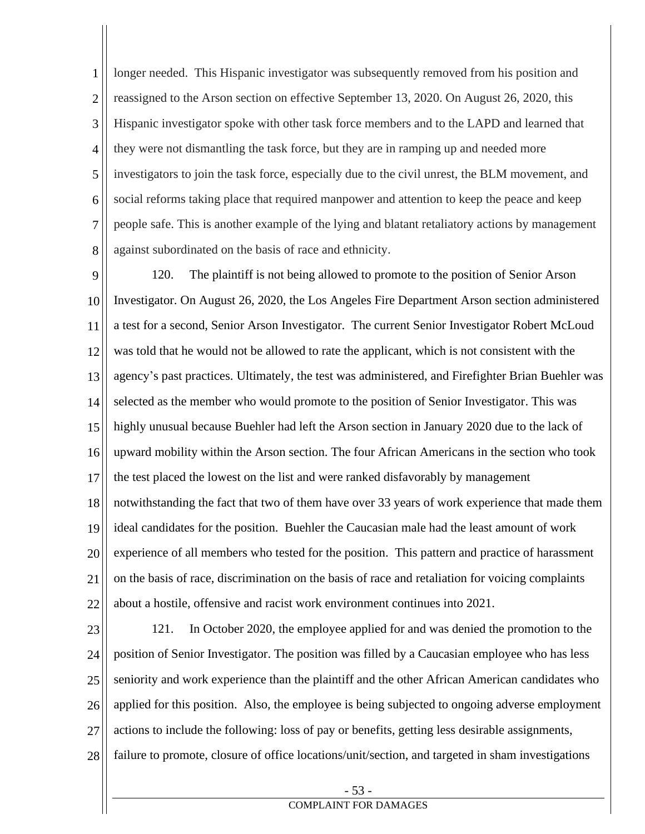1 2 3 4 5 6 7 8 longer needed. This Hispanic investigator was subsequently removed from his position and reassigned to the Arson section on effective September 13, 2020. On August 26, 2020, this Hispanic investigator spoke with other task force members and to the LAPD and learned that they were not dismantling the task force, but they are in ramping up and needed more investigators to join the task force, especially due to the civil unrest, the BLM movement, and social reforms taking place that required manpower and attention to keep the peace and keep people safe. This is another example of the lying and blatant retaliatory actions by management against subordinated on the basis of race and ethnicity.

9 10 11 12 13 14 15 16 17 18 19 20 21 22 120. The plaintiff is not being allowed to promote to the position of Senior Arson Investigator. On August 26, 2020, the Los Angeles Fire Department Arson section administered a test for a second, Senior Arson Investigator. The current Senior Investigator Robert McLoud was told that he would not be allowed to rate the applicant, which is not consistent with the agency's past practices. Ultimately, the test was administered, and Firefighter Brian Buehler was selected as the member who would promote to the position of Senior Investigator. This was highly unusual because Buehler had left the Arson section in January 2020 due to the lack of upward mobility within the Arson section. The four African Americans in the section who took the test placed the lowest on the list and were ranked disfavorably by management notwithstanding the fact that two of them have over 33 years of work experience that made them ideal candidates for the position. Buehler the Caucasian male had the least amount of work experience of all members who tested for the position. This pattern and practice of harassment on the basis of race, discrimination on the basis of race and retaliation for voicing complaints about a hostile, offensive and racist work environment continues into 2021.

23

24 25 26 27 121. In October 2020, the employee applied for and was denied the promotion to the position of Senior Investigator. The position was filled by a Caucasian employee who has less seniority and work experience than the plaintiff and the other African American candidates who applied for this position. Also, the employee is being subjected to ongoing adverse employment actions to include the following: loss of pay or benefits, getting less desirable assignments, failure to promote, closure of office locations/unit/section, and targeted in sham investigations

28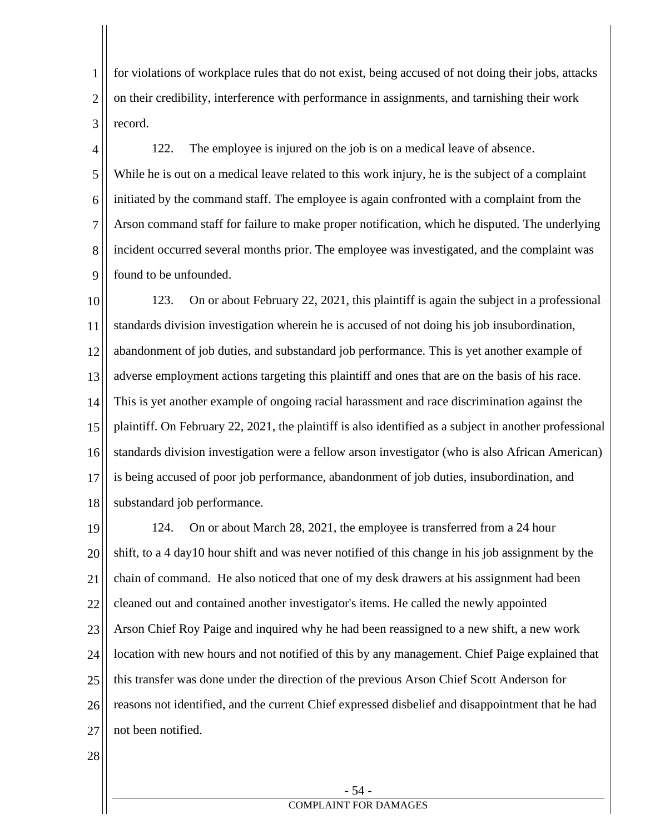1 2 3 for violations of workplace rules that do not exist, being accused of not doing their jobs, attacks on their credibility, interference with performance in assignments, and tarnishing their work record.

4 5 6 7 8 9 122. The employee is injured on the job is on a medical leave of absence. While he is out on a medical leave related to this work injury, he is the subject of a complaint initiated by the command staff. The employee is again confronted with a complaint from the Arson command staff for failure to make proper notification, which he disputed. The underlying incident occurred several months prior. The employee was investigated, and the complaint was found to be unfounded.

10 11 12 13 14 15 16 17 18 123. On or about February 22, 2021, this plaintiff is again the subject in a professional standards division investigation wherein he is accused of not doing his job insubordination, abandonment of job duties, and substandard job performance. This is yet another example of adverse employment actions targeting this plaintiff and ones that are on the basis of his race. This is yet another example of ongoing racial harassment and race discrimination against the plaintiff. On February 22, 2021, the plaintiff is also identified as a subject in another professional standards division investigation were a fellow arson investigator (who is also African American) is being accused of poor job performance, abandonment of job duties, insubordination, and substandard job performance.

19 20 21 22 23 24 25 26 27 124. On or about March 28, 2021, the employee is transferred from a 24 hour shift, to a 4 day10 hour shift and was never notified of this change in his job assignment by the chain of command. He also noticed that one of my desk drawers at his assignment had been cleaned out and contained another investigator's items. He called the newly appointed Arson Chief Roy Paige and inquired why he had been reassigned to a new shift, a new work location with new hours and not notified of this by any management. Chief Paige explained that this transfer was done under the direction of the previous Arson Chief Scott Anderson for reasons not identified, and the current Chief expressed disbelief and disappointment that he had not been notified.

28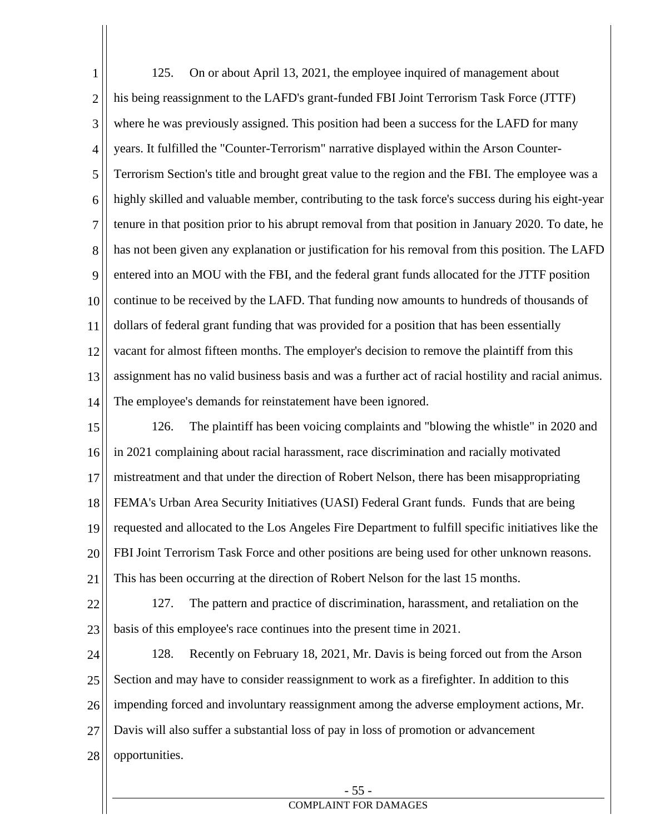1 2 3 4 5 6 7 8 9 10 11 12 13 14 125. On or about April 13, 2021, the employee inquired of management about his being reassignment to the LAFD's grant-funded FBI Joint Terrorism Task Force (JTTF) where he was previously assigned. This position had been a success for the LAFD for many years. It fulfilled the "Counter-Terrorism" narrative displayed within the Arson Counter-Terrorism Section's title and brought great value to the region and the FBI. The employee was a highly skilled and valuable member, contributing to the task force's success during his eight-year tenure in that position prior to his abrupt removal from that position in January 2020. To date, he has not been given any explanation or justification for his removal from this position. The LAFD entered into an MOU with the FBI, and the federal grant funds allocated for the JTTF position continue to be received by the LAFD. That funding now amounts to hundreds of thousands of dollars of federal grant funding that was provided for a position that has been essentially vacant for almost fifteen months. The employer's decision to remove the plaintiff from this assignment has no valid business basis and was a further act of racial hostility and racial animus. The employee's demands for reinstatement have been ignored.

15 16 17 18 19 20 21 126. The plaintiff has been voicing complaints and "blowing the whistle" in 2020 and in 2021 complaining about racial harassment, race discrimination and racially motivated mistreatment and that under the direction of Robert Nelson, there has been misappropriating FEMA's Urban Area Security Initiatives (UASI) Federal Grant funds. Funds that are being requested and allocated to the Los Angeles Fire Department to fulfill specific initiatives like the FBI Joint Terrorism Task Force and other positions are being used for other unknown reasons. This has been occurring at the direction of Robert Nelson for the last 15 months.

22 23 127. The pattern and practice of discrimination, harassment, and retaliation on the basis of this employee's race continues into the present time in 2021.

24 25 26 27 28 128. Recently on February 18, 2021, Mr. Davis is being forced out from the Arson Section and may have to consider reassignment to work as a firefighter. In addition to this impending forced and involuntary reassignment among the adverse employment actions, Mr. Davis will also suffer a substantial loss of pay in loss of promotion or advancement opportunities.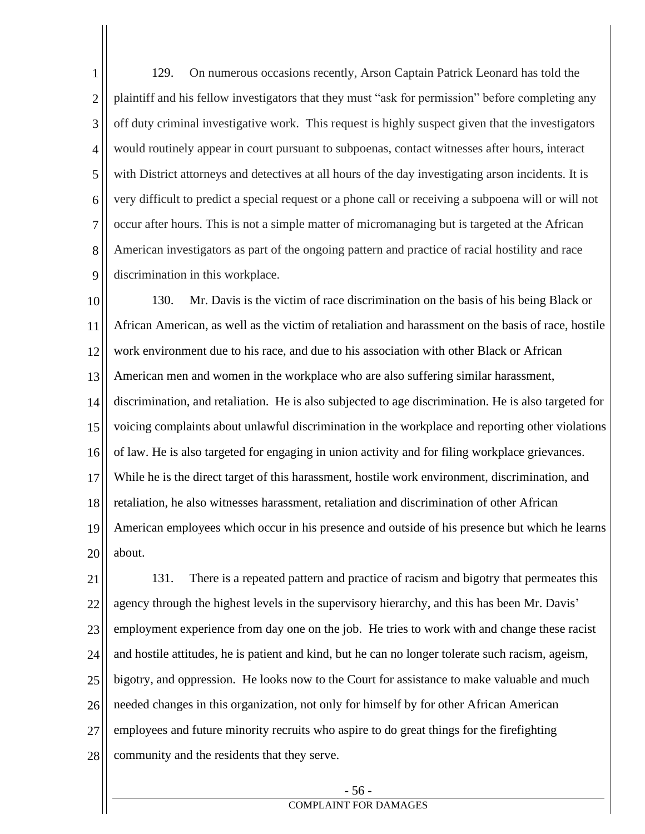1 2 3 4 5 6 7 8 9 129. On numerous occasions recently, Arson Captain Patrick Leonard has told the plaintiff and his fellow investigators that they must "ask for permission" before completing any off duty criminal investigative work. This request is highly suspect given that the investigators would routinely appear in court pursuant to subpoenas, contact witnesses after hours, interact with District attorneys and detectives at all hours of the day investigating arson incidents. It is very difficult to predict a special request or a phone call or receiving a subpoena will or will not occur after hours. This is not a simple matter of micromanaging but is targeted at the African American investigators as part of the ongoing pattern and practice of racial hostility and race discrimination in this workplace.

10 11 12 13 14 15 16 17 18 19 20 130. Mr. Davis is the victim of race discrimination on the basis of his being Black or African American, as well as the victim of retaliation and harassment on the basis of race, hostile work environment due to his race, and due to his association with other Black or African American men and women in the workplace who are also suffering similar harassment, discrimination, and retaliation. He is also subjected to age discrimination. He is also targeted for voicing complaints about unlawful discrimination in the workplace and reporting other violations of law. He is also targeted for engaging in union activity and for filing workplace grievances. While he is the direct target of this harassment, hostile work environment, discrimination, and retaliation, he also witnesses harassment, retaliation and discrimination of other African American employees which occur in his presence and outside of his presence but which he learns about.

21 22 23 24 25 26 27 28 131. There is a repeated pattern and practice of racism and bigotry that permeates this agency through the highest levels in the supervisory hierarchy, and this has been Mr. Davis' employment experience from day one on the job. He tries to work with and change these racist and hostile attitudes, he is patient and kind, but he can no longer tolerate such racism, ageism, bigotry, and oppression. He looks now to the Court for assistance to make valuable and much needed changes in this organization, not only for himself by for other African American employees and future minority recruits who aspire to do great things for the firefighting community and the residents that they serve.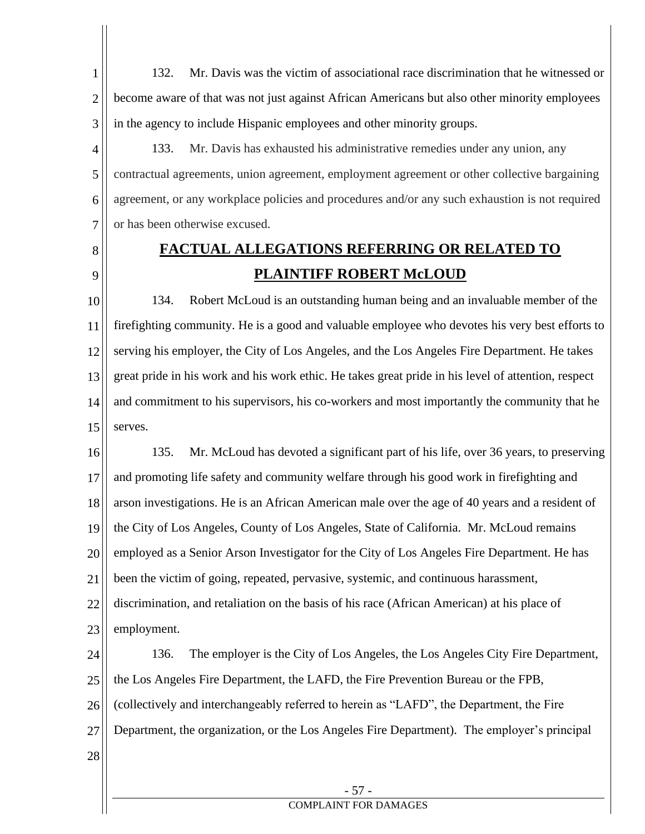1 2 3 132. Mr. Davis was the victim of associational race discrimination that he witnessed or become aware of that was not just against African Americans but also other minority employees in the agency to include Hispanic employees and other minority groups.

4 5 6 7 133. Mr. Davis has exhausted his administrative remedies under any union, any contractual agreements, union agreement, employment agreement or other collective bargaining agreement, or any workplace policies and procedures and/or any such exhaustion is not required or has been otherwise excused.

# 8

9

## **FACTUAL ALLEGATIONS REFERRING OR RELATED TO PLAINTIFF ROBERT McLOUD**

10 11 12 13 14 15 134. Robert McLoud is an outstanding human being and an invaluable member of the firefighting community. He is a good and valuable employee who devotes his very best efforts to serving his employer, the City of Los Angeles, and the Los Angeles Fire Department. He takes great pride in his work and his work ethic. He takes great pride in his level of attention, respect and commitment to his supervisors, his co-workers and most importantly the community that he serves.

16 17 18 19 20 21 22 23 135. Mr. McLoud has devoted a significant part of his life, over 36 years, to preserving and promoting life safety and community welfare through his good work in firefighting and arson investigations. He is an African American male over the age of 40 years and a resident of the City of Los Angeles, County of Los Angeles, State of California. Mr. McLoud remains employed as a Senior Arson Investigator for the City of Los Angeles Fire Department. He has been the victim of going, repeated, pervasive, systemic, and continuous harassment, discrimination, and retaliation on the basis of his race (African American) at his place of employment.

24 25 26 27 28 136. The employer is the City of Los Angeles, the Los Angeles City Fire Department, the Los Angeles Fire Department, the LAFD, the Fire Prevention Bureau or the FPB, (collectively and interchangeably referred to herein as "LAFD", the Department, the Fire Department, the organization, or the Los Angeles Fire Department). The employer's principal

### - 57 -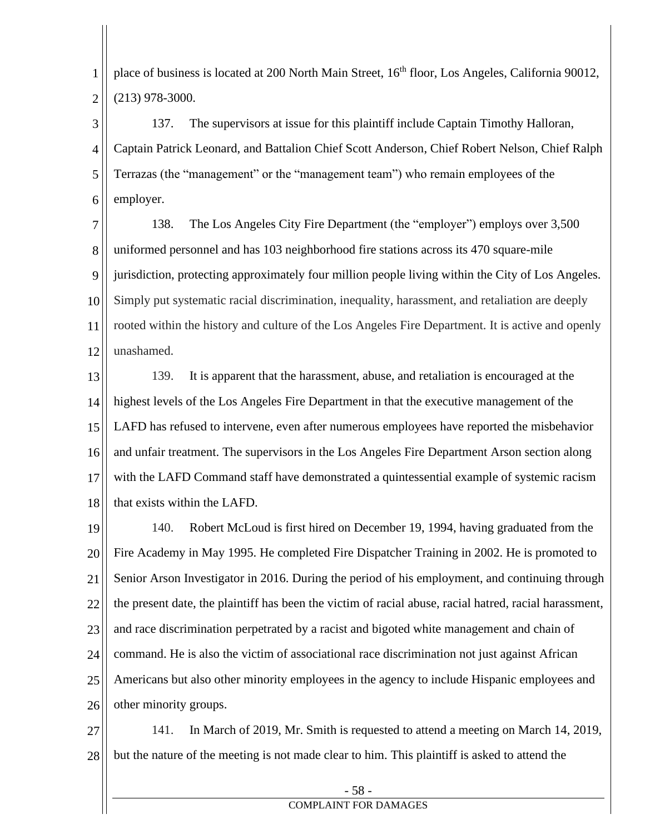1 2 place of business is located at 200 North Main Street, 16<sup>th</sup> floor, Los Angeles, California 90012, (213) 978-3000.

3 4 5 6 137. The supervisors at issue for this plaintiff include Captain Timothy Halloran, Captain Patrick Leonard, and Battalion Chief Scott Anderson, Chief Robert Nelson, Chief Ralph Terrazas (the "management" or the "management team") who remain employees of the employer.

7 8 9 10 11 12 138. The Los Angeles City Fire Department (the "employer") employs over 3,500 uniformed personnel and has 103 neighborhood fire stations across its 470 square-mile jurisdiction, protecting approximately four million people living within the City of Los Angeles. Simply put systematic racial discrimination, inequality, harassment, and retaliation are deeply rooted within the history and culture of the Los Angeles Fire Department. It is active and openly unashamed.

13 14 15 16 17 18 139. It is apparent that the harassment, abuse, and retaliation is encouraged at the highest levels of the Los Angeles Fire Department in that the executive management of the LAFD has refused to intervene, even after numerous employees have reported the misbehavior and unfair treatment. The supervisors in the Los Angeles Fire Department Arson section along with the LAFD Command staff have demonstrated a quintessential example of systemic racism that exists within the LAFD.

19 20 21 22 23 24 25 26 140. Robert McLoud is first hired on December 19, 1994, having graduated from the Fire Academy in May 1995. He completed Fire Dispatcher Training in 2002. He is promoted to Senior Arson Investigator in 2016. During the period of his employment, and continuing through the present date, the plaintiff has been the victim of racial abuse, racial hatred, racial harassment, and race discrimination perpetrated by a racist and bigoted white management and chain of command. He is also the victim of associational race discrimination not just against African Americans but also other minority employees in the agency to include Hispanic employees and other minority groups.

27 28 141. In March of 2019, Mr. Smith is requested to attend a meeting on March 14, 2019, but the nature of the meeting is not made clear to him. This plaintiff is asked to attend the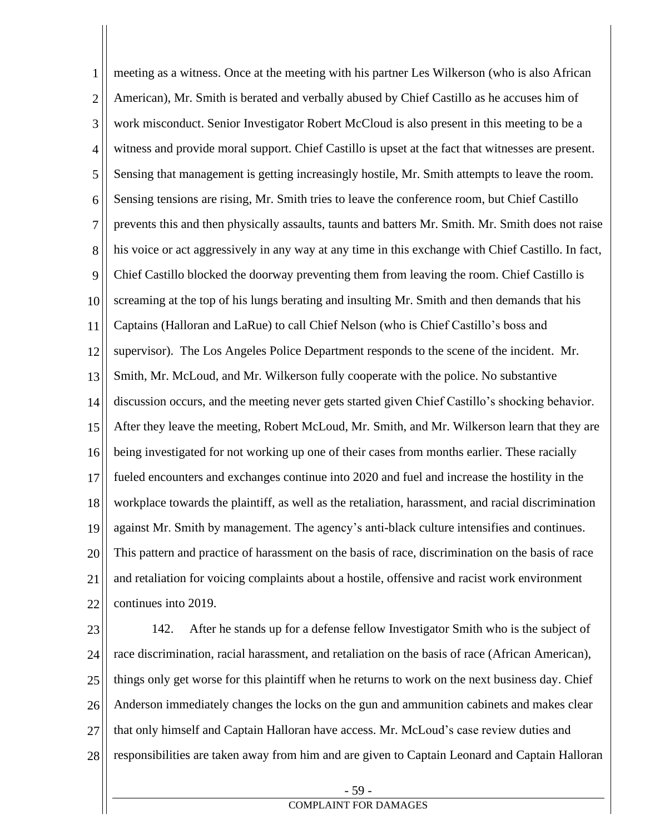1 2 3 4 5 6 7 8 9 10 11 12 13 14 15 16 17 18 19 20 21 22 meeting as a witness. Once at the meeting with his partner Les Wilkerson (who is also African American), Mr. Smith is berated and verbally abused by Chief Castillo as he accuses him of work misconduct. Senior Investigator Robert McCloud is also present in this meeting to be a witness and provide moral support. Chief Castillo is upset at the fact that witnesses are present. Sensing that management is getting increasingly hostile, Mr. Smith attempts to leave the room. Sensing tensions are rising, Mr. Smith tries to leave the conference room, but Chief Castillo prevents this and then physically assaults, taunts and batters Mr. Smith. Mr. Smith does not raise his voice or act aggressively in any way at any time in this exchange with Chief Castillo. In fact, Chief Castillo blocked the doorway preventing them from leaving the room. Chief Castillo is screaming at the top of his lungs berating and insulting Mr. Smith and then demands that his Captains (Halloran and LaRue) to call Chief Nelson (who is Chief Castillo's boss and supervisor). The Los Angeles Police Department responds to the scene of the incident. Mr. Smith, Mr. McLoud, and Mr. Wilkerson fully cooperate with the police. No substantive discussion occurs, and the meeting never gets started given Chief Castillo's shocking behavior. After they leave the meeting, Robert McLoud, Mr. Smith, and Mr. Wilkerson learn that they are being investigated for not working up one of their cases from months earlier. These racially fueled encounters and exchanges continue into 2020 and fuel and increase the hostility in the workplace towards the plaintiff, as well as the retaliation, harassment, and racial discrimination against Mr. Smith by management. The agency's anti-black culture intensifies and continues. This pattern and practice of harassment on the basis of race, discrimination on the basis of race and retaliation for voicing complaints about a hostile, offensive and racist work environment continues into 2019.

23 24 25 26 27 28 142. After he stands up for a defense fellow Investigator Smith who is the subject of race discrimination, racial harassment, and retaliation on the basis of race (African American), things only get worse for this plaintiff when he returns to work on the next business day. Chief Anderson immediately changes the locks on the gun and ammunition cabinets and makes clear that only himself and Captain Halloran have access. Mr. McLoud's case review duties and responsibilities are taken away from him and are given to Captain Leonard and Captain Halloran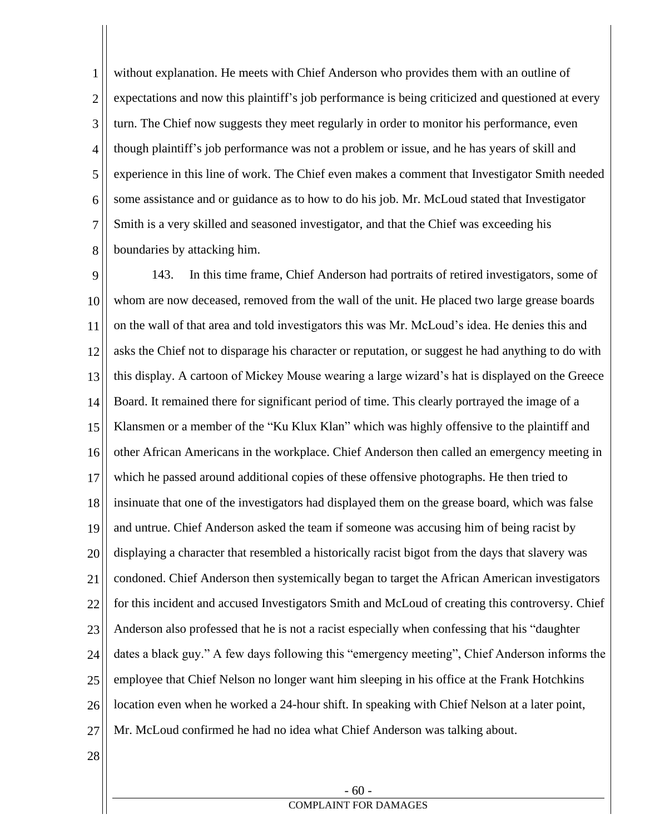1 2 3 4 5 6 7 8 without explanation. He meets with Chief Anderson who provides them with an outline of expectations and now this plaintiff's job performance is being criticized and questioned at every turn. The Chief now suggests they meet regularly in order to monitor his performance, even though plaintiff's job performance was not a problem or issue, and he has years of skill and experience in this line of work. The Chief even makes a comment that Investigator Smith needed some assistance and or guidance as to how to do his job. Mr. McLoud stated that Investigator Smith is a very skilled and seasoned investigator, and that the Chief was exceeding his boundaries by attacking him.

9 10 11 12 13 14 15 16 17 18 19 20 21 22 23 24 25 26 27 143. In this time frame, Chief Anderson had portraits of retired investigators, some of whom are now deceased, removed from the wall of the unit. He placed two large grease boards on the wall of that area and told investigators this was Mr. McLoud's idea. He denies this and asks the Chief not to disparage his character or reputation, or suggest he had anything to do with this display. A cartoon of Mickey Mouse wearing a large wizard's hat is displayed on the Greece Board. It remained there for significant period of time. This clearly portrayed the image of a Klansmen or a member of the "Ku Klux Klan" which was highly offensive to the plaintiff and other African Americans in the workplace. Chief Anderson then called an emergency meeting in which he passed around additional copies of these offensive photographs. He then tried to insinuate that one of the investigators had displayed them on the grease board, which was false and untrue. Chief Anderson asked the team if someone was accusing him of being racist by displaying a character that resembled a historically racist bigot from the days that slavery was condoned. Chief Anderson then systemically began to target the African American investigators for this incident and accused Investigators Smith and McLoud of creating this controversy. Chief Anderson also professed that he is not a racist especially when confessing that his "daughter dates a black guy." A few days following this "emergency meeting", Chief Anderson informs the employee that Chief Nelson no longer want him sleeping in his office at the Frank Hotchkins location even when he worked a 24-hour shift. In speaking with Chief Nelson at a later point, Mr. McLoud confirmed he had no idea what Chief Anderson was talking about.

28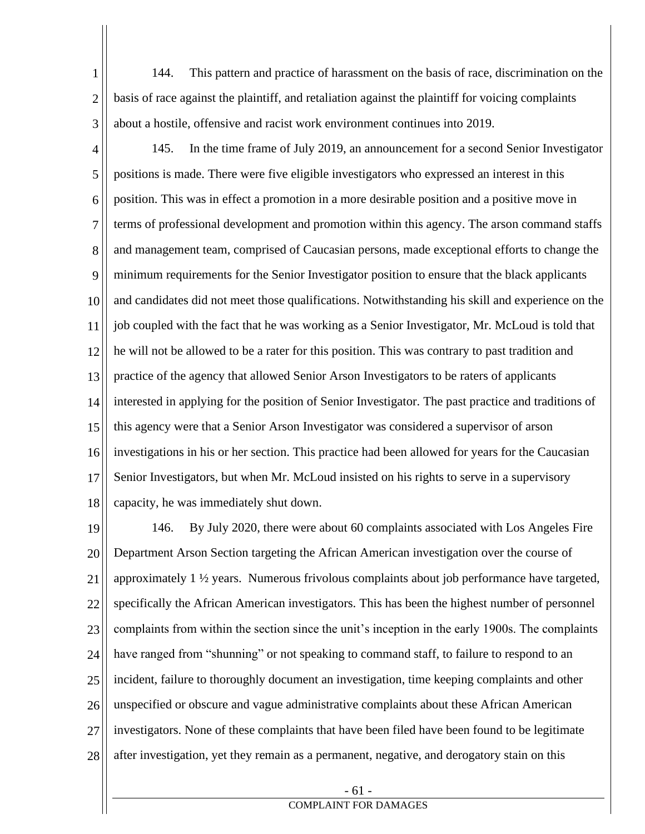1 2 3 144. This pattern and practice of harassment on the basis of race, discrimination on the basis of race against the plaintiff, and retaliation against the plaintiff for voicing complaints about a hostile, offensive and racist work environment continues into 2019.

- 4 5 6 7 8 9 10 11 12 13 14 15 16 17 18 145. In the time frame of July 2019, an announcement for a second Senior Investigator positions is made. There were five eligible investigators who expressed an interest in this position. This was in effect a promotion in a more desirable position and a positive move in terms of professional development and promotion within this agency. The arson command staffs and management team, comprised of Caucasian persons, made exceptional efforts to change the minimum requirements for the Senior Investigator position to ensure that the black applicants and candidates did not meet those qualifications. Notwithstanding his skill and experience on the job coupled with the fact that he was working as a Senior Investigator, Mr. McLoud is told that he will not be allowed to be a rater for this position. This was contrary to past tradition and practice of the agency that allowed Senior Arson Investigators to be raters of applicants interested in applying for the position of Senior Investigator. The past practice and traditions of this agency were that a Senior Arson Investigator was considered a supervisor of arson investigations in his or her section. This practice had been allowed for years for the Caucasian Senior Investigators, but when Mr. McLoud insisted on his rights to serve in a supervisory capacity, he was immediately shut down.
- 19 20 21 22 23 24 25 26 27 28 146. By July 2020, there were about 60 complaints associated with Los Angeles Fire Department Arson Section targeting the African American investigation over the course of approximately 1 ½ years. Numerous frivolous complaints about job performance have targeted, specifically the African American investigators. This has been the highest number of personnel complaints from within the section since the unit's inception in the early 1900s. The complaints have ranged from "shunning" or not speaking to command staff, to failure to respond to an incident, failure to thoroughly document an investigation, time keeping complaints and other unspecified or obscure and vague administrative complaints about these African American investigators. None of these complaints that have been filed have been found to be legitimate after investigation, yet they remain as a permanent, negative, and derogatory stain on this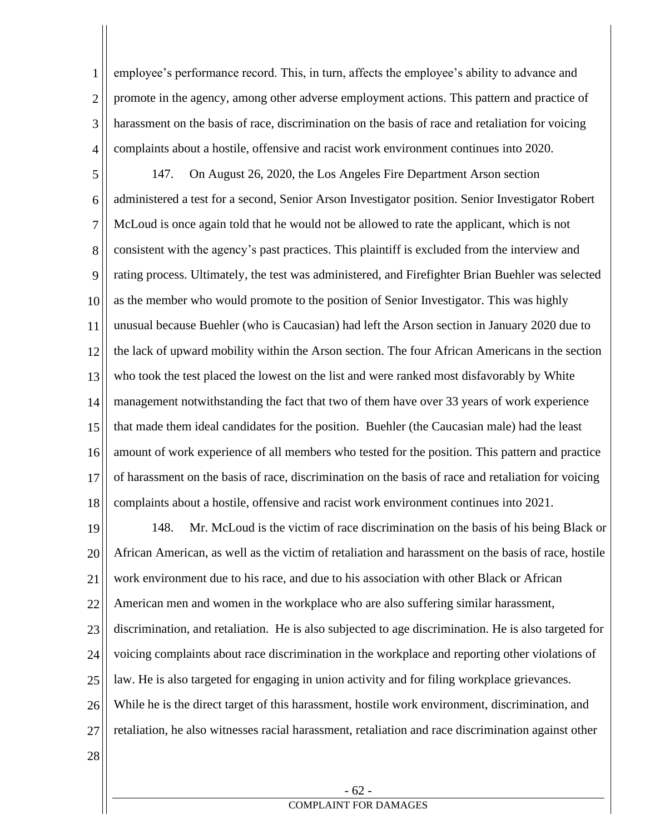1 2 3 4 employee's performance record. This, in turn, affects the employee's ability to advance and promote in the agency, among other adverse employment actions. This pattern and practice of harassment on the basis of race, discrimination on the basis of race and retaliation for voicing complaints about a hostile, offensive and racist work environment continues into 2020.

5 6 7 8 9 10 11 12 13 14 15 16 17 18 147. On August 26, 2020, the Los Angeles Fire Department Arson section administered a test for a second, Senior Arson Investigator position. Senior Investigator Robert McLoud is once again told that he would not be allowed to rate the applicant, which is not consistent with the agency's past practices. This plaintiff is excluded from the interview and rating process. Ultimately, the test was administered, and Firefighter Brian Buehler was selected as the member who would promote to the position of Senior Investigator. This was highly unusual because Buehler (who is Caucasian) had left the Arson section in January 2020 due to the lack of upward mobility within the Arson section. The four African Americans in the section who took the test placed the lowest on the list and were ranked most disfavorably by White management notwithstanding the fact that two of them have over 33 years of work experience that made them ideal candidates for the position. Buehler (the Caucasian male) had the least amount of work experience of all members who tested for the position. This pattern and practice of harassment on the basis of race, discrimination on the basis of race and retaliation for voicing complaints about a hostile, offensive and racist work environment continues into 2021.

19 20 21 22 23 24 25 26 27 148. Mr. McLoud is the victim of race discrimination on the basis of his being Black or African American, as well as the victim of retaliation and harassment on the basis of race, hostile work environment due to his race, and due to his association with other Black or African American men and women in the workplace who are also suffering similar harassment, discrimination, and retaliation. He is also subjected to age discrimination. He is also targeted for voicing complaints about race discrimination in the workplace and reporting other violations of law. He is also targeted for engaging in union activity and for filing workplace grievances. While he is the direct target of this harassment, hostile work environment, discrimination, and retaliation, he also witnesses racial harassment, retaliation and race discrimination against other

28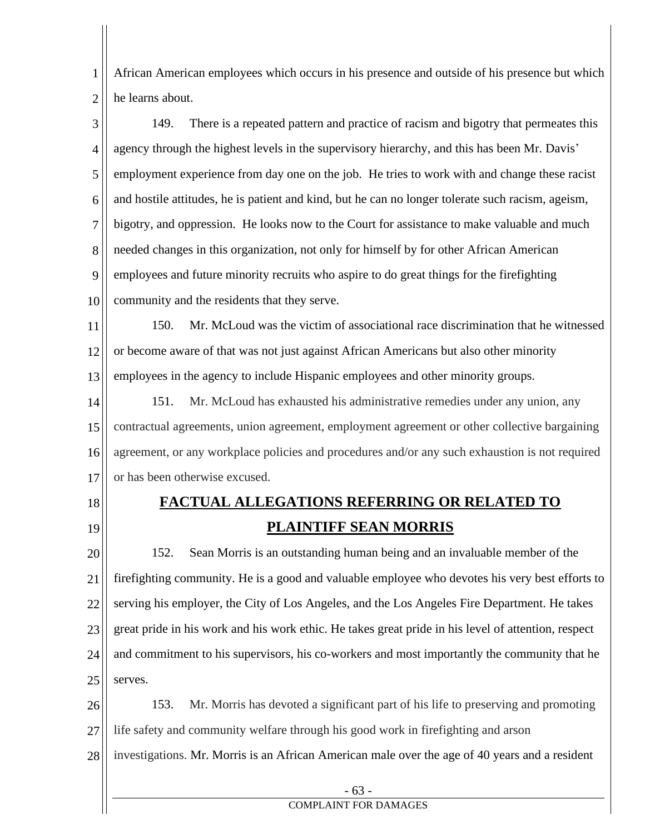1 2 African American employees which occurs in his presence and outside of his presence but which he learns about.

3 4 5 6 7 8 9 10 149. There is a repeated pattern and practice of racism and bigotry that permeates this agency through the highest levels in the supervisory hierarchy, and this has been Mr. Davis' employment experience from day one on the job. He tries to work with and change these racist and hostile attitudes, he is patient and kind, but he can no longer tolerate such racism, ageism, bigotry, and oppression. He looks now to the Court for assistance to make valuable and much needed changes in this organization, not only for himself by for other African American employees and future minority recruits who aspire to do great things for the firefighting community and the residents that they serve.

11 12 13 150. Mr. McLoud was the victim of associational race discrimination that he witnessed or become aware of that was not just against African Americans but also other minority employees in the agency to include Hispanic employees and other minority groups.

14 15 16 17 151. Mr. McLoud has exhausted his administrative remedies under any union, any contractual agreements, union agreement, employment agreement or other collective bargaining agreement, or any workplace policies and procedures and/or any such exhaustion is not required or has been otherwise excused.

- 18
- 19

## **FACTUAL ALLEGATIONS REFERRING OR RELATED TO PLAINTIFF SEAN MORRIS**

20 21 22 23 24 25 152. Sean Morris is an outstanding human being and an invaluable member of the firefighting community. He is a good and valuable employee who devotes his very best efforts to serving his employer, the City of Los Angeles, and the Los Angeles Fire Department. He takes great pride in his work and his work ethic. He takes great pride in his level of attention, respect and commitment to his supervisors, his co-workers and most importantly the community that he serves.

26 27 153. Mr. Morris has devoted a significant part of his life to preserving and promoting life safety and community welfare through his good work in firefighting and arson

28 investigations. Mr. Morris is an African American male over the age of 40 years and a resident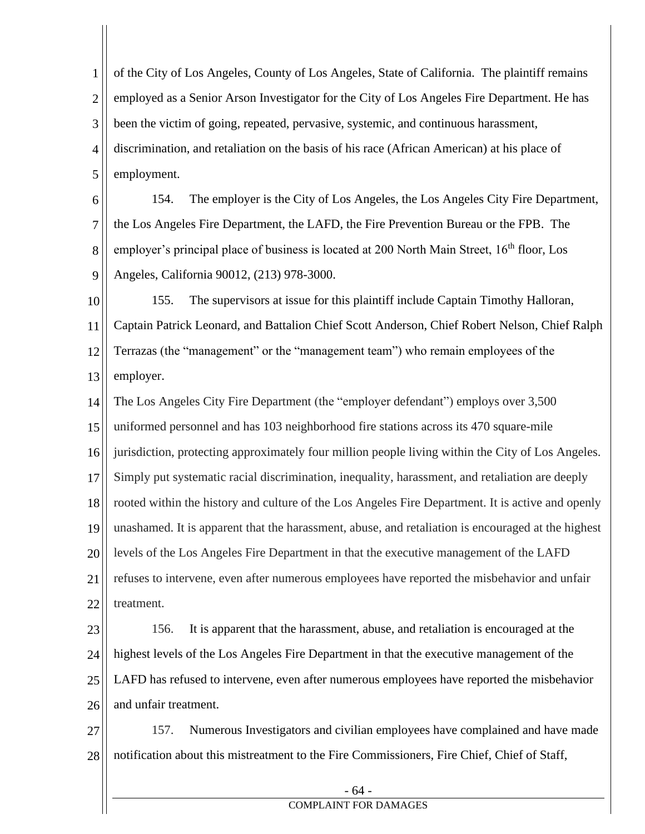1 2 3 4 5 of the City of Los Angeles, County of Los Angeles, State of California. The plaintiff remains employed as a Senior Arson Investigator for the City of Los Angeles Fire Department. He has been the victim of going, repeated, pervasive, systemic, and continuous harassment, discrimination, and retaliation on the basis of his race (African American) at his place of employment.

6 7 8 9 154. The employer is the City of Los Angeles, the Los Angeles City Fire Department, the Los Angeles Fire Department, the LAFD, the Fire Prevention Bureau or the FPB. The employer's principal place of business is located at 200 North Main Street, 16<sup>th</sup> floor. Los Angeles, California 90012, (213) 978-3000.

10 11 12 13 155. The supervisors at issue for this plaintiff include Captain Timothy Halloran, Captain Patrick Leonard, and Battalion Chief Scott Anderson, Chief Robert Nelson, Chief Ralph Terrazas (the "management" or the "management team") who remain employees of the employer.

14 15 16 17 18 19 20 21 22 The Los Angeles City Fire Department (the "employer defendant") employs over 3,500 uniformed personnel and has 103 neighborhood fire stations across its 470 square-mile jurisdiction, protecting approximately four million people living within the City of Los Angeles. Simply put systematic racial discrimination, inequality, harassment, and retaliation are deeply rooted within the history and culture of the Los Angeles Fire Department. It is active and openly unashamed. It is apparent that the harassment, abuse, and retaliation is encouraged at the highest levels of the Los Angeles Fire Department in that the executive management of the LAFD refuses to intervene, even after numerous employees have reported the misbehavior and unfair treatment.

23 24 25 26 156. It is apparent that the harassment, abuse, and retaliation is encouraged at the highest levels of the Los Angeles Fire Department in that the executive management of the LAFD has refused to intervene, even after numerous employees have reported the misbehavior and unfair treatment.

27 28 157. Numerous Investigators and civilian employees have complained and have made notification about this mistreatment to the Fire Commissioners, Fire Chief, Chief of Staff,

### - 64 -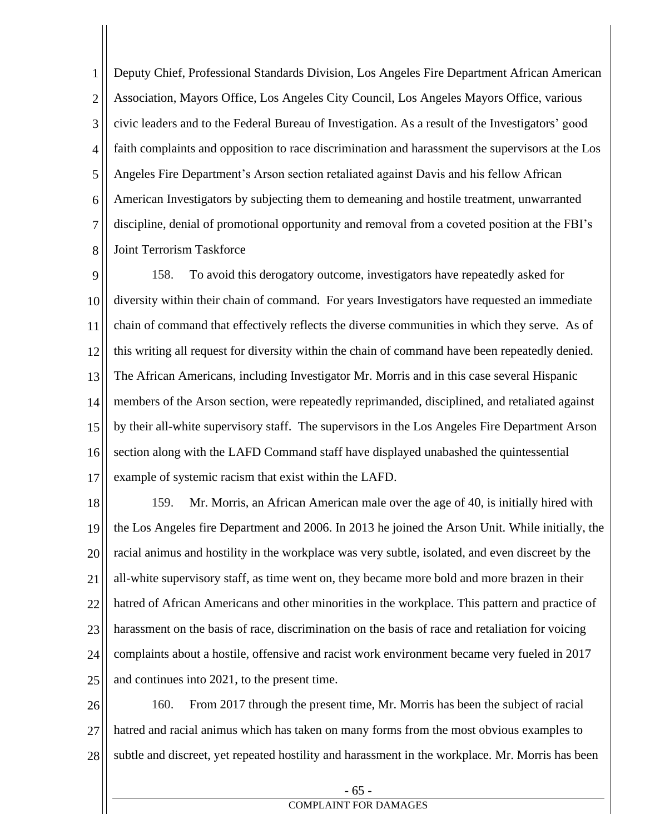1 2 3 4 5 6 7 8 Deputy Chief, Professional Standards Division, Los Angeles Fire Department African American Association, Mayors Office, Los Angeles City Council, Los Angeles Mayors Office, various civic leaders and to the Federal Bureau of Investigation. As a result of the Investigators' good faith complaints and opposition to race discrimination and harassment the supervisors at the Los Angeles Fire Department's Arson section retaliated against Davis and his fellow African American Investigators by subjecting them to demeaning and hostile treatment, unwarranted discipline, denial of promotional opportunity and removal from a coveted position at the FBI's Joint Terrorism Taskforce

9 10 11 12 13 14 15 16 17 158. To avoid this derogatory outcome, investigators have repeatedly asked for diversity within their chain of command. For years Investigators have requested an immediate chain of command that effectively reflects the diverse communities in which they serve. As of this writing all request for diversity within the chain of command have been repeatedly denied. The African Americans, including Investigator Mr. Morris and in this case several Hispanic members of the Arson section, were repeatedly reprimanded, disciplined, and retaliated against by their all-white supervisory staff. The supervisors in the Los Angeles Fire Department Arson section along with the LAFD Command staff have displayed unabashed the quintessential example of systemic racism that exist within the LAFD.

18 19 20 21 22 23 24 25 159. Mr. Morris, an African American male over the age of 40, is initially hired with the Los Angeles fire Department and 2006. In 2013 he joined the Arson Unit. While initially, the racial animus and hostility in the workplace was very subtle, isolated, and even discreet by the all-white supervisory staff, as time went on, they became more bold and more brazen in their hatred of African Americans and other minorities in the workplace. This pattern and practice of harassment on the basis of race, discrimination on the basis of race and retaliation for voicing complaints about a hostile, offensive and racist work environment became very fueled in 2017 and continues into 2021, to the present time.

26 27 28 160. From 2017 through the present time, Mr. Morris has been the subject of racial hatred and racial animus which has taken on many forms from the most obvious examples to subtle and discreet, yet repeated hostility and harassment in the workplace. Mr. Morris has been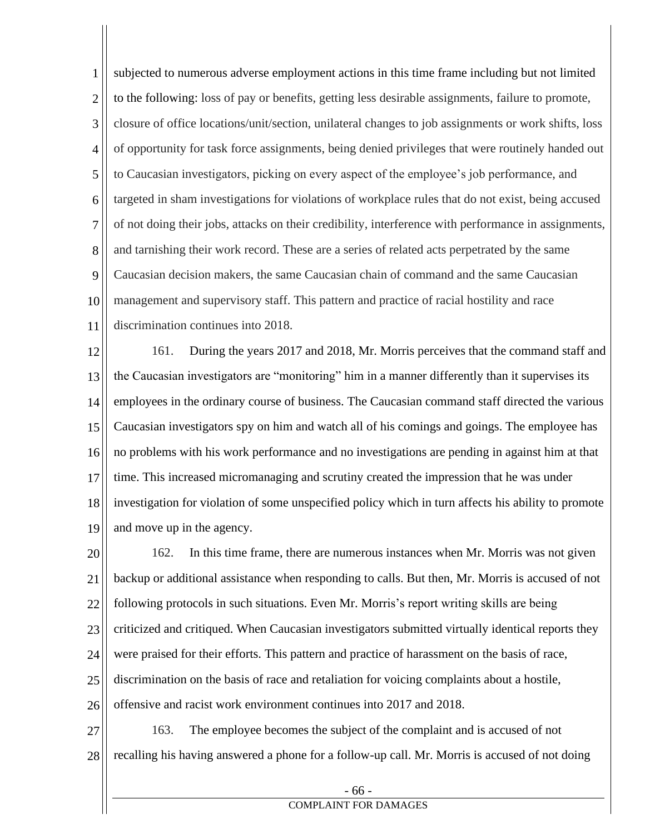1 2 3 4 5 6 7 8 9 10 11 subjected to numerous adverse employment actions in this time frame including but not limited to the following: loss of pay or benefits, getting less desirable assignments, failure to promote, closure of office locations/unit/section, unilateral changes to job assignments or work shifts, loss of opportunity for task force assignments, being denied privileges that were routinely handed out to Caucasian investigators, picking on every aspect of the employee's job performance, and targeted in sham investigations for violations of workplace rules that do not exist, being accused of not doing their jobs, attacks on their credibility, interference with performance in assignments, and tarnishing their work record. These are a series of related acts perpetrated by the same Caucasian decision makers, the same Caucasian chain of command and the same Caucasian management and supervisory staff. This pattern and practice of racial hostility and race discrimination continues into 2018.

12 13 14 15 16 17 18 19 161. During the years 2017 and 2018, Mr. Morris perceives that the command staff and the Caucasian investigators are "monitoring" him in a manner differently than it supervises its employees in the ordinary course of business. The Caucasian command staff directed the various Caucasian investigators spy on him and watch all of his comings and goings. The employee has no problems with his work performance and no investigations are pending in against him at that time. This increased micromanaging and scrutiny created the impression that he was under investigation for violation of some unspecified policy which in turn affects his ability to promote and move up in the agency.

20 21 22 23 24 25 26 162. In this time frame, there are numerous instances when Mr. Morris was not given backup or additional assistance when responding to calls. But then, Mr. Morris is accused of not following protocols in such situations. Even Mr. Morris's report writing skills are being criticized and critiqued. When Caucasian investigators submitted virtually identical reports they were praised for their efforts. This pattern and practice of harassment on the basis of race, discrimination on the basis of race and retaliation for voicing complaints about a hostile, offensive and racist work environment continues into 2017 and 2018.

27 28 163. The employee becomes the subject of the complaint and is accused of not recalling his having answered a phone for a follow-up call. Mr. Morris is accused of not doing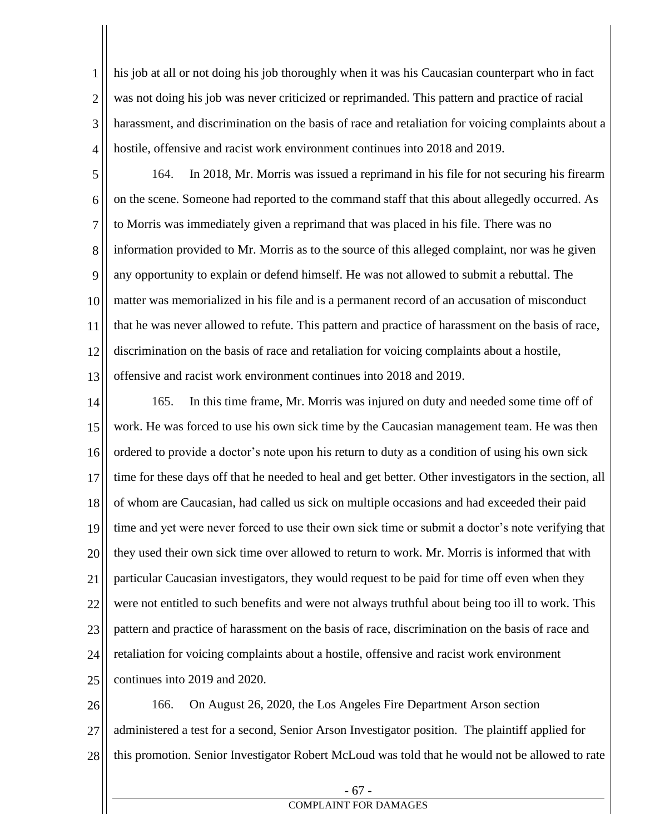1 2 3 4 his job at all or not doing his job thoroughly when it was his Caucasian counterpart who in fact was not doing his job was never criticized or reprimanded. This pattern and practice of racial harassment, and discrimination on the basis of race and retaliation for voicing complaints about a hostile, offensive and racist work environment continues into 2018 and 2019.

- 5 6 7 8 9 10 11 12 13 164. In 2018, Mr. Morris was issued a reprimand in his file for not securing his firearm on the scene. Someone had reported to the command staff that this about allegedly occurred. As to Morris was immediately given a reprimand that was placed in his file. There was no information provided to Mr. Morris as to the source of this alleged complaint, nor was he given any opportunity to explain or defend himself. He was not allowed to submit a rebuttal. The matter was memorialized in his file and is a permanent record of an accusation of misconduct that he was never allowed to refute. This pattern and practice of harassment on the basis of race, discrimination on the basis of race and retaliation for voicing complaints about a hostile, offensive and racist work environment continues into 2018 and 2019.
- 14 15 16 17 18 19 20 21 22 23 24 25 165. In this time frame, Mr. Morris was injured on duty and needed some time off of work. He was forced to use his own sick time by the Caucasian management team. He was then ordered to provide a doctor's note upon his return to duty as a condition of using his own sick time for these days off that he needed to heal and get better. Other investigators in the section, all of whom are Caucasian, had called us sick on multiple occasions and had exceeded their paid time and yet were never forced to use their own sick time or submit a doctor's note verifying that they used their own sick time over allowed to return to work. Mr. Morris is informed that with particular Caucasian investigators, they would request to be paid for time off even when they were not entitled to such benefits and were not always truthful about being too ill to work. This pattern and practice of harassment on the basis of race, discrimination on the basis of race and retaliation for voicing complaints about a hostile, offensive and racist work environment continues into 2019 and 2020.

26 27 28 166. On August 26, 2020, the Los Angeles Fire Department Arson section administered a test for a second, Senior Arson Investigator position. The plaintiff applied for this promotion. Senior Investigator Robert McLoud was told that he would not be allowed to rate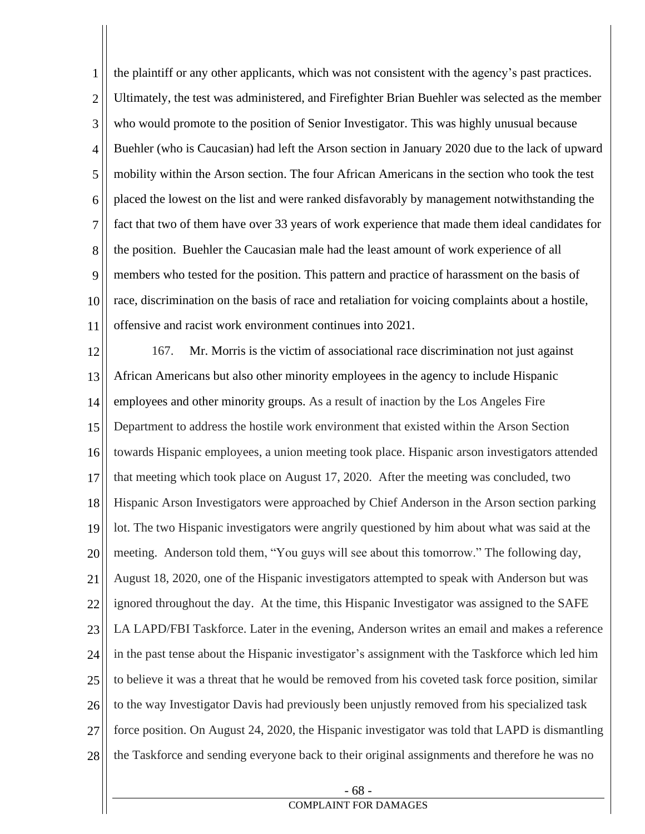1 2 3 4 5 6 7 8 9 10 11 the plaintiff or any other applicants, which was not consistent with the agency's past practices. Ultimately, the test was administered, and Firefighter Brian Buehler was selected as the member who would promote to the position of Senior Investigator. This was highly unusual because Buehler (who is Caucasian) had left the Arson section in January 2020 due to the lack of upward mobility within the Arson section. The four African Americans in the section who took the test placed the lowest on the list and were ranked disfavorably by management notwithstanding the fact that two of them have over 33 years of work experience that made them ideal candidates for the position. Buehler the Caucasian male had the least amount of work experience of all members who tested for the position. This pattern and practice of harassment on the basis of race, discrimination on the basis of race and retaliation for voicing complaints about a hostile, offensive and racist work environment continues into 2021.

12 13 14 15 16 17 18 19 20 21 22 23 24 25 26 27 28 167. Mr. Morris is the victim of associational race discrimination not just against African Americans but also other minority employees in the agency to include Hispanic employees and other minority groups. As a result of inaction by the Los Angeles Fire Department to address the hostile work environment that existed within the Arson Section towards Hispanic employees, a union meeting took place. Hispanic arson investigators attended that meeting which took place on August 17, 2020. After the meeting was concluded, two Hispanic Arson Investigators were approached by Chief Anderson in the Arson section parking lot. The two Hispanic investigators were angrily questioned by him about what was said at the meeting. Anderson told them, "You guys will see about this tomorrow." The following day, August 18, 2020, one of the Hispanic investigators attempted to speak with Anderson but was ignored throughout the day. At the time, this Hispanic Investigator was assigned to the SAFE LA LAPD/FBI Taskforce. Later in the evening, Anderson writes an email and makes a reference in the past tense about the Hispanic investigator's assignment with the Taskforce which led him to believe it was a threat that he would be removed from his coveted task force position, similar to the way Investigator Davis had previously been unjustly removed from his specialized task force position. On August 24, 2020, the Hispanic investigator was told that LAPD is dismantling the Taskforce and sending everyone back to their original assignments and therefore he was no

### - 68 -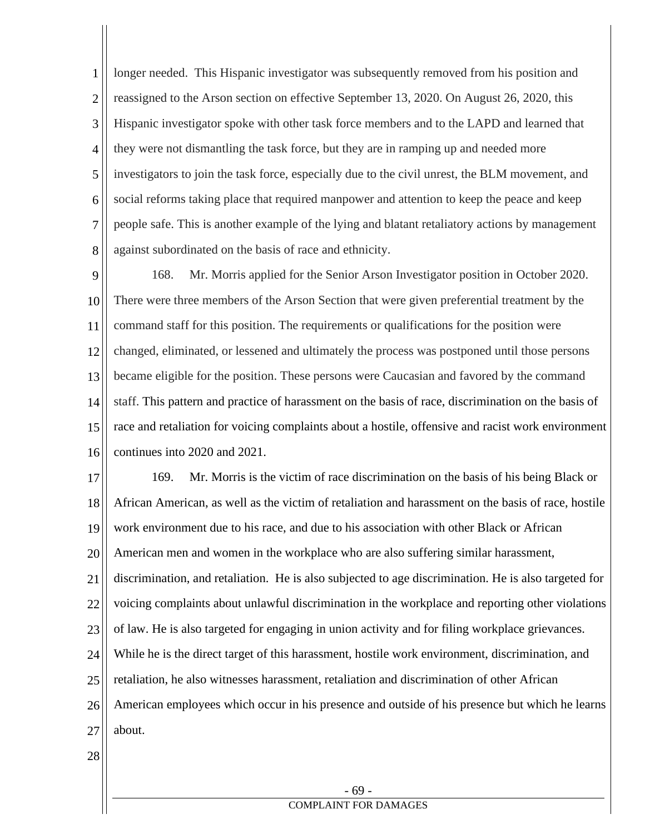1 2 3 4 5 6 7 8 longer needed. This Hispanic investigator was subsequently removed from his position and reassigned to the Arson section on effective September 13, 2020. On August 26, 2020, this Hispanic investigator spoke with other task force members and to the LAPD and learned that they were not dismantling the task force, but they are in ramping up and needed more investigators to join the task force, especially due to the civil unrest, the BLM movement, and social reforms taking place that required manpower and attention to keep the peace and keep people safe. This is another example of the lying and blatant retaliatory actions by management against subordinated on the basis of race and ethnicity.

9 10 11 12 13 14 15 16 168. Mr. Morris applied for the Senior Arson Investigator position in October 2020. There were three members of the Arson Section that were given preferential treatment by the command staff for this position. The requirements or qualifications for the position were changed, eliminated, or lessened and ultimately the process was postponed until those persons became eligible for the position. These persons were Caucasian and favored by the command staff. This pattern and practice of harassment on the basis of race, discrimination on the basis of race and retaliation for voicing complaints about a hostile, offensive and racist work environment continues into 2020 and 2021.

17 18 19 20 21 22 23 24 25 26 27 169. Mr. Morris is the victim of race discrimination on the basis of his being Black or African American, as well as the victim of retaliation and harassment on the basis of race, hostile work environment due to his race, and due to his association with other Black or African American men and women in the workplace who are also suffering similar harassment, discrimination, and retaliation. He is also subjected to age discrimination. He is also targeted for voicing complaints about unlawful discrimination in the workplace and reporting other violations of law. He is also targeted for engaging in union activity and for filing workplace grievances. While he is the direct target of this harassment, hostile work environment, discrimination, and retaliation, he also witnesses harassment, retaliation and discrimination of other African American employees which occur in his presence and outside of his presence but which he learns about.

28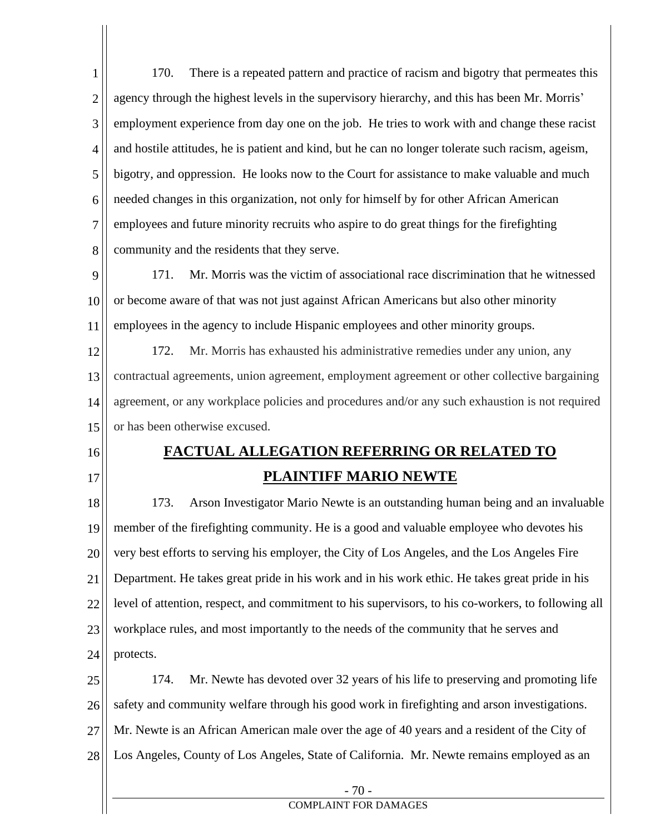1 2 3 4 5 6 7 8 170. There is a repeated pattern and practice of racism and bigotry that permeates this agency through the highest levels in the supervisory hierarchy, and this has been Mr. Morris' employment experience from day one on the job. He tries to work with and change these racist and hostile attitudes, he is patient and kind, but he can no longer tolerate such racism, ageism, bigotry, and oppression. He looks now to the Court for assistance to make valuable and much needed changes in this organization, not only for himself by for other African American employees and future minority recruits who aspire to do great things for the firefighting community and the residents that they serve.

9 10 11 171. Mr. Morris was the victim of associational race discrimination that he witnessed or become aware of that was not just against African Americans but also other minority employees in the agency to include Hispanic employees and other minority groups.

12 13 14 15 172. Mr. Morris has exhausted his administrative remedies under any union, any contractual agreements, union agreement, employment agreement or other collective bargaining agreement, or any workplace policies and procedures and/or any such exhaustion is not required or has been otherwise excused.

16

17

## **FACTUAL ALLEGATION REFERRING OR RELATED TO PLAINTIFF MARIO NEWTE**

18 19 20 21 22 23 24 173. Arson Investigator Mario Newte is an outstanding human being and an invaluable member of the firefighting community. He is a good and valuable employee who devotes his very best efforts to serving his employer, the City of Los Angeles, and the Los Angeles Fire Department. He takes great pride in his work and in his work ethic. He takes great pride in his level of attention, respect, and commitment to his supervisors, to his co-workers, to following all workplace rules, and most importantly to the needs of the community that he serves and protects.

25 26 27 28 174. Mr. Newte has devoted over 32 years of his life to preserving and promoting life safety and community welfare through his good work in firefighting and arson investigations. Mr. Newte is an African American male over the age of 40 years and a resident of the City of Los Angeles, County of Los Angeles, State of California. Mr. Newte remains employed as an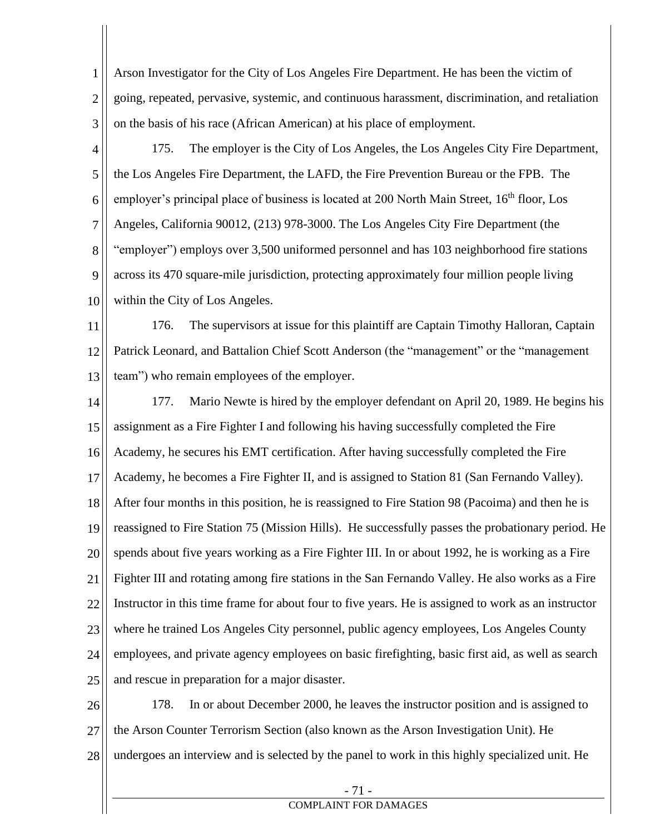1 2 3 Arson Investigator for the City of Los Angeles Fire Department. He has been the victim of going, repeated, pervasive, systemic, and continuous harassment, discrimination, and retaliation on the basis of his race (African American) at his place of employment.

4

5 6 7 8 9 10 175. The employer is the City of Los Angeles, the Los Angeles City Fire Department, the Los Angeles Fire Department, the LAFD, the Fire Prevention Bureau or the FPB. The employer's principal place of business is located at 200 North Main Street, 16<sup>th</sup> floor, Los Angeles, California 90012, (213) 978-3000. The Los Angeles City Fire Department (the "employer") employs over 3,500 uniformed personnel and has 103 neighborhood fire stations across its 470 square-mile jurisdiction, protecting approximately four million people living within the City of Los Angeles.

11 12 13 176. The supervisors at issue for this plaintiff are Captain Timothy Halloran, Captain Patrick Leonard, and Battalion Chief Scott Anderson (the "management" or the "management team") who remain employees of the employer.

14 15 16 17 18 19 20 21 22 23 24 25 177. Mario Newte is hired by the employer defendant on April 20, 1989. He begins his assignment as a Fire Fighter I and following his having successfully completed the Fire Academy, he secures his EMT certification. After having successfully completed the Fire Academy, he becomes a Fire Fighter II, and is assigned to Station 81 (San Fernando Valley). After four months in this position, he is reassigned to Fire Station 98 (Pacoima) and then he is reassigned to Fire Station 75 (Mission Hills). He successfully passes the probationary period. He spends about five years working as a Fire Fighter III. In or about 1992, he is working as a Fire Fighter III and rotating among fire stations in the San Fernando Valley. He also works as a Fire Instructor in this time frame for about four to five years. He is assigned to work as an instructor where he trained Los Angeles City personnel, public agency employees, Los Angeles County employees, and private agency employees on basic firefighting, basic first aid, as well as search and rescue in preparation for a major disaster.

26 27 28 178. In or about December 2000, he leaves the instructor position and is assigned to the Arson Counter Terrorism Section (also known as the Arson Investigation Unit). He undergoes an interview and is selected by the panel to work in this highly specialized unit. He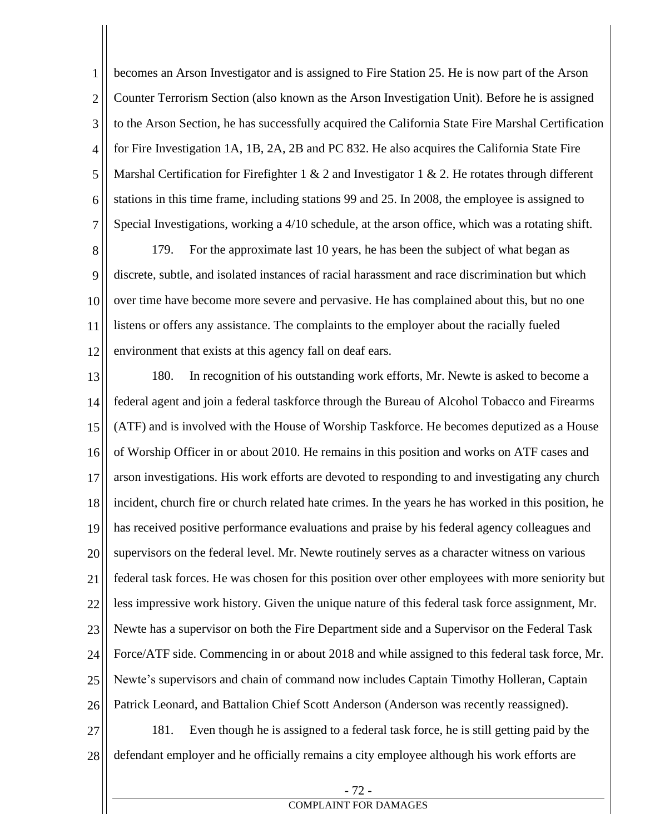1 2 3 4 5 6 7 becomes an Arson Investigator and is assigned to Fire Station 25. He is now part of the Arson Counter Terrorism Section (also known as the Arson Investigation Unit). Before he is assigned to the Arson Section, he has successfully acquired the California State Fire Marshal Certification for Fire Investigation 1A, 1B, 2A, 2B and PC 832. He also acquires the California State Fire Marshal Certification for Firefighter 1  $\&$  2 and Investigator 1  $\&$  2. He rotates through different stations in this time frame, including stations 99 and 25. In 2008, the employee is assigned to Special Investigations, working a 4/10 schedule, at the arson office, which was a rotating shift.

8 9 10 11 12 179. For the approximate last 10 years, he has been the subject of what began as discrete, subtle, and isolated instances of racial harassment and race discrimination but which over time have become more severe and pervasive. He has complained about this, but no one listens or offers any assistance. The complaints to the employer about the racially fueled environment that exists at this agency fall on deaf ears.

13 14 15 16 17 18 19 20 21 22 23 24 25 26 180. In recognition of his outstanding work efforts, Mr. Newte is asked to become a federal agent and join a federal taskforce through the Bureau of Alcohol Tobacco and Firearms (ATF) and is involved with the House of Worship Taskforce. He becomes deputized as a House of Worship Officer in or about 2010. He remains in this position and works on ATF cases and arson investigations. His work efforts are devoted to responding to and investigating any church incident, church fire or church related hate crimes. In the years he has worked in this position, he has received positive performance evaluations and praise by his federal agency colleagues and supervisors on the federal level. Mr. Newte routinely serves as a character witness on various federal task forces. He was chosen for this position over other employees with more seniority but less impressive work history. Given the unique nature of this federal task force assignment, Mr. Newte has a supervisor on both the Fire Department side and a Supervisor on the Federal Task Force/ATF side. Commencing in or about 2018 and while assigned to this federal task force, Mr. Newte's supervisors and chain of command now includes Captain Timothy Holleran, Captain Patrick Leonard, and Battalion Chief Scott Anderson (Anderson was recently reassigned).

27 28 181. Even though he is assigned to a federal task force, he is still getting paid by the defendant employer and he officially remains a city employee although his work efforts are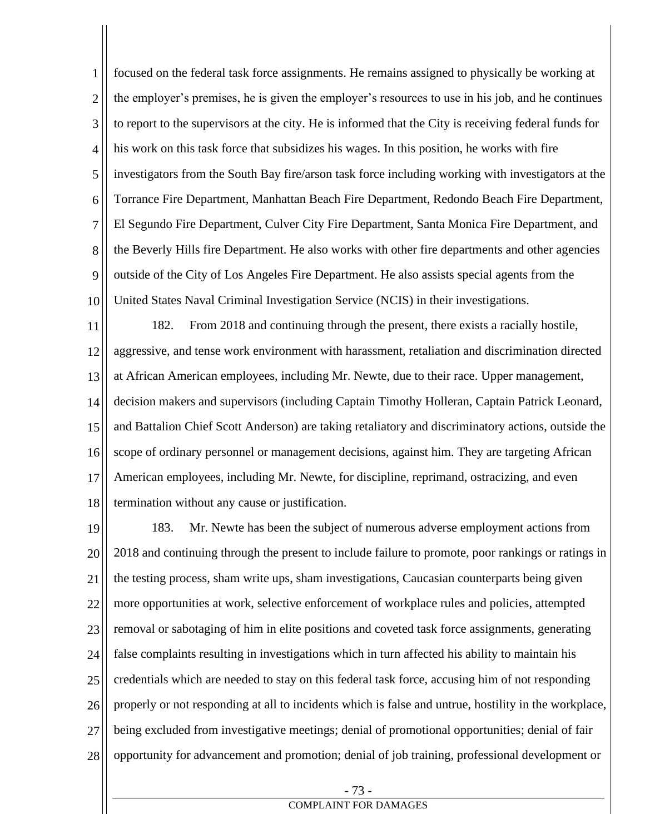1 2 3 4 5 6 7 8 9 10 focused on the federal task force assignments. He remains assigned to physically be working at the employer's premises, he is given the employer's resources to use in his job, and he continues to report to the supervisors at the city. He is informed that the City is receiving federal funds for his work on this task force that subsidizes his wages. In this position, he works with fire investigators from the South Bay fire/arson task force including working with investigators at the Torrance Fire Department, Manhattan Beach Fire Department, Redondo Beach Fire Department, El Segundo Fire Department, Culver City Fire Department, Santa Monica Fire Department, and the Beverly Hills fire Department. He also works with other fire departments and other agencies outside of the City of Los Angeles Fire Department. He also assists special agents from the United States Naval Criminal Investigation Service (NCIS) in their investigations.

11 12 13 14 15 16 17 18 182. From 2018 and continuing through the present, there exists a racially hostile, aggressive, and tense work environment with harassment, retaliation and discrimination directed at African American employees, including Mr. Newte, due to their race. Upper management, decision makers and supervisors (including Captain Timothy Holleran, Captain Patrick Leonard, and Battalion Chief Scott Anderson) are taking retaliatory and discriminatory actions, outside the scope of ordinary personnel or management decisions, against him. They are targeting African American employees, including Mr. Newte, for discipline, reprimand, ostracizing, and even termination without any cause or justification.

19 20 21 22 23 24 25 26 27 28 183. Mr. Newte has been the subject of numerous adverse employment actions from 2018 and continuing through the present to include failure to promote, poor rankings or ratings in the testing process, sham write ups, sham investigations, Caucasian counterparts being given more opportunities at work, selective enforcement of workplace rules and policies, attempted removal or sabotaging of him in elite positions and coveted task force assignments, generating false complaints resulting in investigations which in turn affected his ability to maintain his credentials which are needed to stay on this federal task force, accusing him of not responding properly or not responding at all to incidents which is false and untrue, hostility in the workplace, being excluded from investigative meetings; denial of promotional opportunities; denial of fair opportunity for advancement and promotion; denial of job training, professional development or

# - 73 -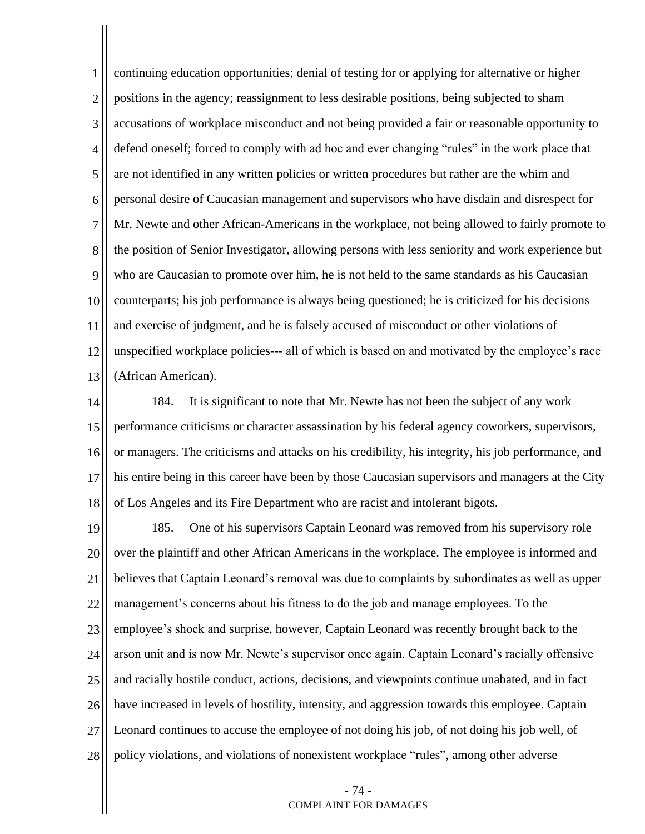1 2 3 4 5 6 7 8 9 10 11 12 13 continuing education opportunities; denial of testing for or applying for alternative or higher positions in the agency; reassignment to less desirable positions, being subjected to sham accusations of workplace misconduct and not being provided a fair or reasonable opportunity to defend oneself; forced to comply with ad hoc and ever changing "rules" in the work place that are not identified in any written policies or written procedures but rather are the whim and personal desire of Caucasian management and supervisors who have disdain and disrespect for Mr. Newte and other African-Americans in the workplace, not being allowed to fairly promote to the position of Senior Investigator, allowing persons with less seniority and work experience but who are Caucasian to promote over him, he is not held to the same standards as his Caucasian counterparts; his job performance is always being questioned; he is criticized for his decisions and exercise of judgment, and he is falsely accused of misconduct or other violations of unspecified workplace policies--- all of which is based on and motivated by the employee's race (African American).

14 15 16 17 18 184. It is significant to note that Mr. Newte has not been the subject of any work performance criticisms or character assassination by his federal agency coworkers, supervisors, or managers. The criticisms and attacks on his credibility, his integrity, his job performance, and his entire being in this career have been by those Caucasian supervisors and managers at the City of Los Angeles and its Fire Department who are racist and intolerant bigots.

19 20 21 22 23 24 25 26 27 28 185. One of his supervisors Captain Leonard was removed from his supervisory role over the plaintiff and other African Americans in the workplace. The employee is informed and believes that Captain Leonard's removal was due to complaints by subordinates as well as upper management's concerns about his fitness to do the job and manage employees. To the employee's shock and surprise, however, Captain Leonard was recently brought back to the arson unit and is now Mr. Newte's supervisor once again. Captain Leonard's racially offensive and racially hostile conduct, actions, decisions, and viewpoints continue unabated, and in fact have increased in levels of hostility, intensity, and aggression towards this employee. Captain Leonard continues to accuse the employee of not doing his job, of not doing his job well, of policy violations, and violations of nonexistent workplace "rules", among other adverse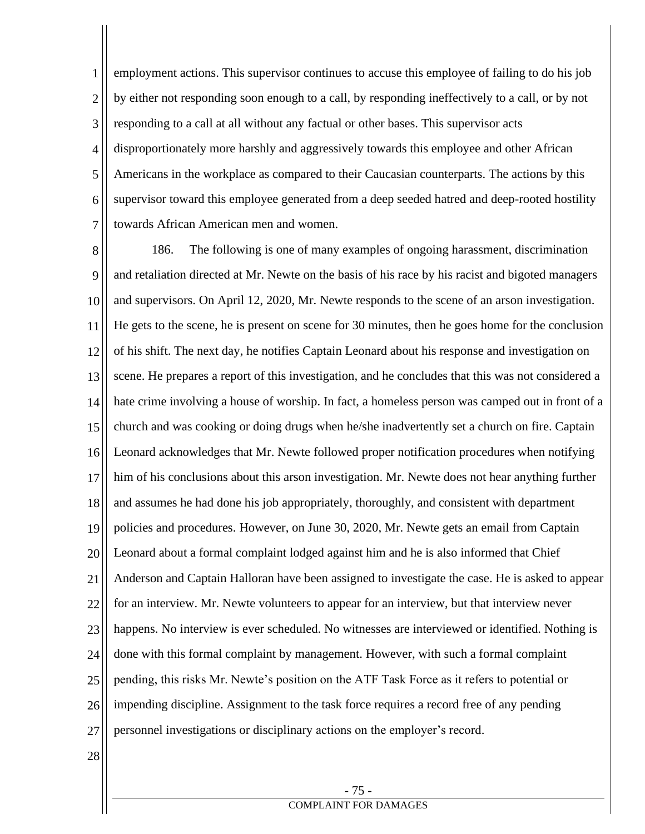1 2 3 4 5 6 7 employment actions. This supervisor continues to accuse this employee of failing to do his job by either not responding soon enough to a call, by responding ineffectively to a call, or by not responding to a call at all without any factual or other bases. This supervisor acts disproportionately more harshly and aggressively towards this employee and other African Americans in the workplace as compared to their Caucasian counterparts. The actions by this supervisor toward this employee generated from a deep seeded hatred and deep-rooted hostility towards African American men and women.

8 9 10 11 12 13 14 15 16 17 18 19 20 21 22 23 24 25 26 27 186. The following is one of many examples of ongoing harassment, discrimination and retaliation directed at Mr. Newte on the basis of his race by his racist and bigoted managers and supervisors. On April 12, 2020, Mr. Newte responds to the scene of an arson investigation. He gets to the scene, he is present on scene for 30 minutes, then he goes home for the conclusion of his shift. The next day, he notifies Captain Leonard about his response and investigation on scene. He prepares a report of this investigation, and he concludes that this was not considered a hate crime involving a house of worship. In fact, a homeless person was camped out in front of a church and was cooking or doing drugs when he/she inadvertently set a church on fire. Captain Leonard acknowledges that Mr. Newte followed proper notification procedures when notifying him of his conclusions about this arson investigation. Mr. Newte does not hear anything further and assumes he had done his job appropriately, thoroughly, and consistent with department policies and procedures. However, on June 30, 2020, Mr. Newte gets an email from Captain Leonard about a formal complaint lodged against him and he is also informed that Chief Anderson and Captain Halloran have been assigned to investigate the case. He is asked to appear for an interview. Mr. Newte volunteers to appear for an interview, but that interview never happens. No interview is ever scheduled. No witnesses are interviewed or identified. Nothing is done with this formal complaint by management. However, with such a formal complaint pending, this risks Mr. Newte's position on the ATF Task Force as it refers to potential or impending discipline. Assignment to the task force requires a record free of any pending personnel investigations or disciplinary actions on the employer's record.

28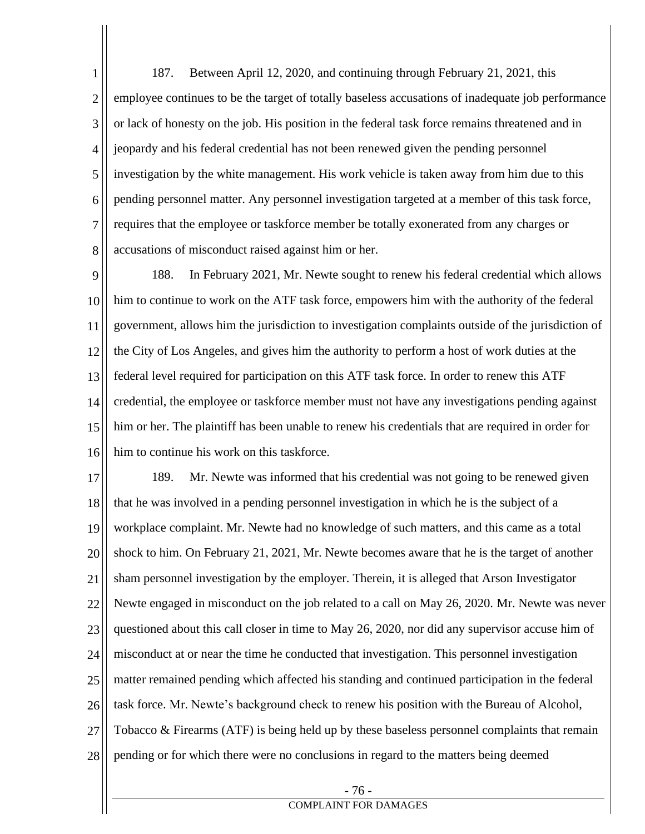1 2 3 4 5 6 7 8 187. Between April 12, 2020, and continuing through February 21, 2021, this employee continues to be the target of totally baseless accusations of inadequate job performance or lack of honesty on the job. His position in the federal task force remains threatened and in jeopardy and his federal credential has not been renewed given the pending personnel investigation by the white management. His work vehicle is taken away from him due to this pending personnel matter. Any personnel investigation targeted at a member of this task force, requires that the employee or taskforce member be totally exonerated from any charges or accusations of misconduct raised against him or her.

9 10 11 12 13 14 15 16 188. In February 2021, Mr. Newte sought to renew his federal credential which allows him to continue to work on the ATF task force, empowers him with the authority of the federal government, allows him the jurisdiction to investigation complaints outside of the jurisdiction of the City of Los Angeles, and gives him the authority to perform a host of work duties at the federal level required for participation on this ATF task force. In order to renew this ATF credential, the employee or taskforce member must not have any investigations pending against him or her. The plaintiff has been unable to renew his credentials that are required in order for him to continue his work on this taskforce.

17 18 19 20 21 22 23 24 25 26 27 28 189. Mr. Newte was informed that his credential was not going to be renewed given that he was involved in a pending personnel investigation in which he is the subject of a workplace complaint. Mr. Newte had no knowledge of such matters, and this came as a total shock to him. On February 21, 2021, Mr. Newte becomes aware that he is the target of another sham personnel investigation by the employer. Therein, it is alleged that Arson Investigator Newte engaged in misconduct on the job related to a call on May 26, 2020. Mr. Newte was never questioned about this call closer in time to May 26, 2020, nor did any supervisor accuse him of misconduct at or near the time he conducted that investigation. This personnel investigation matter remained pending which affected his standing and continued participation in the federal task force. Mr. Newte's background check to renew his position with the Bureau of Alcohol, Tobacco & Firearms (ATF) is being held up by these baseless personnel complaints that remain pending or for which there were no conclusions in regard to the matters being deemed

# - 76 -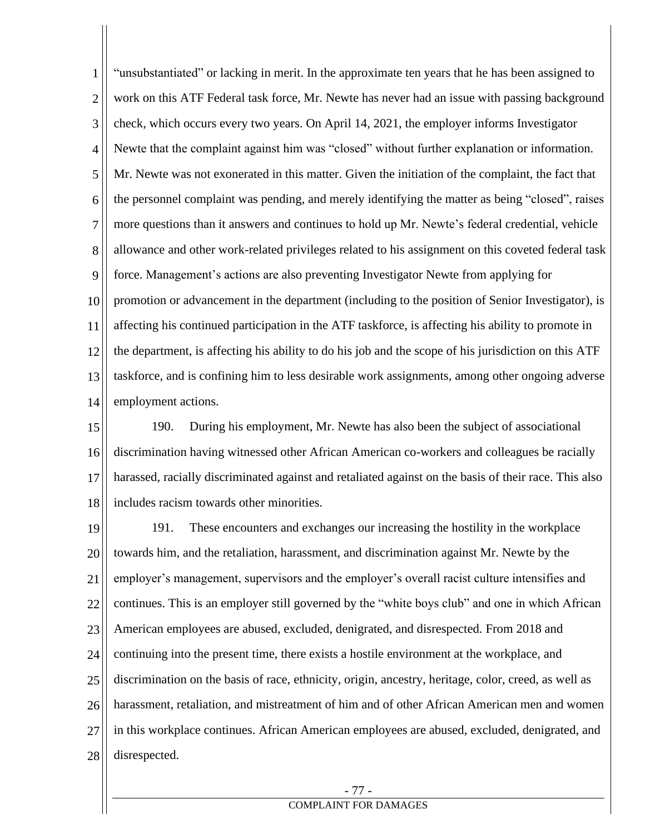1 2 3 4 5 6 7 8 9 10 11 12 13 14 "unsubstantiated" or lacking in merit. In the approximate ten years that he has been assigned to work on this ATF Federal task force, Mr. Newte has never had an issue with passing background check, which occurs every two years. On April 14, 2021, the employer informs Investigator Newte that the complaint against him was "closed" without further explanation or information. Mr. Newte was not exonerated in this matter. Given the initiation of the complaint, the fact that the personnel complaint was pending, and merely identifying the matter as being "closed", raises more questions than it answers and continues to hold up Mr. Newte's federal credential, vehicle allowance and other work-related privileges related to his assignment on this coveted federal task force. Management's actions are also preventing Investigator Newte from applying for promotion or advancement in the department (including to the position of Senior Investigator), is affecting his continued participation in the ATF taskforce, is affecting his ability to promote in the department, is affecting his ability to do his job and the scope of his jurisdiction on this ATF taskforce, and is confining him to less desirable work assignments, among other ongoing adverse employment actions.

15 16 17 18 190. During his employment, Mr. Newte has also been the subject of associational discrimination having witnessed other African American co-workers and colleagues be racially harassed, racially discriminated against and retaliated against on the basis of their race. This also includes racism towards other minorities.

19 20 21 22 23 24 25 26 27 28 191. These encounters and exchanges our increasing the hostility in the workplace towards him, and the retaliation, harassment, and discrimination against Mr. Newte by the employer's management, supervisors and the employer's overall racist culture intensifies and continues. This is an employer still governed by the "white boys club" and one in which African American employees are abused, excluded, denigrated, and disrespected. From 2018 and continuing into the present time, there exists a hostile environment at the workplace, and discrimination on the basis of race, ethnicity, origin, ancestry, heritage, color, creed, as well as harassment, retaliation, and mistreatment of him and of other African American men and women in this workplace continues. African American employees are abused, excluded, denigrated, and disrespected.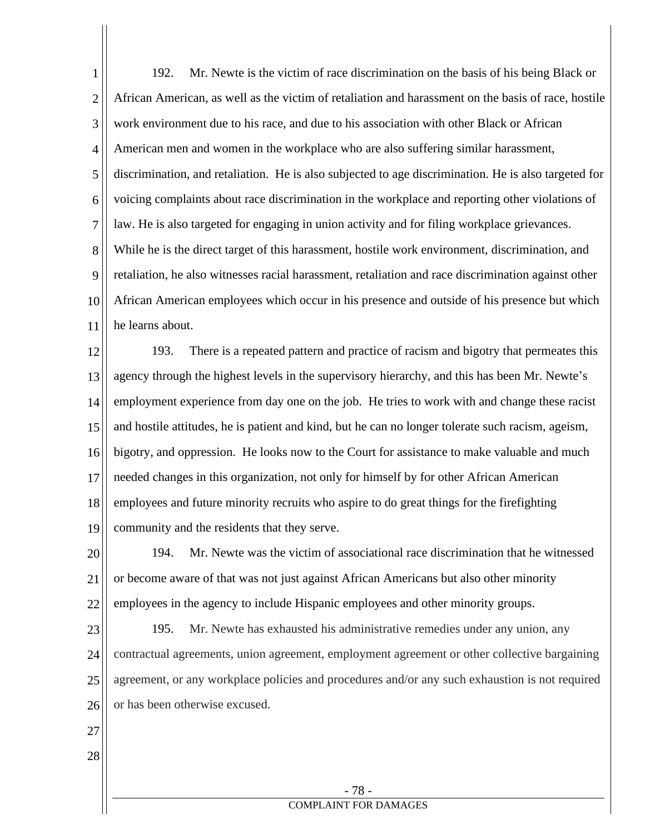1 2 3 4 5 6 7 8 9 10 11 192. Mr. Newte is the victim of race discrimination on the basis of his being Black or African American, as well as the victim of retaliation and harassment on the basis of race, hostile work environment due to his race, and due to his association with other Black or African American men and women in the workplace who are also suffering similar harassment, discrimination, and retaliation. He is also subjected to age discrimination. He is also targeted for voicing complaints about race discrimination in the workplace and reporting other violations of law. He is also targeted for engaging in union activity and for filing workplace grievances. While he is the direct target of this harassment, hostile work environment, discrimination, and retaliation, he also witnesses racial harassment, retaliation and race discrimination against other African American employees which occur in his presence and outside of his presence but which he learns about.

12 13 14 15 16 17 18 19 193. There is a repeated pattern and practice of racism and bigotry that permeates this agency through the highest levels in the supervisory hierarchy, and this has been Mr. Newte's employment experience from day one on the job. He tries to work with and change these racist and hostile attitudes, he is patient and kind, but he can no longer tolerate such racism, ageism, bigotry, and oppression. He looks now to the Court for assistance to make valuable and much needed changes in this organization, not only for himself by for other African American employees and future minority recruits who aspire to do great things for the firefighting community and the residents that they serve.

20 21 22 194. Mr. Newte was the victim of associational race discrimination that he witnessed or become aware of that was not just against African Americans but also other minority employees in the agency to include Hispanic employees and other minority groups.

23 24 25 26 195. Mr. Newte has exhausted his administrative remedies under any union, any contractual agreements, union agreement, employment agreement or other collective bargaining agreement, or any workplace policies and procedures and/or any such exhaustion is not required or has been otherwise excused.

- 27
- 28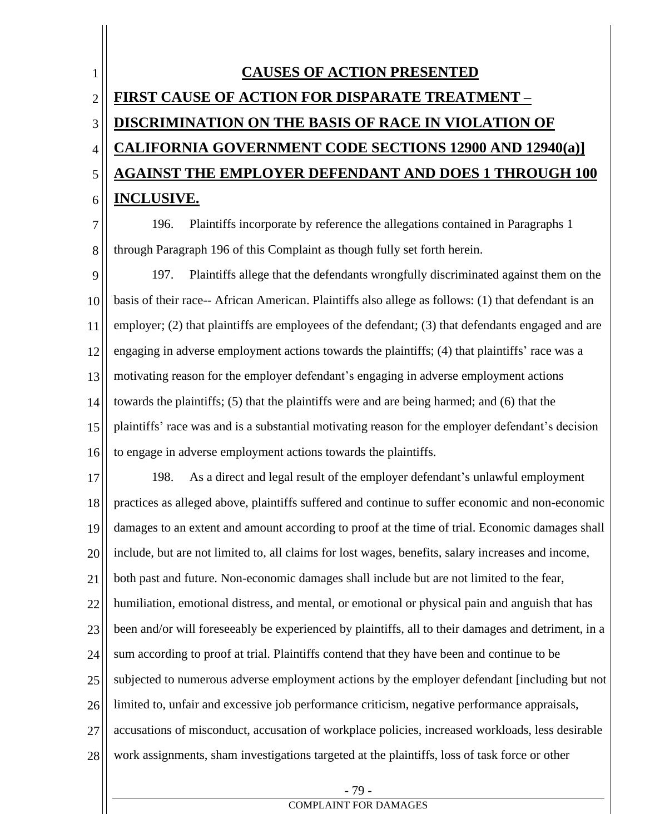1 2 3 4 5 6 **CAUSES OF ACTION PRESENTED FIRST CAUSE OF ACTION FOR DISPARATE TREATMENT – DISCRIMINATION ON THE BASIS OF RACE IN VIOLATION OF CALIFORNIA GOVERNMENT CODE SECTIONS 12900 AND 12940(a)] AGAINST THE EMPLOYER DEFENDANT AND DOES 1 THROUGH 100 INCLUSIVE.**

7 8 196. Plaintiffs incorporate by reference the allegations contained in Paragraphs 1 through Paragraph 196 of this Complaint as though fully set forth herein.

9 10 11 12 13 14 15 16 197. Plaintiffs allege that the defendants wrongfully discriminated against them on the basis of their race-- African American. Plaintiffs also allege as follows: (1) that defendant is an employer; (2) that plaintiffs are employees of the defendant; (3) that defendants engaged and are engaging in adverse employment actions towards the plaintiffs; (4) that plaintiffs' race was a motivating reason for the employer defendant's engaging in adverse employment actions towards the plaintiffs; (5) that the plaintiffs were and are being harmed; and (6) that the plaintiffs' race was and is a substantial motivating reason for the employer defendant's decision to engage in adverse employment actions towards the plaintiffs.

17 18 19 20 21 22 23 24 25 26 27 28 198. As a direct and legal result of the employer defendant's unlawful employment practices as alleged above, plaintiffs suffered and continue to suffer economic and non-economic damages to an extent and amount according to proof at the time of trial. Economic damages shall include, but are not limited to, all claims for lost wages, benefits, salary increases and income, both past and future. Non-economic damages shall include but are not limited to the fear, humiliation, emotional distress, and mental, or emotional or physical pain and anguish that has been and/or will foreseeably be experienced by plaintiffs, all to their damages and detriment, in a sum according to proof at trial. Plaintiffs contend that they have been and continue to be subjected to numerous adverse employment actions by the employer defendant [including but not limited to, unfair and excessive job performance criticism, negative performance appraisals, accusations of misconduct, accusation of workplace policies, increased workloads, less desirable work assignments, sham investigations targeted at the plaintiffs, loss of task force or other

- 79 -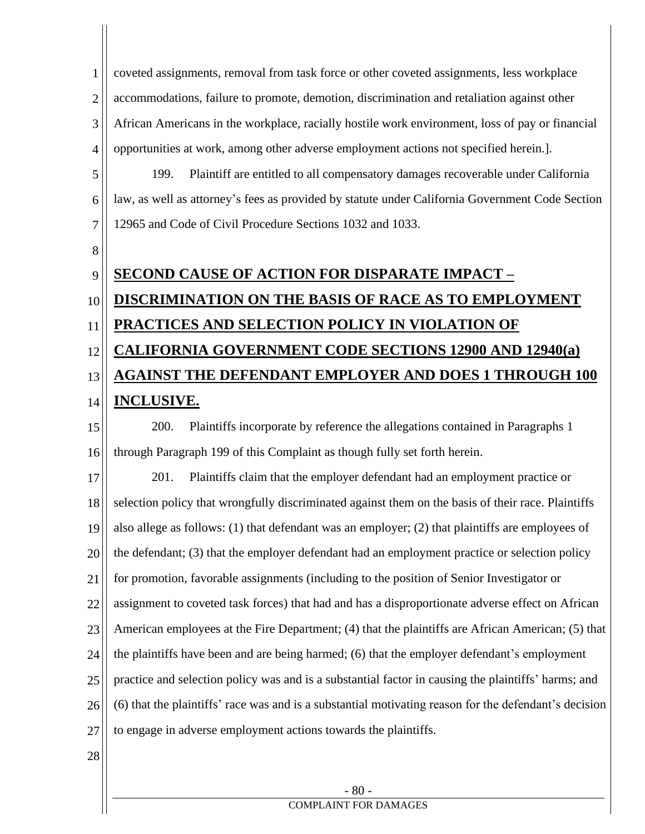1 2 3 4 coveted assignments, removal from task force or other coveted assignments, less workplace accommodations, failure to promote, demotion, discrimination and retaliation against other African Americans in the workplace, racially hostile work environment, loss of pay or financial opportunities at work, among other adverse employment actions not specified herein.].

5 6 7 199. Plaintiff are entitled to all compensatory damages recoverable under California law, as well as attorney's fees as provided by statute under California Government Code Section 12965 and Code of Civil Procedure Sections 1032 and 1033.

8

#### 9 **SECOND CAUSE OF ACTION FOR DISPARATE IMPACT –**

### 10 11 12 13 **DISCRIMINATION ON THE BASIS OF RACE AS TO EMPLOYMENT PRACTICES AND SELECTION POLICY IN VIOLATION OF CALIFORNIA GOVERNMENT CODE SECTIONS 12900 AND 12940(a) AGAINST THE DEFENDANT EMPLOYER AND DOES 1 THROUGH 100**

#### 14 **INCLUSIVE.**

15 16 200. Plaintiffs incorporate by reference the allegations contained in Paragraphs 1 through Paragraph 199 of this Complaint as though fully set forth herein.

17 18 19 20 21 22 23 24 25 26 27 201. Plaintiffs claim that the employer defendant had an employment practice or selection policy that wrongfully discriminated against them on the basis of their race. Plaintiffs also allege as follows: (1) that defendant was an employer; (2) that plaintiffs are employees of the defendant; (3) that the employer defendant had an employment practice or selection policy for promotion, favorable assignments (including to the position of Senior Investigator or assignment to coveted task forces) that had and has a disproportionate adverse effect on African American employees at the Fire Department; (4) that the plaintiffs are African American; (5) that the plaintiffs have been and are being harmed; (6) that the employer defendant's employment practice and selection policy was and is a substantial factor in causing the plaintiffs' harms; and (6) that the plaintiffs' race was and is a substantial motivating reason for the defendant's decision to engage in adverse employment actions towards the plaintiffs.

28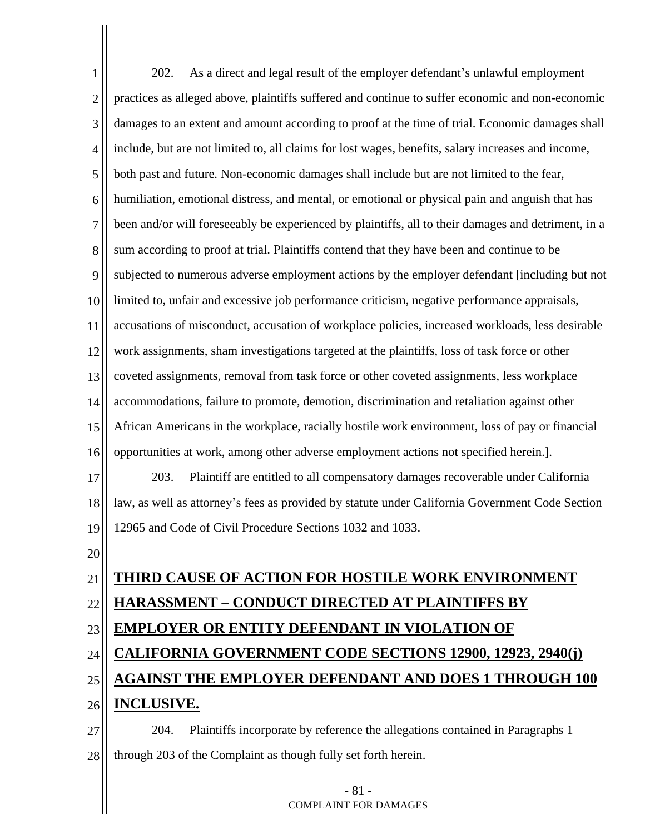1 2 3 4 5 6 7 8 9 10 11 12 13 14 15 16 17 18 19 20 21 22 23 24 25 26 27 28 - 81 - 202. As a direct and legal result of the employer defendant's unlawful employment practices as alleged above, plaintiffs suffered and continue to suffer economic and non-economic damages to an extent and amount according to proof at the time of trial. Economic damages shall include, but are not limited to, all claims for lost wages, benefits, salary increases and income, both past and future. Non-economic damages shall include but are not limited to the fear, humiliation, emotional distress, and mental, or emotional or physical pain and anguish that has been and/or will foreseeably be experienced by plaintiffs, all to their damages and detriment, in a sum according to proof at trial. Plaintiffs contend that they have been and continue to be subjected to numerous adverse employment actions by the employer defendant [including but not limited to, unfair and excessive job performance criticism, negative performance appraisals, accusations of misconduct, accusation of workplace policies, increased workloads, less desirable work assignments, sham investigations targeted at the plaintiffs, loss of task force or other coveted assignments, removal from task force or other coveted assignments, less workplace accommodations, failure to promote, demotion, discrimination and retaliation against other African Americans in the workplace, racially hostile work environment, loss of pay or financial opportunities at work, among other adverse employment actions not specified herein.]. 203. Plaintiff are entitled to all compensatory damages recoverable under California law, as well as attorney's fees as provided by statute under California Government Code Section 12965 and Code of Civil Procedure Sections 1032 and 1033. **THIRD CAUSE OF ACTION FOR HOSTILE WORK ENVIRONMENT HARASSMENT – CONDUCT DIRECTED AT PLAINTIFFS BY EMPLOYER OR ENTITY DEFENDANT IN VIOLATION OF CALIFORNIA GOVERNMENT CODE SECTIONS 12900, 12923, 2940(j) AGAINST THE EMPLOYER DEFENDANT AND DOES 1 THROUGH 100 INCLUSIVE.** 204. Plaintiffs incorporate by reference the allegations contained in Paragraphs 1 through 203 of the Complaint as though fully set forth herein.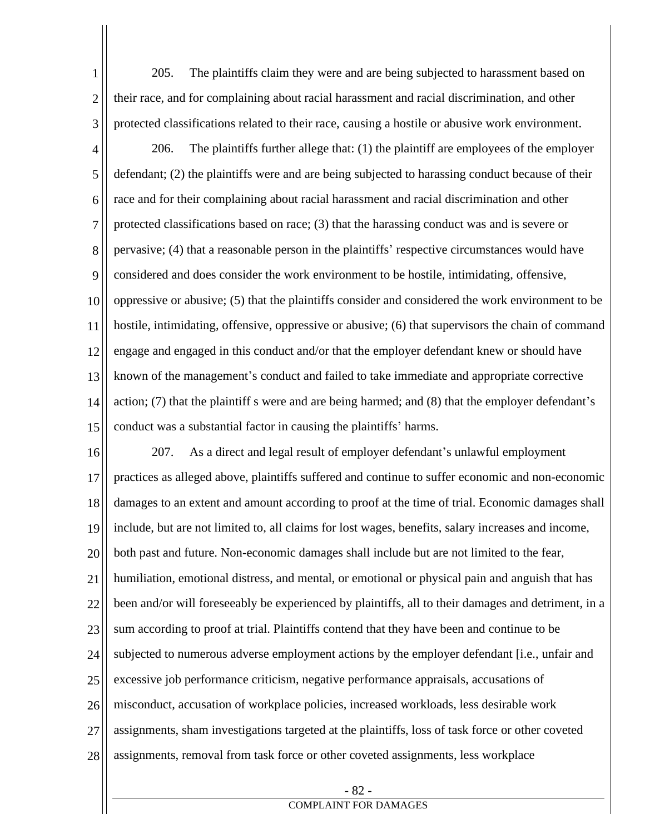1 2 3 205. The plaintiffs claim they were and are being subjected to harassment based on their race, and for complaining about racial harassment and racial discrimination, and other protected classifications related to their race, causing a hostile or abusive work environment.

4 5 6 7 8 9 10 11 12 13 14 15 206. The plaintiffs further allege that: (1) the plaintiff are employees of the employer defendant; (2) the plaintiffs were and are being subjected to harassing conduct because of their race and for their complaining about racial harassment and racial discrimination and other protected classifications based on race; (3) that the harassing conduct was and is severe or pervasive; (4) that a reasonable person in the plaintiffs' respective circumstances would have considered and does consider the work environment to be hostile, intimidating, offensive, oppressive or abusive; (5) that the plaintiffs consider and considered the work environment to be hostile, intimidating, offensive, oppressive or abusive; (6) that supervisors the chain of command engage and engaged in this conduct and/or that the employer defendant knew or should have known of the management's conduct and failed to take immediate and appropriate corrective action; (7) that the plaintiff s were and are being harmed; and (8) that the employer defendant's conduct was a substantial factor in causing the plaintiffs' harms.

16 17 18 19 20 21 22 23 24 25 26 27 28 207. As a direct and legal result of employer defendant's unlawful employment practices as alleged above, plaintiffs suffered and continue to suffer economic and non-economic damages to an extent and amount according to proof at the time of trial. Economic damages shall include, but are not limited to, all claims for lost wages, benefits, salary increases and income, both past and future. Non-economic damages shall include but are not limited to the fear, humiliation, emotional distress, and mental, or emotional or physical pain and anguish that has been and/or will foreseeably be experienced by plaintiffs, all to their damages and detriment, in a sum according to proof at trial. Plaintiffs contend that they have been and continue to be subjected to numerous adverse employment actions by the employer defendant [i.e., unfair and excessive job performance criticism, negative performance appraisals, accusations of misconduct, accusation of workplace policies, increased workloads, less desirable work assignments, sham investigations targeted at the plaintiffs, loss of task force or other coveted assignments, removal from task force or other coveted assignments, less workplace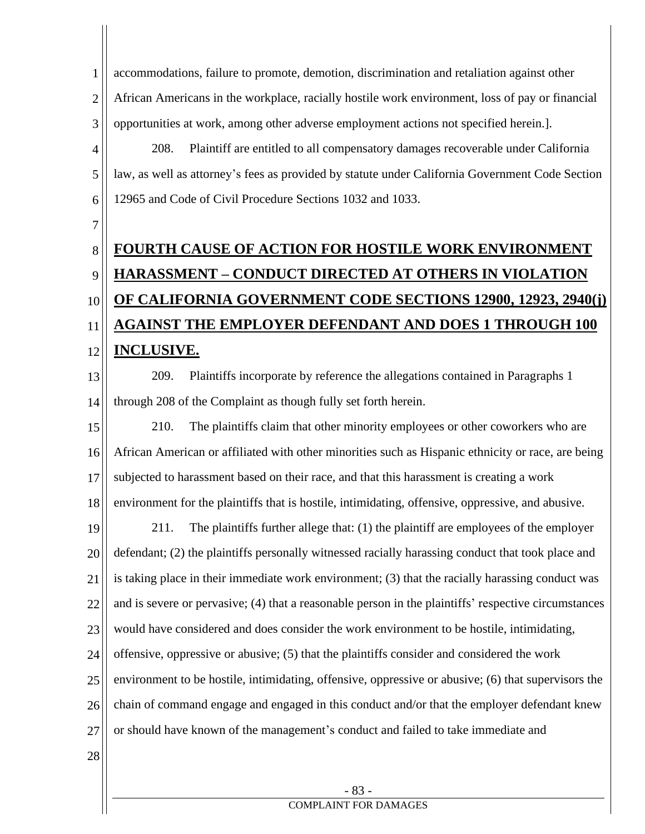1 2 3 accommodations, failure to promote, demotion, discrimination and retaliation against other African Americans in the workplace, racially hostile work environment, loss of pay or financial opportunities at work, among other adverse employment actions not specified herein.].

4 5 6 208. Plaintiff are entitled to all compensatory damages recoverable under California law, as well as attorney's fees as provided by statute under California Government Code Section 12965 and Code of Civil Procedure Sections 1032 and 1033.

8 9 10 11 12 **FOURTH CAUSE OF ACTION FOR HOSTILE WORK ENVIRONMENT HARASSMENT – CONDUCT DIRECTED AT OTHERS IN VIOLATION OF CALIFORNIA GOVERNMENT CODE SECTIONS 12900, 12923, 2940(j) AGAINST THE EMPLOYER DEFENDANT AND DOES 1 THROUGH 100 INCLUSIVE.**

13 14 209. Plaintiffs incorporate by reference the allegations contained in Paragraphs 1 through 208 of the Complaint as though fully set forth herein.

15 16 17 18 210. The plaintiffs claim that other minority employees or other coworkers who are African American or affiliated with other minorities such as Hispanic ethnicity or race, are being subjected to harassment based on their race, and that this harassment is creating a work environment for the plaintiffs that is hostile, intimidating, offensive, oppressive, and abusive.

19 20 21 22 23 24 25 26 27 211. The plaintiffs further allege that: (1) the plaintiff are employees of the employer defendant; (2) the plaintiffs personally witnessed racially harassing conduct that took place and is taking place in their immediate work environment; (3) that the racially harassing conduct was and is severe or pervasive; (4) that a reasonable person in the plaintiffs' respective circumstances would have considered and does consider the work environment to be hostile, intimidating, offensive, oppressive or abusive; (5) that the plaintiffs consider and considered the work environment to be hostile, intimidating, offensive, oppressive or abusive; (6) that supervisors the chain of command engage and engaged in this conduct and/or that the employer defendant knew or should have known of the management's conduct and failed to take immediate and

28

7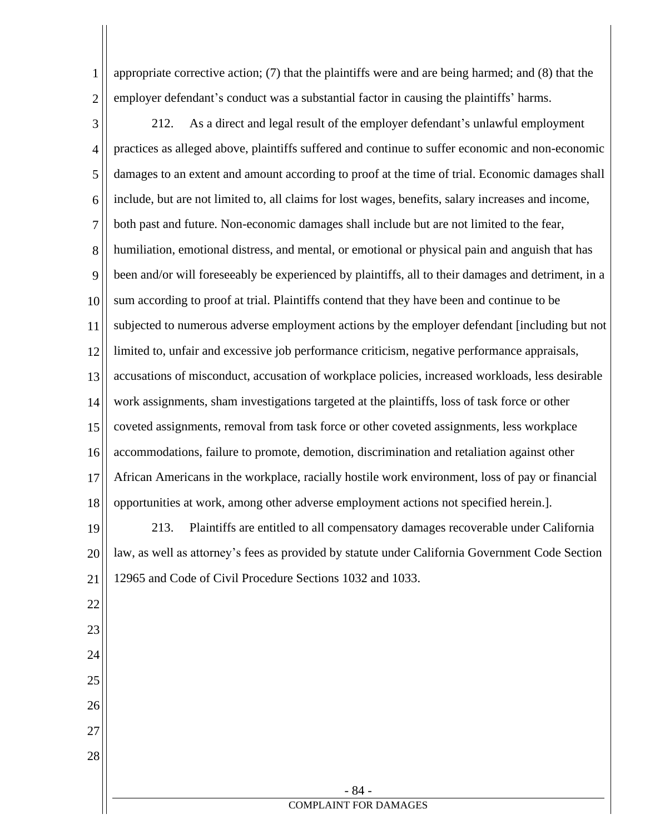1 2 appropriate corrective action; (7) that the plaintiffs were and are being harmed; and (8) that the employer defendant's conduct was a substantial factor in causing the plaintiffs' harms.

3 4 5 6 7 8 9 10 11 12 13 14 15 16 17 18 212. As a direct and legal result of the employer defendant's unlawful employment practices as alleged above, plaintiffs suffered and continue to suffer economic and non-economic damages to an extent and amount according to proof at the time of trial. Economic damages shall include, but are not limited to, all claims for lost wages, benefits, salary increases and income, both past and future. Non-economic damages shall include but are not limited to the fear, humiliation, emotional distress, and mental, or emotional or physical pain and anguish that has been and/or will foreseeably be experienced by plaintiffs, all to their damages and detriment, in a sum according to proof at trial. Plaintiffs contend that they have been and continue to be subjected to numerous adverse employment actions by the employer defendant [including but not limited to, unfair and excessive job performance criticism, negative performance appraisals, accusations of misconduct, accusation of workplace policies, increased workloads, less desirable work assignments, sham investigations targeted at the plaintiffs, loss of task force or other coveted assignments, removal from task force or other coveted assignments, less workplace accommodations, failure to promote, demotion, discrimination and retaliation against other African Americans in the workplace, racially hostile work environment, loss of pay or financial opportunities at work, among other adverse employment actions not specified herein.].

19 20 21 213. Plaintiffs are entitled to all compensatory damages recoverable under California law, as well as attorney's fees as provided by statute under California Government Code Section 12965 and Code of Civil Procedure Sections 1032 and 1033.

22

23

24

25

26

27

28

- 84 - COMPLAINT FOR DAMAGES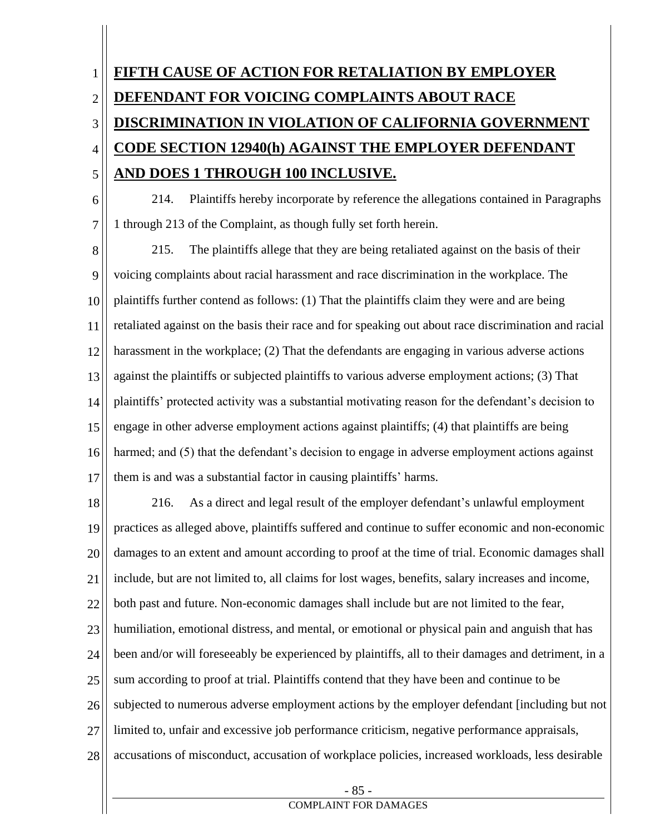### 1 2 3 4 5 **FIFTH CAUSE OF ACTION FOR RETALIATION BY EMPLOYER DEFENDANT FOR VOICING COMPLAINTS ABOUT RACE DISCRIMINATION IN VIOLATION OF CALIFORNIA GOVERNMENT CODE SECTION 12940(h) AGAINST THE EMPLOYER DEFENDANT AND DOES 1 THROUGH 100 INCLUSIVE.**

6 7 214. Plaintiffs hereby incorporate by reference the allegations contained in Paragraphs 1 through 213 of the Complaint, as though fully set forth herein.

8 9 10 11 12 13 14 15 16 17 215. The plaintiffs allege that they are being retaliated against on the basis of their voicing complaints about racial harassment and race discrimination in the workplace. The plaintiffs further contend as follows: (1) That the plaintiffs claim they were and are being retaliated against on the basis their race and for speaking out about race discrimination and racial harassment in the workplace; (2) That the defendants are engaging in various adverse actions against the plaintiffs or subjected plaintiffs to various adverse employment actions; (3) That plaintiffs' protected activity was a substantial motivating reason for the defendant's decision to engage in other adverse employment actions against plaintiffs; (4) that plaintiffs are being harmed; and (5) that the defendant's decision to engage in adverse employment actions against them is and was a substantial factor in causing plaintiffs' harms.

18 19 20 21 22 23 24 25 26 27 28 216. As a direct and legal result of the employer defendant's unlawful employment practices as alleged above, plaintiffs suffered and continue to suffer economic and non-economic damages to an extent and amount according to proof at the time of trial. Economic damages shall include, but are not limited to, all claims for lost wages, benefits, salary increases and income, both past and future. Non-economic damages shall include but are not limited to the fear, humiliation, emotional distress, and mental, or emotional or physical pain and anguish that has been and/or will foreseeably be experienced by plaintiffs, all to their damages and detriment, in a sum according to proof at trial. Plaintiffs contend that they have been and continue to be subjected to numerous adverse employment actions by the employer defendant [including but not limited to, unfair and excessive job performance criticism, negative performance appraisals, accusations of misconduct, accusation of workplace policies, increased workloads, less desirable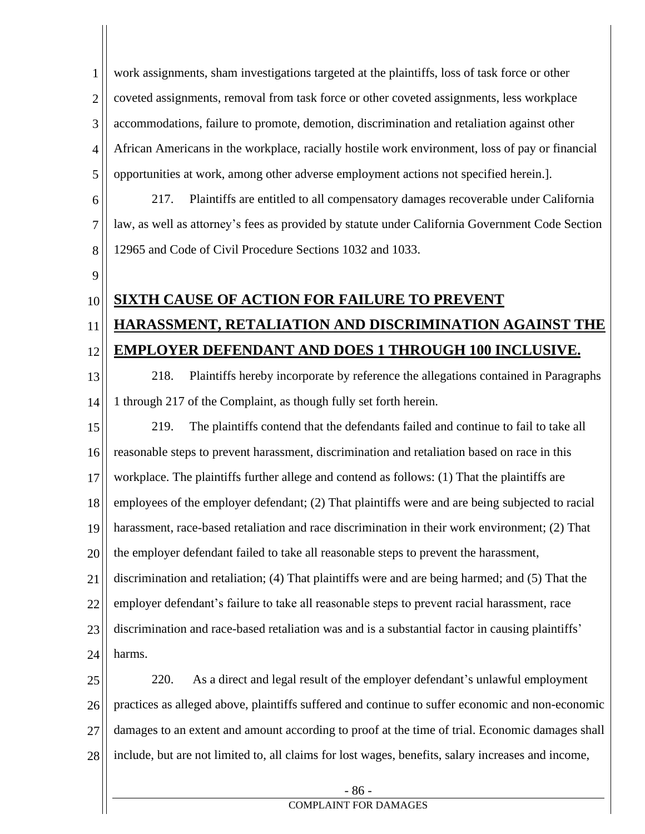1 2 3 4 5 work assignments, sham investigations targeted at the plaintiffs, loss of task force or other coveted assignments, removal from task force or other coveted assignments, less workplace accommodations, failure to promote, demotion, discrimination and retaliation against other African Americans in the workplace, racially hostile work environment, loss of pay or financial opportunities at work, among other adverse employment actions not specified herein.].

6 7 8 217. Plaintiffs are entitled to all compensatory damages recoverable under California law, as well as attorney's fees as provided by statute under California Government Code Section 12965 and Code of Civil Procedure Sections 1032 and 1033.

### 10 11 12 **SIXTH CAUSE OF ACTION FOR FAILURE TO PREVENT HARASSMENT, RETALIATION AND DISCRIMINATION AGAINST THE EMPLOYER DEFENDANT AND DOES 1 THROUGH 100 INCLUSIVE.**

9

27

13 14 218. Plaintiffs hereby incorporate by reference the allegations contained in Paragraphs 1 through 217 of the Complaint, as though fully set forth herein.

15 16 17 18 19 20 21 22 23 24 25 26 219. The plaintiffs contend that the defendants failed and continue to fail to take all reasonable steps to prevent harassment, discrimination and retaliation based on race in this workplace. The plaintiffs further allege and contend as follows: (1) That the plaintiffs are employees of the employer defendant; (2) That plaintiffs were and are being subjected to racial harassment, race-based retaliation and race discrimination in their work environment; (2) That the employer defendant failed to take all reasonable steps to prevent the harassment, discrimination and retaliation; (4) That plaintiffs were and are being harmed; and (5) That the employer defendant's failure to take all reasonable steps to prevent racial harassment, race discrimination and race-based retaliation was and is a substantial factor in causing plaintiffs' harms. 220. As a direct and legal result of the employer defendant's unlawful employment practices as alleged above, plaintiffs suffered and continue to suffer economic and non-economic

28 include, but are not limited to, all claims for lost wages, benefits, salary increases and income,

damages to an extent and amount according to proof at the time of trial. Economic damages shall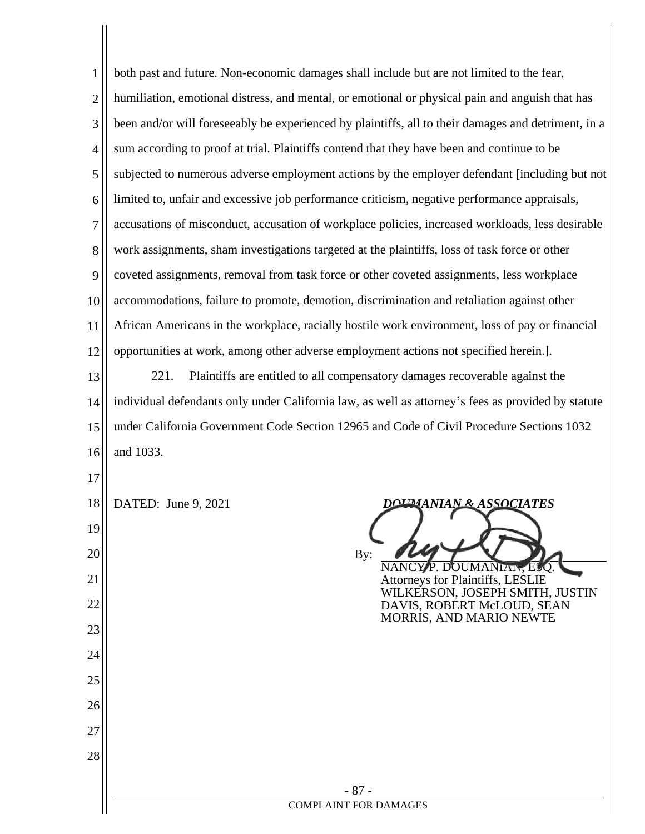1 2 3 4 5 6 7 8 9 10 11 12 13 14 15 16 17 18 19 20 21 22 23 24 25 26 27 28 - 87 - COMPLAINT FOR DAMAGES both past and future. Non-economic damages shall include but are not limited to the fear, humiliation, emotional distress, and mental, or emotional or physical pain and anguish that has been and/or will foreseeably be experienced by plaintiffs, all to their damages and detriment, in a sum according to proof at trial. Plaintiffs contend that they have been and continue to be subjected to numerous adverse employment actions by the employer defendant [including but not limited to, unfair and excessive job performance criticism, negative performance appraisals, accusations of misconduct, accusation of workplace policies, increased workloads, less desirable work assignments, sham investigations targeted at the plaintiffs, loss of task force or other coveted assignments, removal from task force or other coveted assignments, less workplace accommodations, failure to promote, demotion, discrimination and retaliation against other African Americans in the workplace, racially hostile work environment, loss of pay or financial opportunities at work, among other adverse employment actions not specified herein.]. 221. Plaintiffs are entitled to all compensatory damages recoverable against the individual defendants only under California law, as well as attorney's fees as provided by statute under California Government Code Section 12965 and Code of Civil Procedure Sections 1032 and 1033. DATED: June 9, 2021<br> **DOUMANIAN & ASSOCIATES** By: NANCY P. DOUMANIAN, ESQ. Attorneys for Plaintiffs, LESLIE WILKERSON, JOSEPH SMITH, JUSTIN DAVIS, ROBERT McLOUD, SEAN MORRIS, AND MARIO NEWTE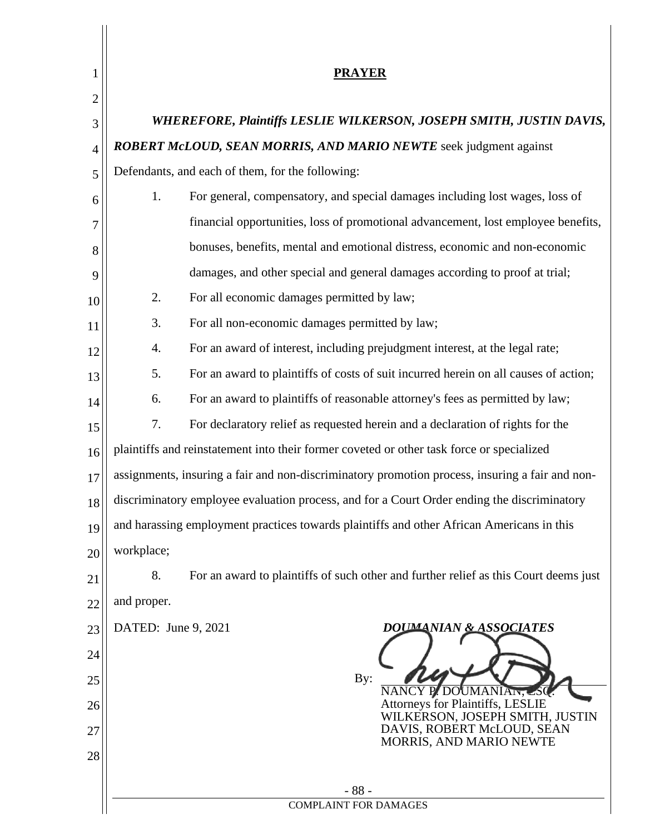| $\mathbf{1}$   | <b>PRAYER</b>                                                                                   |  |
|----------------|-------------------------------------------------------------------------------------------------|--|
| $\overline{2}$ |                                                                                                 |  |
| 3              | WHEREFORE, Plaintiffs LESLIE WILKERSON, JOSEPH SMITH, JUSTIN DAVIS,                             |  |
| $\overline{4}$ | ROBERT McLOUD, SEAN MORRIS, AND MARIO NEWTE seek judgment against                               |  |
| 5              | Defendants, and each of them, for the following:                                                |  |
| 6              | 1.<br>For general, compensatory, and special damages including lost wages, loss of              |  |
| 7              | financial opportunities, loss of promotional advancement, lost employee benefits,               |  |
| 8              | bonuses, benefits, mental and emotional distress, economic and non-economic                     |  |
| 9              | damages, and other special and general damages according to proof at trial;                     |  |
| 10             | 2.<br>For all economic damages permitted by law;                                                |  |
| 11             | 3.<br>For all non-economic damages permitted by law;                                            |  |
| 12             | For an award of interest, including prejudgment interest, at the legal rate;<br>4.              |  |
| 13             | For an award to plaintiffs of costs of suit incurred herein on all causes of action;<br>5.      |  |
| 14             | For an award to plaintiffs of reasonable attorney's fees as permitted by law;<br>6.             |  |
| 15             | 7.<br>For declaratory relief as requested herein and a declaration of rights for the            |  |
| 16             | plaintiffs and reinstatement into their former coveted or other task force or specialized       |  |
| 17             | assignments, insuring a fair and non-discriminatory promotion process, insuring a fair and non- |  |
| 18             | discriminatory employee evaluation process, and for a Court Order ending the discriminatory     |  |
| 19             | and harassing employment practices towards plaintiffs and other African Americans in this       |  |
| 20             | workplace;                                                                                      |  |
| 21             | For an award to plaintiffs of such other and further relief as this Court deems just<br>8.      |  |
| 22             | and proper.                                                                                     |  |
| 23             | DATED: June 9, 2021<br><b>DOUMANIAN &amp; ASSOCIATES</b>                                        |  |
| 24             |                                                                                                 |  |
| 25             | By:                                                                                             |  |
| 26             | P. DOUMANIAN, SO<br><b>NANCY</b><br>Attorneys for Plaintiffs, LESLIE                            |  |
| 27             | WILKERSON, JOSEPH SMITH, JUSTIN<br>DAVIS, ROBERT McLOUD, SEAN                                   |  |
| 28             | MORRIS, AND MARIO NEWTE                                                                         |  |
|                | $-88-$                                                                                          |  |
|                | <b>COMPLAINT FOR DAMAGES</b>                                                                    |  |